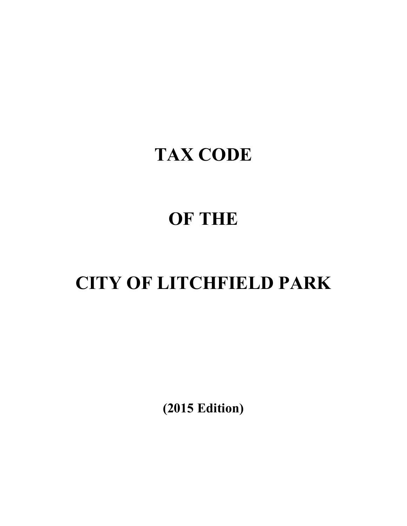## **TAX CODE**

# **OF THE**

# **CITY OF LITCHFIELD PARK**

**(2015 Edition)**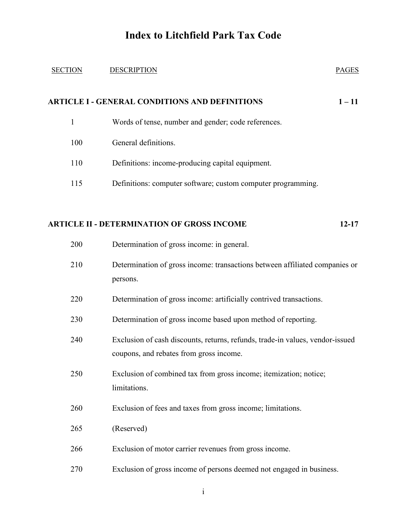#### SECTION DESCRIPTION PAGES

### **ARTICLE I - GENERAL CONDITIONS AND DEFINITIONS 1 – 11**

- 1 Words of tense, number and gender; code references.
- 100 General definitions.
- 110 Definitions: income-producing capital equipment.
- 115 Definitions: computer software; custom computer programming.

#### **ARTICLE II - DETERMINATION OF GROSS INCOME 12-17**

| 200 | Determination of gross income: in general.                                                                               |
|-----|--------------------------------------------------------------------------------------------------------------------------|
| 210 | Determination of gross income: transactions between affiliated companies or<br>persons.                                  |
| 220 | Determination of gross income: artificially contrived transactions.                                                      |
| 230 | Determination of gross income based upon method of reporting.                                                            |
| 240 | Exclusion of cash discounts, returns, refunds, trade-in values, vendor-issued<br>coupons, and rebates from gross income. |
| 250 | Exclusion of combined tax from gross income; itemization; notice;<br>limitations.                                        |
| 260 | Exclusion of fees and taxes from gross income; limitations.                                                              |
| 265 | (Reserved)                                                                                                               |
| 266 | Exclusion of motor carrier revenues from gross income.                                                                   |
| 270 | Exclusion of gross income of persons deemed not engaged in business.                                                     |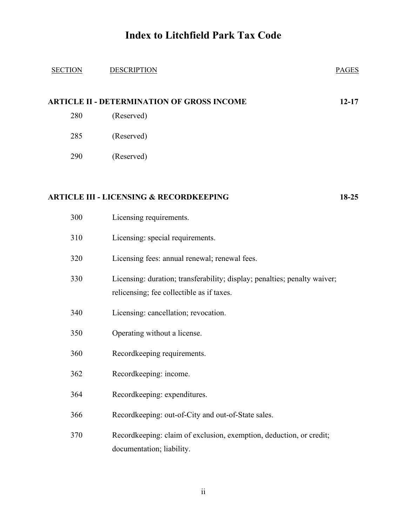| <b>SECTION</b> | <b>DESCRIPTION</b>                                                                                                     | <b>PAGES</b> |
|----------------|------------------------------------------------------------------------------------------------------------------------|--------------|
|                | <b>ARTICLE II - DETERMINATION OF GROSS INCOME</b>                                                                      | $12 - 17$    |
| 280            | (Reserved)                                                                                                             |              |
| 285            | (Reserved)                                                                                                             |              |
| 290            | (Reserved)                                                                                                             |              |
|                |                                                                                                                        |              |
|                | <b>ARTICLE III - LICENSING &amp; RECORDKEEPING</b>                                                                     | 18-25        |
| 300            | Licensing requirements.                                                                                                |              |
| 310            | Licensing: special requirements.                                                                                       |              |
| 320            | Licensing fees: annual renewal; renewal fees.                                                                          |              |
| 330            | Licensing: duration; transferability; display; penalties; penalty waiver;<br>relicensing; fee collectible as if taxes. |              |
| 340            | Licensing: cancellation; revocation.                                                                                   |              |
| 350            | Operating without a license.                                                                                           |              |
| 360            | Recordkeeping requirements.                                                                                            |              |
| 362            | Recordkeeping: income.                                                                                                 |              |
| 364            | Recordkeeping: expenditures.                                                                                           |              |
| 366            | Recordkeeping: out-of-City and out-of-State sales.                                                                     |              |
| 370            | Recordkeeping: claim of exclusion, exemption, deduction, or credit;<br>documentation; liability.                       |              |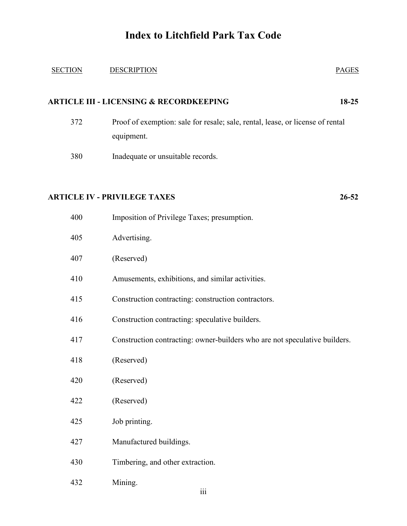| <b>SECTION</b> | <b>DESCRIPTION</b>                                                                           | <b>PAGES</b> |
|----------------|----------------------------------------------------------------------------------------------|--------------|
|                | <b>ARTICLE III - LICENSING &amp; RECORDKEEPING</b>                                           | 18-25        |
| 372            | Proof of exemption: sale for resale; sale, rental, lease, or license of rental<br>equipment. |              |
| 380            | Inadequate or unsuitable records.                                                            |              |
|                | <b>ARTICLE IV - PRIVILEGE TAXES</b>                                                          | 26-52        |
| 400            | Imposition of Privilege Taxes; presumption.                                                  |              |
| 405            | Advertising.                                                                                 |              |
| 407            | (Reserved)                                                                                   |              |
| 410            | Amusements, exhibitions, and similar activities.                                             |              |
| 415            | Construction contracting: construction contractors.                                          |              |
| 416            | Construction contracting: speculative builders.                                              |              |
| 417            | Construction contracting: owner-builders who are not speculative builders.                   |              |
| 418            | (Reserved)                                                                                   |              |
| 420            | (Reserved)                                                                                   |              |
| 422            | (Reserved)                                                                                   |              |
| 425            | Job printing.                                                                                |              |
| 427            | Manufactured buildings.                                                                      |              |
| 430            | Timbering, and other extraction.                                                             |              |
| 432            | Mining.                                                                                      |              |

iii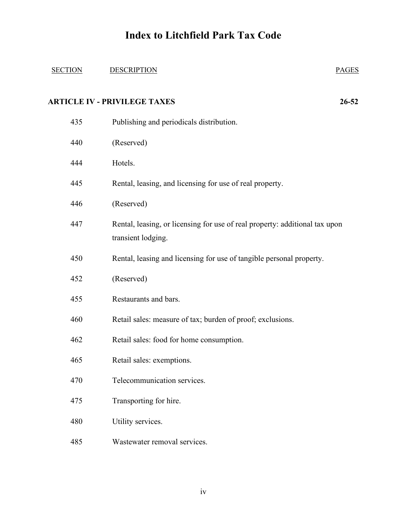#### SECTION DESCRIPTION PAGES

#### **ARTICLE IV - PRIVILEGE TAXES 26-52**

| 435 | Publishing and periodicals distribution.                                                          |
|-----|---------------------------------------------------------------------------------------------------|
| 440 | (Reserved)                                                                                        |
| 444 | Hotels.                                                                                           |
| 445 | Rental, leasing, and licensing for use of real property.                                          |
| 446 | (Reserved)                                                                                        |
| 447 | Rental, leasing, or licensing for use of real property: additional tax upon<br>transient lodging. |
| 450 | Rental, leasing and licensing for use of tangible personal property.                              |
| 452 | (Reserved)                                                                                        |
| 455 | Restaurants and bars.                                                                             |
| 460 | Retail sales: measure of tax; burden of proof; exclusions.                                        |
| 462 | Retail sales: food for home consumption.                                                          |
| 465 | Retail sales: exemptions.                                                                         |
| 470 | Telecommunication services.                                                                       |
| 475 | Transporting for hire.                                                                            |
| 480 | Utility services.                                                                                 |
| 485 | Wastewater removal services.                                                                      |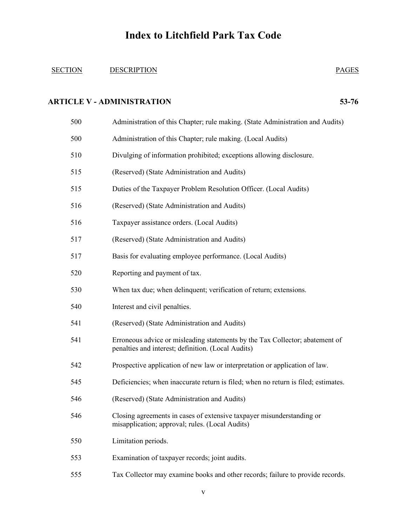#### SECTION DESCRIPTION PAGES

#### **ARTICLE V - ADMINISTRATION 53-76**

| 500 | Administration of this Chapter; rule making. (State Administration and Audits)                                                     |
|-----|------------------------------------------------------------------------------------------------------------------------------------|
| 500 | Administration of this Chapter; rule making. (Local Audits)                                                                        |
| 510 | Divulging of information prohibited; exceptions allowing disclosure.                                                               |
| 515 | (Reserved) (State Administration and Audits)                                                                                       |
| 515 | Duties of the Taxpayer Problem Resolution Officer. (Local Audits)                                                                  |
| 516 | (Reserved) (State Administration and Audits)                                                                                       |
| 516 | Taxpayer assistance orders. (Local Audits)                                                                                         |
| 517 | (Reserved) (State Administration and Audits)                                                                                       |
| 517 | Basis for evaluating employee performance. (Local Audits)                                                                          |
| 520 | Reporting and payment of tax.                                                                                                      |
| 530 | When tax due; when delinquent; verification of return; extensions.                                                                 |
| 540 | Interest and civil penalties.                                                                                                      |
| 541 | (Reserved) (State Administration and Audits)                                                                                       |
| 541 | Erroneous advice or misleading statements by the Tax Collector; abatement of<br>penalties and interest; definition. (Local Audits) |
| 542 | Prospective application of new law or interpretation or application of law.                                                        |
| 545 | Deficiencies; when inaccurate return is filed; when no return is filed; estimates.                                                 |
| 546 | (Reserved) (State Administration and Audits)                                                                                       |
| 546 | Closing agreements in cases of extensive taxpayer misunderstanding or<br>misapplication; approval; rules. (Local Audits)           |
| 550 | Limitation periods.                                                                                                                |
| 553 | Examination of taxpayer records; joint audits.                                                                                     |
| 555 | Tax Collector may examine books and other records; failure to provide records.                                                     |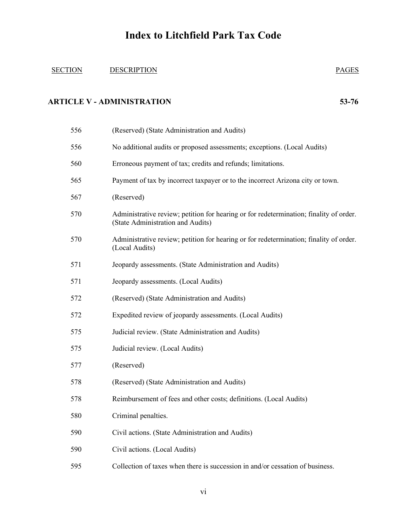#### SECTION DESCRIPTION PAGES

#### **ARTICLE V - ADMINISTRATION 53-76**

| 556 | (Reserved) (State Administration and Audits)                                                                                |
|-----|-----------------------------------------------------------------------------------------------------------------------------|
| 556 | No additional audits or proposed assessments; exceptions. (Local Audits)                                                    |
| 560 | Erroneous payment of tax; credits and refunds; limitations.                                                                 |
| 565 | Payment of tax by incorrect taxpayer or to the incorrect Arizona city or town.                                              |
| 567 | (Reserved)                                                                                                                  |
| 570 | Administrative review; petition for hearing or for redetermination; finality of order.<br>(State Administration and Audits) |
| 570 | Administrative review; petition for hearing or for redetermination; finality of order.<br>(Local Audits)                    |
| 571 | Jeopardy assessments. (State Administration and Audits)                                                                     |
| 571 | Jeopardy assessments. (Local Audits)                                                                                        |
| 572 | (Reserved) (State Administration and Audits)                                                                                |
| 572 | Expedited review of jeopardy assessments. (Local Audits)                                                                    |
| 575 | Judicial review. (State Administration and Audits)                                                                          |
| 575 | Judicial review. (Local Audits)                                                                                             |
| 577 | (Reserved)                                                                                                                  |
| 578 | (Reserved) (State Administration and Audits)                                                                                |
| 578 | Reimbursement of fees and other costs; definitions. (Local Audits)                                                          |
| 580 | Criminal penalties.                                                                                                         |
| 590 | Civil actions. (State Administration and Audits)                                                                            |
| 590 | Civil actions. (Local Audits)                                                                                               |
| 595 | Collection of taxes when there is succession in and/or cessation of business.                                               |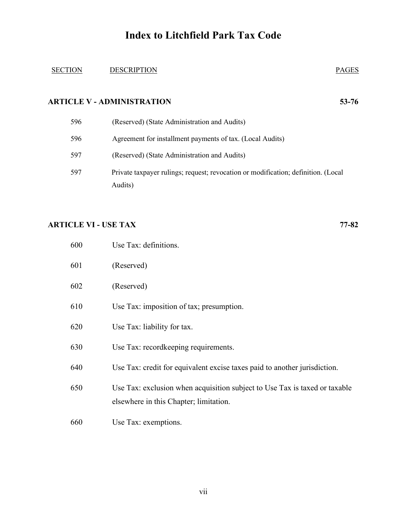#### SECTION DESCRIPTION PAGES

#### **ARTICLE V - ADMINISTRATION 53-76**

| 596 | (Reserved) (State Administration and Audits)                                                 |
|-----|----------------------------------------------------------------------------------------------|
| 596 | Agreement for installment payments of tax. (Local Audits)                                    |
| 597 | (Reserved) (State Administration and Audits)                                                 |
| 597 | Private taxpayer rulings; request; revocation or modification; definition. (Local<br>Audits) |

#### **ARTICLE VI - USE TAX 77-82**

| 600 | Use Tax: definitions.                                                                                                |
|-----|----------------------------------------------------------------------------------------------------------------------|
| 601 | (Reserved)                                                                                                           |
| 602 | (Reserved)                                                                                                           |
| 610 | Use Tax: imposition of tax; presumption.                                                                             |
| 620 | Use Tax: liability for tax.                                                                                          |
| 630 | Use Tax: record keeping requirements.                                                                                |
| 640 | Use Tax: credit for equivalent excise taxes paid to another jurisdiction.                                            |
| 650 | Use Tax: exclusion when acquisition subject to Use Tax is taxed or taxable<br>elsewhere in this Chapter; limitation. |
| 660 | Use Tax: exemptions.                                                                                                 |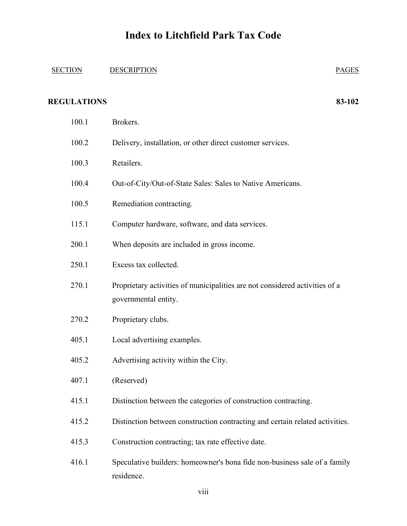## SECTION DESCRIPTION  $\blacksquare$ **REGULATIONS 83-102** 100.1 Brokers. 100.2 Delivery, installation, or other direct customer services. 100.3 Retailers. 100.4 Out-of-City/Out-of-State Sales: Sales to Native Americans. 100.5 Remediation contracting. 115.1 Computer hardware, software, and data services. 200.1 When deposits are included in gross income. 250.1 Excess tax collected. 270.1 Proprietary activities of municipalities are not considered activities of a governmental entity. 270.2 Proprietary clubs. 405.1 Local advertising examples. 405.2 Advertising activity within the City. 407.1 (Reserved) 415.1 Distinction between the categories of construction contracting. 415.2 Distinction between construction contracting and certain related activities. 415.3 Construction contracting; tax rate effective date. 416.1 Speculative builders: homeowner's bona fide non-business sale of a family residence.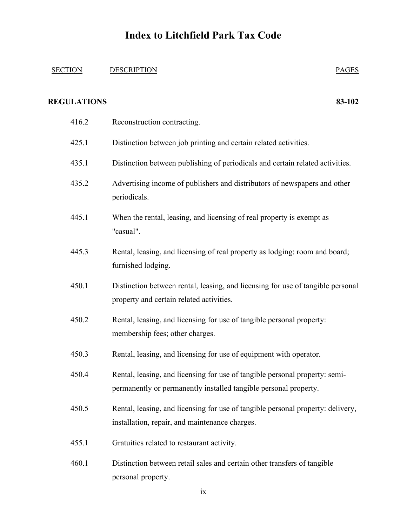#### SECTION DESCRIPTION PAGES

#### **REGULATIONS 83-102**

| 416.2 | Reconstruction contracting.                                                                                                                     |
|-------|-------------------------------------------------------------------------------------------------------------------------------------------------|
| 425.1 | Distinction between job printing and certain related activities.                                                                                |
| 435.1 | Distinction between publishing of periodicals and certain related activities.                                                                   |
| 435.2 | Advertising income of publishers and distributors of newspapers and other<br>periodicals.                                                       |
| 445.1 | When the rental, leasing, and licensing of real property is exempt as<br>"casual".                                                              |
| 445.3 | Rental, leasing, and licensing of real property as lodging: room and board;<br>furnished lodging.                                               |
| 450.1 | Distinction between rental, leasing, and licensing for use of tangible personal<br>property and certain related activities.                     |
| 450.2 | Rental, leasing, and licensing for use of tangible personal property:<br>membership fees; other charges.                                        |
| 450.3 | Rental, leasing, and licensing for use of equipment with operator.                                                                              |
| 450.4 | Rental, leasing, and licensing for use of tangible personal property: semi-<br>permanently or permanently installed tangible personal property. |
| 450.5 | Rental, leasing, and licensing for use of tangible personal property: delivery,<br>installation, repair, and maintenance charges.               |
| 455.1 | Gratuities related to restaurant activity.                                                                                                      |
| 460.1 | Distinction between retail sales and certain other transfers of tangible<br>personal property.                                                  |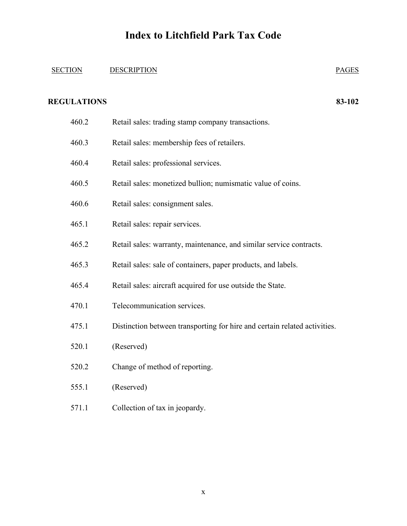### SECTION DESCRIPTION **PAGES**

#### **REGULATIONS 83-102**

| 460.2 | Retail sales: trading stamp company transactions.                         |
|-------|---------------------------------------------------------------------------|
| 460.3 | Retail sales: membership fees of retailers.                               |
| 460.4 | Retail sales: professional services.                                      |
| 460.5 | Retail sales: monetized bullion; numismatic value of coins.               |
| 460.6 | Retail sales: consignment sales.                                          |
| 465.1 | Retail sales: repair services.                                            |
| 465.2 | Retail sales: warranty, maintenance, and similar service contracts.       |
| 465.3 | Retail sales: sale of containers, paper products, and labels.             |
| 465.4 | Retail sales: aircraft acquired for use outside the State.                |
| 470.1 | Telecommunication services.                                               |
| 475.1 | Distinction between transporting for hire and certain related activities. |
| 520.1 | (Reserved)                                                                |
| 520.2 | Change of method of reporting.                                            |
| 555.1 | (Reserved)                                                                |
|       |                                                                           |

571.1 Collection of tax in jeopardy.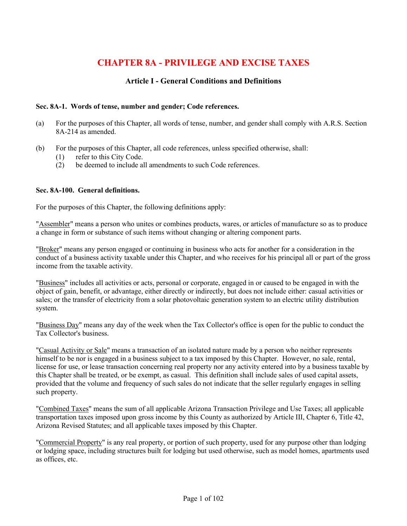### **CHAPTER 8A - PRIVILEGE AND EXCISE TAXES**

#### **Article I - General Conditions and Definitions**

#### **Sec. 8A-1. Words of tense, number and gender; Code references.**

- (a) For the purposes of this Chapter, all words of tense, number, and gender shall comply with A.R.S. Section 8A-214 as amended.
- (b) For the purposes of this Chapter, all code references, unless specified otherwise, shall:
	- (1) refer to this City Code.
	- (2) be deemed to include all amendments to such Code references.

#### **Sec. 8A-100. General definitions.**

For the purposes of this Chapter, the following definitions apply:

"Assembler" means a person who unites or combines products, wares, or articles of manufacture so as to produce a change in form or substance of such items without changing or altering component parts.

"Broker" means any person engaged or continuing in business who acts for another for a consideration in the conduct of a business activity taxable under this Chapter, and who receives for his principal all or part of the gross income from the taxable activity.

"Business" includes all activities or acts, personal or corporate, engaged in or caused to be engaged in with the object of gain, benefit, or advantage, either directly or indirectly, but does not include either: casual activities or sales; or the transfer of electricity from a solar photovoltaic generation system to an electric utility distribution system.

"Business Day" means any day of the week when the Tax Collector's office is open for the public to conduct the Tax Collector's business.

"Casual Activity or Sale" means a transaction of an isolated nature made by a person who neither represents himself to be nor is engaged in a business subject to a tax imposed by this Chapter. However, no sale, rental, license for use, or lease transaction concerning real property nor any activity entered into by a business taxable by this Chapter shall be treated, or be exempt, as casual. This definition shall include sales of used capital assets, provided that the volume and frequency of such sales do not indicate that the seller regularly engages in selling such property.

"Combined Taxes" means the sum of all applicable Arizona Transaction Privilege and Use Taxes; all applicable transportation taxes imposed upon gross income by this County as authorized by Article III, Chapter 6, Title 42, Arizona Revised Statutes; and all applicable taxes imposed by this Chapter.

"Commercial Property" is any real property, or portion of such property, used for any purpose other than lodging or lodging space, including structures built for lodging but used otherwise, such as model homes, apartments used as offices, etc.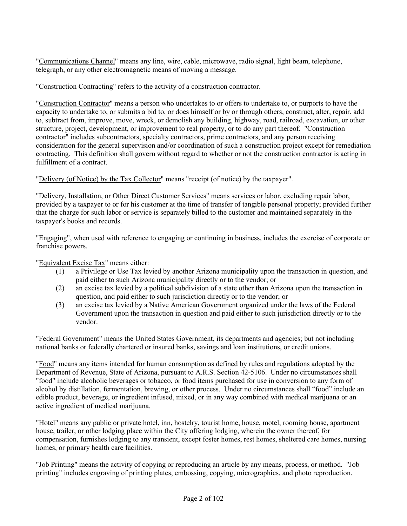"Communications Channel" means any line, wire, cable, microwave, radio signal, light beam, telephone, telegraph, or any other electromagnetic means of moving a message.

"Construction Contracting" refers to the activity of a construction contractor.

"Construction Contractor" means a person who undertakes to or offers to undertake to, or purports to have the capacity to undertake to, or submits a bid to, or does himself or by or through others, construct, alter, repair, add to, subtract from, improve, move, wreck, or demolish any building, highway, road, railroad, excavation, or other structure, project, development, or improvement to real property, or to do any part thereof. "Construction contractor" includes subcontractors, specialty contractors, prime contractors, and any person receiving consideration for the general supervision and/or coordination of such a construction project except for remediation contracting. This definition shall govern without regard to whether or not the construction contractor is acting in fulfillment of a contract.

"Delivery (of Notice) by the Tax Collector" means "receipt (of notice) by the taxpayer".

"Delivery, Installation, or Other Direct Customer Services" means services or labor, excluding repair labor, provided by a taxpayer to or for his customer at the time of transfer of tangible personal property; provided further that the charge for such labor or service is separately billed to the customer and maintained separately in the taxpayer's books and records.

"Engaging", when used with reference to engaging or continuing in business, includes the exercise of corporate or franchise powers.

"Equivalent Excise Tax" means either:

- (1) a Privilege or Use Tax levied by another Arizona municipality upon the transaction in question, and paid either to such Arizona municipality directly or to the vendor; or
- (2) an excise tax levied by a political subdivision of a state other than Arizona upon the transaction in question, and paid either to such jurisdiction directly or to the vendor; or
- (3) an excise tax levied by a Native American Government organized under the laws of the Federal Government upon the transaction in question and paid either to such jurisdiction directly or to the vendor.

"Federal Government" means the United States Government, its departments and agencies; but not including national banks or federally chartered or insured banks, savings and loan institutions, or credit unions.

"Food" means any items intended for human consumption as defined by rules and regulations adopted by the Department of Revenue, State of Arizona, pursuant to A.R.S. Section 42-5106. Under no circumstances shall "food" include alcoholic beverages or tobacco, or food items purchased for use in conversion to any form of alcohol by distillation, fermentation, brewing, or other process. Under no circumstances shall "food" include an edible product, beverage, or ingredient infused, mixed, or in any way combined with medical marijuana or an active ingredient of medical marijuana.

"Hotel" means any public or private hotel, inn, hostelry, tourist home, house, motel, rooming house, apartment house, trailer, or other lodging place within the City offering lodging, wherein the owner thereof, for compensation, furnishes lodging to any transient, except foster homes, rest homes, sheltered care homes, nursing homes, or primary health care facilities.

"Job Printing" means the activity of copying or reproducing an article by any means, process, or method. "Job printing" includes engraving of printing plates, embossing, copying, micrographics, and photo reproduction.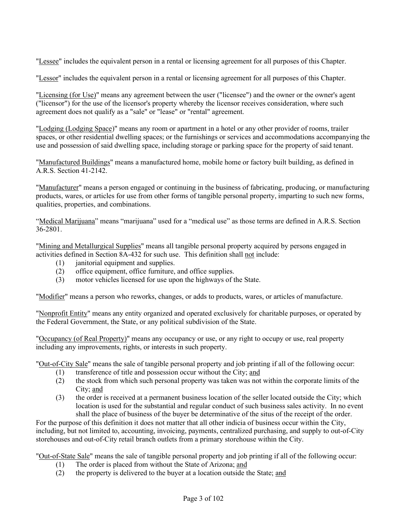"Lessee" includes the equivalent person in a rental or licensing agreement for all purposes of this Chapter.

"Lessor" includes the equivalent person in a rental or licensing agreement for all purposes of this Chapter.

"Licensing (for Use)" means any agreement between the user ("licensee") and the owner or the owner's agent ("licensor") for the use of the licensor's property whereby the licensor receives consideration, where such agreement does not qualify as a "sale" or "lease" or "rental" agreement.

"Lodging (Lodging Space)" means any room or apartment in a hotel or any other provider of rooms, trailer spaces, or other residential dwelling spaces; or the furnishings or services and accommodations accompanying the use and possession of said dwelling space, including storage or parking space for the property of said tenant.

"Manufactured Buildings" means a manufactured home, mobile home or factory built building, as defined in A.R.S. Section 41-2142.

"Manufacturer" means a person engaged or continuing in the business of fabricating, producing, or manufacturing products, wares, or articles for use from other forms of tangible personal property, imparting to such new forms, qualities, properties, and combinations.

"Medical Marijuana" means "marijuana" used for a "medical use" as those terms are defined in A.R.S. Section 36-2801.

"Mining and Metallurgical Supplies" means all tangible personal property acquired by persons engaged in activities defined in Section 8A-432 for such use. This definition shall not include:

- (1) janitorial equipment and supplies.
- (2) office equipment, office furniture, and office supplies.
- (3) motor vehicles licensed for use upon the highways of the State.

"Modifier" means a person who reworks, changes, or adds to products, wares, or articles of manufacture.

"Nonprofit Entity" means any entity organized and operated exclusively for charitable purposes, or operated by the Federal Government, the State, or any political subdivision of the State.

"Occupancy (of Real Property)" means any occupancy or use, or any right to occupy or use, real property including any improvements, rights, or interests in such property.

"Out-of-City Sale" means the sale of tangible personal property and job printing if all of the following occur:

- (1) transference of title and possession occur without the City; and
- (2) the stock from which such personal property was taken was not within the corporate limits of the City; and
- (3) the order is received at a permanent business location of the seller located outside the City; which location is used for the substantial and regular conduct of such business sales activity. In no event shall the place of business of the buyer be determinative of the situs of the receipt of the order.

For the purpose of this definition it does not matter that all other indicia of business occur within the City, including, but not limited to, accounting, invoicing, payments, centralized purchasing, and supply to out-of-City storehouses and out-of-City retail branch outlets from a primary storehouse within the City.

"Out-of-State Sale" means the sale of tangible personal property and job printing if all of the following occur:

- (1) The order is placed from without the State of Arizona; and
- (2) the property is delivered to the buyer at a location outside the State; and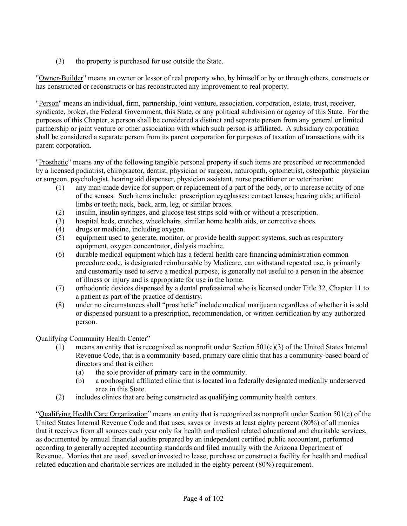(3) the property is purchased for use outside the State.

"Owner-Builder" means an owner or lessor of real property who, by himself or by or through others, constructs or has constructed or reconstructs or has reconstructed any improvement to real property.

"Person" means an individual, firm, partnership, joint venture, association, corporation, estate, trust, receiver, syndicate, broker, the Federal Government, this State, or any political subdivision or agency of this State. For the purposes of this Chapter, a person shall be considered a distinct and separate person from any general or limited partnership or joint venture or other association with which such person is affiliated. A subsidiary corporation shall be considered a separate person from its parent corporation for purposes of taxation of transactions with its parent corporation.

"Prosthetic" means any of the following tangible personal property if such items are prescribed or recommended by a licensed podiatrist, chiropractor, dentist, physician or surgeon, naturopath, optometrist, osteopathic physician or surgeon, psychologist, hearing aid dispenser, physician assistant, nurse practitioner or veterinarian:

- (1) any man-made device for support or replacement of a part of the body, or to increase acuity of one of the senses. Such items include: prescription eyeglasses; contact lenses; hearing aids; artificial limbs or teeth; neck, back, arm, leg, or similar braces.
- (2) insulin, insulin syringes, and glucose test strips sold with or without a prescription.
- (3) hospital beds, crutches, wheelchairs, similar home health aids, or corrective shoes.
- (4) drugs or medicine, including oxygen.
- (5) equipment used to generate, monitor, or provide health support systems, such as respiratory equipment, oxygen concentrator, dialysis machine.
- (6) durable medical equipment which has a federal health care financing administration common procedure code, is designated reimbursable by Medicare, can withstand repeated use, is primarily and customarily used to serve a medical purpose, is generally not useful to a person in the absence of illness or injury and is appropriate for use in the home.
- (7) orthodontic devices dispensed by a dental professional who is licensed under Title 32, Chapter 11 to a patient as part of the practice of dentistry.
- (8) under no circumstances shall "prosthetic" include medical marijuana regardless of whether it is sold or dispensed pursuant to a prescription, recommendation, or written certification by any authorized person.

Qualifying Community Health Center"

- (1) means an entity that is recognized as nonprofit under Section  $501(c)(3)$  of the United States Internal Revenue Code, that is a community-based, primary care clinic that has a community-based board of directors and that is either:
	- (a) the sole provider of primary care in the community.
	- (b) a nonhospital affiliated clinic that is located in a federally designated medically underserved area in this State.
- (2) includes clinics that are being constructed as qualifying community health centers.

"Qualifying Health Care Organization" means an entity that is recognized as nonprofit under Section 501(c) of the United States Internal Revenue Code and that uses, saves or invests at least eighty percent (80%) of all monies that it receives from all sources each year only for health and medical related educational and charitable services, as documented by annual financial audits prepared by an independent certified public accountant, performed according to generally accepted accounting standards and filed annually with the Arizona Department of Revenue. Monies that are used, saved or invested to lease, purchase or construct a facility for health and medical related education and charitable services are included in the eighty percent (80%) requirement.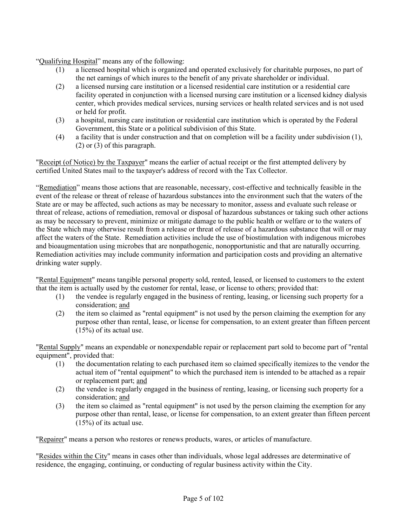"Qualifying Hospital" means any of the following:

- (1) a licensed hospital which is organized and operated exclusively for charitable purposes, no part of the net earnings of which inures to the benefit of any private shareholder or individual.
- (2) a licensed nursing care institution or a licensed residential care institution or a residential care facility operated in conjunction with a licensed nursing care institution or a licensed kidney dialysis center, which provides medical services, nursing services or health related services and is not used or held for profit.
- (3) a hospital, nursing care institution or residential care institution which is operated by the Federal Government, this State or a political subdivision of this State.
- (4) a facility that is under construction and that on completion will be a facility under subdivision (1), (2) or (3) of this paragraph.

"Receipt (of Notice) by the Taxpayer" means the earlier of actual receipt or the first attempted delivery by certified United States mail to the taxpayer's address of record with the Tax Collector.

"Remediation" means those actions that are reasonable, necessary, cost-effective and technically feasible in the event of the release or threat of release of hazardous substances into the environment such that the waters of the State are or may be affected, such actions as may be necessary to monitor, assess and evaluate such release or threat of release, actions of remediation, removal or disposal of hazardous substances or taking such other actions as may be necessary to prevent, minimize or mitigate damage to the public health or welfare or to the waters of the State which may otherwise result from a release or threat of release of a hazardous substance that will or may affect the waters of the State. Remediation activities include the use of biostimulation with indigenous microbes and bioaugmentation using microbes that are nonpathogenic, nonopportunistic and that are naturally occurring. Remediation activities may include community information and participation costs and providing an alternative drinking water supply.

"Rental Equipment" means tangible personal property sold, rented, leased, or licensed to customers to the extent that the item is actually used by the customer for rental, lease, or license to others; provided that:

- (1) the vendee is regularly engaged in the business of renting, leasing, or licensing such property for a consideration; and
- (2) the item so claimed as "rental equipment" is not used by the person claiming the exemption for any purpose other than rental, lease, or license for compensation, to an extent greater than fifteen percent (15%) of its actual use.

"Rental Supply" means an expendable or nonexpendable repair or replacement part sold to become part of "rental equipment", provided that:

- (1) the documentation relating to each purchased item so claimed specifically itemizes to the vendor the actual item of "rental equipment" to which the purchased item is intended to be attached as a repair or replacement part; and
- (2) the vendee is regularly engaged in the business of renting, leasing, or licensing such property for a consideration; and
- (3) the item so claimed as "rental equipment" is not used by the person claiming the exemption for any purpose other than rental, lease, or license for compensation, to an extent greater than fifteen percent (15%) of its actual use.

"Repairer" means a person who restores or renews products, wares, or articles of manufacture.

"Resides within the City" means in cases other than individuals, whose legal addresses are determinative of residence, the engaging, continuing, or conducting of regular business activity within the City.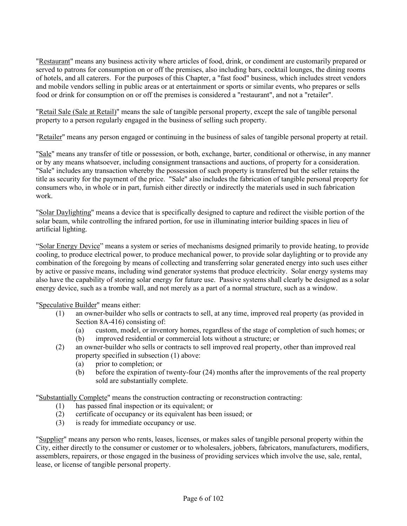"Restaurant" means any business activity where articles of food, drink, or condiment are customarily prepared or served to patrons for consumption on or off the premises, also including bars, cocktail lounges, the dining rooms of hotels, and all caterers. For the purposes of this Chapter, a "fast food" business, which includes street vendors and mobile vendors selling in public areas or at entertainment or sports or similar events, who prepares or sells food or drink for consumption on or off the premises is considered a "restaurant", and not a "retailer".

"Retail Sale (Sale at Retail)" means the sale of tangible personal property, except the sale of tangible personal property to a person regularly engaged in the business of selling such property.

"Retailer" means any person engaged or continuing in the business of sales of tangible personal property at retail.

"Sale" means any transfer of title or possession, or both, exchange, barter, conditional or otherwise, in any manner or by any means whatsoever, including consignment transactions and auctions, of property for a consideration. "Sale" includes any transaction whereby the possession of such property is transferred but the seller retains the title as security for the payment of the price. "Sale" also includes the fabrication of tangible personal property for consumers who, in whole or in part, furnish either directly or indirectly the materials used in such fabrication work.

"Solar Daylighting" means a device that is specifically designed to capture and redirect the visible portion of the solar beam, while controlling the infrared portion, for use in illuminating interior building spaces in lieu of artificial lighting.

"Solar Energy Device" means a system or series of mechanisms designed primarily to provide heating, to provide cooling, to produce electrical power, to produce mechanical power, to provide solar daylighting or to provide any combination of the foregoing by means of collecting and transferring solar generated energy into such uses either by active or passive means, including wind generator systems that produce electricity. Solar energy systems may also have the capability of storing solar energy for future use. Passive systems shall clearly be designed as a solar energy device, such as a trombe wall, and not merely as a part of a normal structure, such as a window.

"Speculative Builder" means either:

- (1) an owner-builder who sells or contracts to sell, at any time, improved real property (as provided in Section 8A-416) consisting of:
	- (a) custom, model, or inventory homes, regardless of the stage of completion of such homes; or
	- (b) improved residential or commercial lots without a structure; or
- (2) an owner-builder who sells or contracts to sell improved real property, other than improved real property specified in subsection (1) above:
	- (a) prior to completion; or
	- (b) before the expiration of twenty-four (24) months after the improvements of the real property sold are substantially complete.

"Substantially Complete" means the construction contracting or reconstruction contracting:

- (1) has passed final inspection or its equivalent; or
- (2) certificate of occupancy or its equivalent has been issued; or
- (3) is ready for immediate occupancy or use.

"Supplier" means any person who rents, leases, licenses, or makes sales of tangible personal property within the City, either directly to the consumer or customer or to wholesalers, jobbers, fabricators, manufacturers, modifiers, assemblers, repairers, or those engaged in the business of providing services which involve the use, sale, rental, lease, or license of tangible personal property.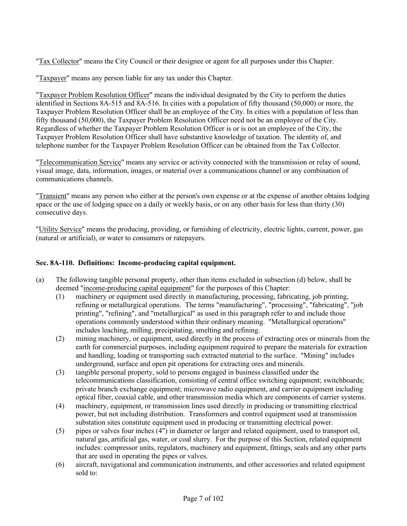"Tax Collector" means the City Council or their designee or agent for all purposes under this Chapter.

"Taxpayer" means any person liable for any tax under this Chapter.

"Taxpayer Problem Resolution Officer" means the individual designated by the City to perform the duties identified in Sections 8A-515 and 8A-516. In cities with a population of fifty thousand (50,000) or more, the Taxpayer Problem Resolution Officer shall be an employee of the City. In cities with a population of less than fifty thousand (50,000), the Taxpayer Problem Resolution Officer need not be an employee of the City. Regardless of whether the Taxpayer Problem Resolution Officer is or is not an employee of the City, the Taxpayer Problem Resolution Officer shall have substantive knowledge of taxation. The identity of, and telephone number for the Taxpayer Problem Resolution Officer can be obtained from the Tax Collector.

"Telecommunication Service" means any service or activity connected with the transmission or relay of sound, visual image, data, information, images, or material over a communications channel or any combination of communications channels.

"Transient" means any person who either at the person's own expense or at the expense of another obtains lodging space or the use of lodging space on a daily or weekly basis, or on any other basis for less than thirty (30) consecutive days.

"Utility Service" means the producing, providing, or furnishing of electricity, electric lights, current, power, gas (natural or artificial), or water to consumers or ratepayers.

#### **Sec. 8A-110. Definitions: Income-producing capital equipment.**

- (a) The following tangible personal property, other than items excluded in subsection (d) below, shall be deemed "income-producing capital equipment" for the purposes of this Chapter:
	- (1) machinery or equipment used directly in manufacturing, processing, fabricating, job printing, refining or metallurgical operations. The terms "manufacturing", "processing", "fabricating", "job printing", "refining", and "metallurgical" as used in this paragraph refer to and include those operations commonly understood within their ordinary meaning. "Metallurgical operations" includes leaching, milling, precipitating, smelting and refining.
	- (2) mining machinery, or equipment, used directly in the process of extracting ores or minerals from the earth for commercial purposes, including equipment required to prepare the materials for extraction and handling, loading or transporting such extracted material to the surface. "Mining" includes underground, surface and open pit operations for extracting ores and minerals.
	- (3) tangible personal property, sold to persons engaged in business classified under the telecommunications classification, consisting of central office switching equipment; switchboards; private branch exchange equipment; microwave radio equipment, and carrier equipment including optical fiber, coaxial cable, and other transmission media which are components of carrier systems.
	- (4) machinery, equipment, or transmission lines used directly in producing or transmitting electrical power, but not including distribution. Transformers and control equipment used at transmission substation sites constitute equipment used in producing or transmitting electrical power.
	- (5) pipes or valves four inches (4") in diameter or larger and related equipment, used to transport oil, natural gas, artificial gas, water, or coal slurry. For the purpose of this Section, related equipment includes: compressor units, regulators, machinery and equipment, fittings, seals and any other parts that are used in operating the pipes or valves.
	- (6) aircraft, navigational and communication instruments, and other accessories and related equipment sold to: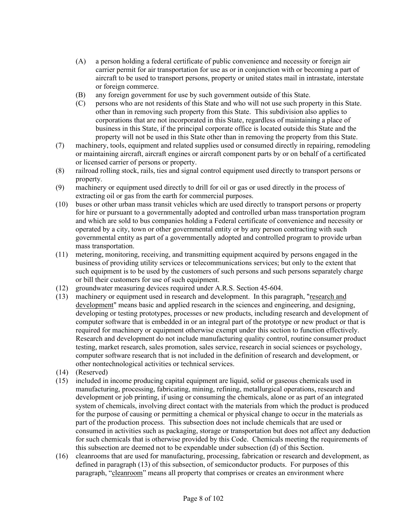- (A) a person holding a federal certificate of public convenience and necessity or foreign air carrier permit for air transportation for use as or in conjunction with or becoming a part of aircraft to be used to transport persons, property or united states mail in intrastate, interstate or foreign commerce.
- (B) any foreign government for use by such government outside of this State.
- (C) persons who are not residents of this State and who will not use such property in this State. other than in removing such property from this State. This subdivision also applies to corporations that are not incorporated in this State, regardless of maintaining a place of business in this State, if the principal corporate office is located outside this State and the property will not be used in this State other than in removing the property from this State.
- (7) machinery, tools, equipment and related supplies used or consumed directly in repairing, remodeling or maintaining aircraft, aircraft engines or aircraft component parts by or on behalf of a certificated or licensed carrier of persons or property.
- (8) railroad rolling stock, rails, ties and signal control equipment used directly to transport persons or property.
- (9) machinery or equipment used directly to drill for oil or gas or used directly in the process of extracting oil or gas from the earth for commercial purposes.
- (10) buses or other urban mass transit vehicles which are used directly to transport persons or property for hire or pursuant to a governmentally adopted and controlled urban mass transportation program and which are sold to bus companies holding a Federal certificate of convenience and necessity or operated by a city, town or other governmental entity or by any person contracting with such governmental entity as part of a governmentally adopted and controlled program to provide urban mass transportation.
- (11) metering, monitoring, receiving, and transmitting equipment acquired by persons engaged in the business of providing utility services or telecommunications services; but only to the extent that such equipment is to be used by the customers of such persons and such persons separately charge or bill their customers for use of such equipment.
- (12) groundwater measuring devices required under A.R.S. Section 45-604.
- (13) machinery or equipment used in research and development. In this paragraph, "research and development" means basic and applied research in the sciences and engineering, and designing, developing or testing prototypes, processes or new products, including research and development of computer software that is embedded in or an integral part of the prototype or new product or that is required for machinery or equipment otherwise exempt under this section to function effectively. Research and development do not include manufacturing quality control, routine consumer product testing, market research, sales promotion, sales service, research in social sciences or psychology, computer software research that is not included in the definition of research and development, or other nontechnological activities or technical services.
- (14) (Reserved)
- (15) included in income producing capital equipment are liquid, solid or gaseous chemicals used in manufacturing, processing, fabricating, mining, refining, metallurgical operations, research and development or job printing, if using or consuming the chemicals, alone or as part of an integrated system of chemicals, involving direct contact with the materials from which the product is produced for the purpose of causing or permitting a chemical or physical change to occur in the materials as part of the production process. This subsection does not include chemicals that are used or consumed in activities such as packaging, storage or transportation but does not affect any deduction for such chemicals that is otherwise provided by this Code. Chemicals meeting the requirements of this subsection are deemed not to be expendable under subsection (d) of this Section.
- (16) cleanrooms that are used for manufacturing, processing, fabrication or research and development, as defined in paragraph (13) of this subsection, of semiconductor products. For purposes of this paragraph, "cleanroom" means all property that comprises or creates an environment where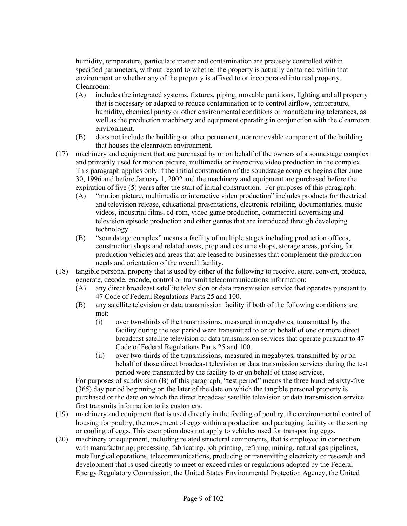humidity, temperature, particulate matter and contamination are precisely controlled within specified parameters, without regard to whether the property is actually contained within that environment or whether any of the property is affixed to or incorporated into real property. Cleanroom:

- (A) includes the integrated systems, fixtures, piping, movable partitions, lighting and all property that is necessary or adapted to reduce contamination or to control airflow, temperature, humidity, chemical purity or other environmental conditions or manufacturing tolerances, as well as the production machinery and equipment operating in conjunction with the cleanroom environment.
- (B) does not include the building or other permanent, nonremovable component of the building that houses the cleanroom environment.
- (17) machinery and equipment that are purchased by or on behalf of the owners of a soundstage complex and primarily used for motion picture, multimedia or interactive video production in the complex. This paragraph applies only if the initial construction of the soundstage complex begins after June 30, 1996 and before January 1, 2002 and the machinery and equipment are purchased before the expiration of five (5) years after the start of initial construction. For purposes of this paragraph:
	- (A) "motion picture, multimedia or interactive video production" includes products for theatrical and television release, educational presentations, electronic retailing, documentaries, music videos, industrial films, cd-rom, video game production, commercial advertising and television episode production and other genres that are introduced through developing technology.
	- (B) "soundstage complex" means a facility of multiple stages including production offices, construction shops and related areas, prop and costume shops, storage areas, parking for production vehicles and areas that are leased to businesses that complement the production needs and orientation of the overall facility.
- (18) tangible personal property that is used by either of the following to receive, store, convert, produce, generate, decode, encode, control or transmit telecommunications information:
	- (A) any direct broadcast satellite television or data transmission service that operates pursuant to 47 Code of Federal Regulations Parts 25 and 100.
	- (B) any satellite television or data transmission facility if both of the following conditions are met:
		- (i) over two-thirds of the transmissions, measured in megabytes, transmitted by the facility during the test period were transmitted to or on behalf of one or more direct broadcast satellite television or data transmission services that operate pursuant to 47 Code of Federal Regulations Parts 25 and 100.
		- (ii) over two-thirds of the transmissions, measured in megabytes, transmitted by or on behalf of those direct broadcast television or data transmission services during the test period were transmitted by the facility to or on behalf of those services.

For purposes of subdivision (B) of this paragraph, "test period" means the three hundred sixty-five (365) day period beginning on the later of the date on which the tangible personal property is purchased or the date on which the direct broadcast satellite television or data transmission service first transmits information to its customers.

- (19) machinery and equipment that is used directly in the feeding of poultry, the environmental control of housing for poultry, the movement of eggs within a production and packaging facility or the sorting or cooling of eggs. This exemption does not apply to vehicles used for transporting eggs.
- (20) machinery or equipment, including related structural components, that is employed in connection with manufacturing, processing, fabricating, job printing, refining, mining, natural gas pipelines, metallurgical operations, telecommunications, producing or transmitting electricity or research and development that is used directly to meet or exceed rules or regulations adopted by the Federal Energy Regulatory Commission, the United States Environmental Protection Agency, the United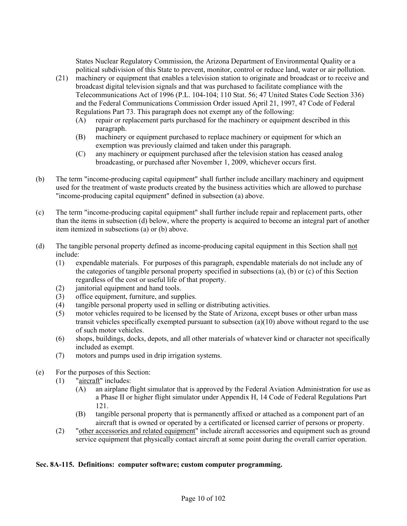States Nuclear Regulatory Commission, the Arizona Department of Environmental Quality or a political subdivision of this State to prevent, monitor, control or reduce land, water or air pollution.

- (21) machinery or equipment that enables a television station to originate and broadcast or to receive and broadcast digital television signals and that was purchased to facilitate compliance with the Telecommunications Act of 1996 (P.L. 104-104; 110 Stat. 56; 47 United States Code Section 336) and the Federal Communications Commission Order issued April 21, 1997, 47 Code of Federal Regulations Part 73. This paragraph does not exempt any of the following:
	- (A) repair or replacement parts purchased for the machinery or equipment described in this paragraph.
	- (B) machinery or equipment purchased to replace machinery or equipment for which an exemption was previously claimed and taken under this paragraph.
	- (C) any machinery or equipment purchased after the television station has ceased analog broadcasting, or purchased after November 1, 2009, whichever occurs first.
- (b) The term "income-producing capital equipment" shall further include ancillary machinery and equipment used for the treatment of waste products created by the business activities which are allowed to purchase "income-producing capital equipment" defined in subsection (a) above.
- (c) The term "income-producing capital equipment" shall further include repair and replacement parts, other than the items in subsection (d) below, where the property is acquired to become an integral part of another item itemized in subsections (a) or (b) above.
- (d) The tangible personal property defined as income-producing capital equipment in this Section shall not include:
	- (1) expendable materials. For purposes of this paragraph, expendable materials do not include any of the categories of tangible personal property specified in subsections (a), (b) or (c) of this Section regardless of the cost or useful life of that property.
	- (2) janitorial equipment and hand tools.
	- (3) office equipment, furniture, and supplies.
	- (4) tangible personal property used in selling or distributing activities.
	- (5) motor vehicles required to be licensed by the State of Arizona, except buses or other urban mass transit vehicles specifically exempted pursuant to subsection (a)(10) above without regard to the use of such motor vehicles.
	- (6) shops, buildings, docks, depots, and all other materials of whatever kind or character not specifically included as exempt.
	- (7) motors and pumps used in drip irrigation systems.
- (e) For the purposes of this Section:
	- (1) "aircraft" includes:
		- (A) an airplane flight simulator that is approved by the Federal Aviation Administration for use as a Phase II or higher flight simulator under Appendix H, 14 Code of Federal Regulations Part 121.
		- (B) tangible personal property that is permanently affixed or attached as a component part of an aircraft that is owned or operated by a certificated or licensed carrier of persons or property.
	- (2) "other accessories and related equipment" include aircraft accessories and equipment such as ground service equipment that physically contact aircraft at some point during the overall carrier operation.

#### **Sec. 8A-115. Definitions: computer software; custom computer programming.**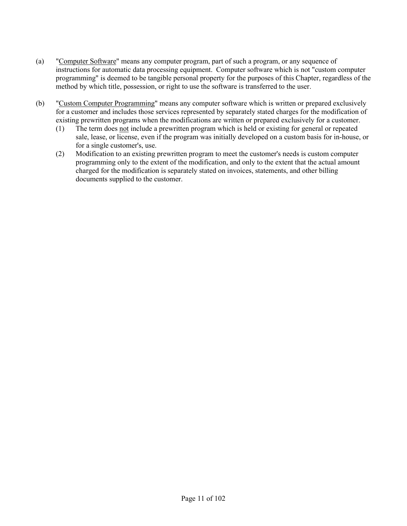- (a) "Computer Software" means any computer program, part of such a program, or any sequence of instructions for automatic data processing equipment. Computer software which is not "custom computer programming" is deemed to be tangible personal property for the purposes of this Chapter, regardless of the method by which title, possession, or right to use the software is transferred to the user.
- (b) "Custom Computer Programming" means any computer software which is written or prepared exclusively for a customer and includes those services represented by separately stated charges for the modification of existing prewritten programs when the modifications are written or prepared exclusively for a customer.
	- (1) The term does not include a prewritten program which is held or existing for general or repeated sale, lease, or license, even if the program was initially developed on a custom basis for in-house, or for a single customer's, use.
	- (2) Modification to an existing prewritten program to meet the customer's needs is custom computer programming only to the extent of the modification, and only to the extent that the actual amount charged for the modification is separately stated on invoices, statements, and other billing documents supplied to the customer.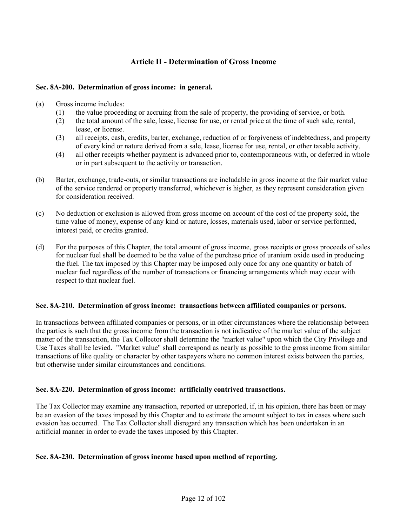#### **Article II - Determination of Gross Income**

#### **Sec. 8A-200. Determination of gross income: in general.**

- (a) Gross income includes:
	- (1) the value proceeding or accruing from the sale of property, the providing of service, or both.
	- (2) the total amount of the sale, lease, license for use, or rental price at the time of such sale, rental, lease, or license.
	- (3) all receipts, cash, credits, barter, exchange, reduction of or forgiveness of indebtedness, and property of every kind or nature derived from a sale, lease, license for use, rental, or other taxable activity.
	- (4) all other receipts whether payment is advanced prior to, contemporaneous with, or deferred in whole or in part subsequent to the activity or transaction.
- (b) Barter, exchange, trade-outs, or similar transactions are includable in gross income at the fair market value of the service rendered or property transferred, whichever is higher, as they represent consideration given for consideration received.
- (c) No deduction or exclusion is allowed from gross income on account of the cost of the property sold, the time value of money, expense of any kind or nature, losses, materials used, labor or service performed, interest paid, or credits granted.
- (d) For the purposes of this Chapter, the total amount of gross income, gross receipts or gross proceeds of sales for nuclear fuel shall be deemed to be the value of the purchase price of uranium oxide used in producing the fuel. The tax imposed by this Chapter may be imposed only once for any one quantity or batch of nuclear fuel regardless of the number of transactions or financing arrangements which may occur with respect to that nuclear fuel.

#### **Sec. 8A-210. Determination of gross income: transactions between affiliated companies or persons.**

In transactions between affiliated companies or persons, or in other circumstances where the relationship between the parties is such that the gross income from the transaction is not indicative of the market value of the subject matter of the transaction, the Tax Collector shall determine the "market value" upon which the City Privilege and Use Taxes shall be levied. "Market value" shall correspond as nearly as possible to the gross income from similar transactions of like quality or character by other taxpayers where no common interest exists between the parties, but otherwise under similar circumstances and conditions.

#### **Sec. 8A-220. Determination of gross income: artificially contrived transactions.**

The Tax Collector may examine any transaction, reported or unreported, if, in his opinion, there has been or may be an evasion of the taxes imposed by this Chapter and to estimate the amount subject to tax in cases where such evasion has occurred. The Tax Collector shall disregard any transaction which has been undertaken in an artificial manner in order to evade the taxes imposed by this Chapter.

#### **Sec. 8A-230. Determination of gross income based upon method of reporting.**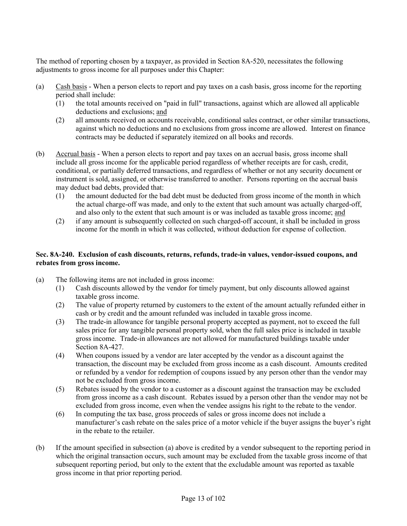The method of reporting chosen by a taxpayer, as provided in Section 8A-520, necessitates the following adjustments to gross income for all purposes under this Chapter:

- (a) Cash basis When a person elects to report and pay taxes on a cash basis, gross income for the reporting period shall include:
	- (1) the total amounts received on "paid in full" transactions, against which are allowed all applicable deductions and exclusions; and
	- (2) all amounts received on accounts receivable, conditional sales contract, or other similar transactions, against which no deductions and no exclusions from gross income are allowed. Interest on finance contracts may be deducted if separately itemized on all books and records.
- (b) Accrual basis When a person elects to report and pay taxes on an accrual basis, gross income shall include all gross income for the applicable period regardless of whether receipts are for cash, credit, conditional, or partially deferred transactions, and regardless of whether or not any security document or instrument is sold, assigned, or otherwise transferred to another. Persons reporting on the accrual basis may deduct bad debts, provided that:
	- (1) the amount deducted for the bad debt must be deducted from gross income of the month in which the actual charge-off was made, and only to the extent that such amount was actually charged-off, and also only to the extent that such amount is or was included as taxable gross income; and
	- (2) if any amount is subsequently collected on such charged-off account, it shall be included in gross income for the month in which it was collected, without deduction for expense of collection.

#### **Sec. 8A-240. Exclusion of cash discounts, returns, refunds, trade-in values, vendor-issued coupons, and rebates from gross income.**

- (a) The following items are not included in gross income:
	- (1) Cash discounts allowed by the vendor for timely payment, but only discounts allowed against taxable gross income.
	- (2) The value of property returned by customers to the extent of the amount actually refunded either in cash or by credit and the amount refunded was included in taxable gross income.
	- (3) The trade-in allowance for tangible personal property accepted as payment, not to exceed the full sales price for any tangible personal property sold, when the full sales price is included in taxable gross income. Trade-in allowances are not allowed for manufactured buildings taxable under Section 8A-427.
	- (4) When coupons issued by a vendor are later accepted by the vendor as a discount against the transaction, the discount may be excluded from gross income as a cash discount. Amounts credited or refunded by a vendor for redemption of coupons issued by any person other than the vendor may not be excluded from gross income.
	- (5) Rebates issued by the vendor to a customer as a discount against the transaction may be excluded from gross income as a cash discount. Rebates issued by a person other than the vendor may not be excluded from gross income, even when the vendee assigns his right to the rebate to the vendor.
	- (6) In computing the tax base, gross proceeds of sales or gross income does not include a manufacturer's cash rebate on the sales price of a motor vehicle if the buyer assigns the buyer's right in the rebate to the retailer.
- (b) If the amount specified in subsection (a) above is credited by a vendor subsequent to the reporting period in which the original transaction occurs, such amount may be excluded from the taxable gross income of that subsequent reporting period, but only to the extent that the excludable amount was reported as taxable gross income in that prior reporting period.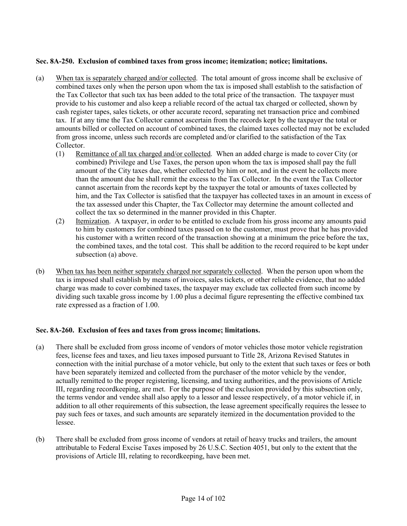#### **Sec. 8A-250. Exclusion of combined taxes from gross income; itemization; notice; limitations.**

- (a) When tax is separately charged and/or collected. The total amount of gross income shall be exclusive of combined taxes only when the person upon whom the tax is imposed shall establish to the satisfaction of the Tax Collector that such tax has been added to the total price of the transaction. The taxpayer must provide to his customer and also keep a reliable record of the actual tax charged or collected, shown by cash register tapes, sales tickets, or other accurate record, separating net transaction price and combined tax. If at any time the Tax Collector cannot ascertain from the records kept by the taxpayer the total or amounts billed or collected on account of combined taxes, the claimed taxes collected may not be excluded from gross income, unless such records are completed and/or clarified to the satisfaction of the Tax Collector.
	- (1) Remittance of all tax charged and/or collected. When an added charge is made to cover City (or combined) Privilege and Use Taxes, the person upon whom the tax is imposed shall pay the full amount of the City taxes due, whether collected by him or not, and in the event he collects more than the amount due he shall remit the excess to the Tax Collector. In the event the Tax Collector cannot ascertain from the records kept by the taxpayer the total or amounts of taxes collected by him, and the Tax Collector is satisfied that the taxpayer has collected taxes in an amount in excess of the tax assessed under this Chapter, the Tax Collector may determine the amount collected and collect the tax so determined in the manner provided in this Chapter.
	- (2) Itemization. A taxpayer, in order to be entitled to exclude from his gross income any amounts paid to him by customers for combined taxes passed on to the customer, must prove that he has provided his customer with a written record of the transaction showing at a minimum the price before the tax, the combined taxes, and the total cost. This shall be addition to the record required to be kept under subsection (a) above.
- (b) When tax has been neither separately charged nor separately collected. When the person upon whom the tax is imposed shall establish by means of invoices, sales tickets, or other reliable evidence, that no added charge was made to cover combined taxes, the taxpayer may exclude tax collected from such income by dividing such taxable gross income by 1.00 plus a decimal figure representing the effective combined tax rate expressed as a fraction of 1.00.

#### **Sec. 8A-260. Exclusion of fees and taxes from gross income; limitations.**

- (a) There shall be excluded from gross income of vendors of motor vehicles those motor vehicle registration fees, license fees and taxes, and lieu taxes imposed pursuant to Title 28, Arizona Revised Statutes in connection with the initial purchase of a motor vehicle, but only to the extent that such taxes or fees or both have been separately itemized and collected from the purchaser of the motor vehicle by the vendor, actually remitted to the proper registering, licensing, and taxing authorities, and the provisions of Article III, regarding recordkeeping, are met. For the purpose of the exclusion provided by this subsection only, the terms vendor and vendee shall also apply to a lessor and lessee respectively, of a motor vehicle if, in addition to all other requirements of this subsection, the lease agreement specifically requires the lessee to pay such fees or taxes, and such amounts are separately itemized in the documentation provided to the lessee.
- (b) There shall be excluded from gross income of vendors at retail of heavy trucks and trailers, the amount attributable to Federal Excise Taxes imposed by 26 U.S.C. Section 4051, but only to the extent that the provisions of Article III, relating to recordkeeping, have been met.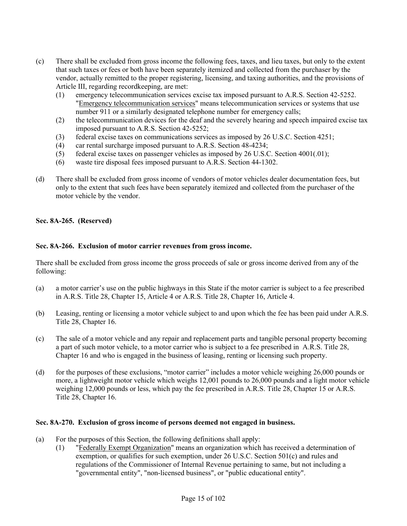- (c) There shall be excluded from gross income the following fees, taxes, and lieu taxes, but only to the extent that such taxes or fees or both have been separately itemized and collected from the purchaser by the vendor, actually remitted to the proper registering, licensing, and taxing authorities, and the provisions of Article III, regarding recordkeeping, are met:
	- (1) emergency telecommunication services excise tax imposed pursuant to A.R.S. Section 42-5252. "Emergency telecommunication services" means telecommunication services or systems that use number 911 or a similarly designated telephone number for emergency calls;
	- (2) the telecommunication devices for the deaf and the severely hearing and speech impaired excise tax imposed pursuant to A.R.S. Section 42-5252;
	- (3) federal excise taxes on communications services as imposed by 26 U.S.C. Section 4251;
	- (4) car rental surcharge imposed pursuant to A.R.S. Section 48-4234;
	- (5) federal excise taxes on passenger vehicles as imposed by 26 U.S.C. Section 4001(.01);
	- (6) waste tire disposal fees imposed pursuant to A.R.S. Section 44-1302.
- (d) There shall be excluded from gross income of vendors of motor vehicles dealer documentation fees, but only to the extent that such fees have been separately itemized and collected from the purchaser of the motor vehicle by the vendor.

#### **Sec. 8A-265. (Reserved)**

#### **Sec. 8A-266. Exclusion of motor carrier revenues from gross income.**

There shall be excluded from gross income the gross proceeds of sale or gross income derived from any of the following:

- (a) a motor carrier's use on the public highways in this State if the motor carrier is subject to a fee prescribed in A.R.S. Title 28, Chapter 15, Article 4 or A.R.S. Title 28, Chapter 16, Article 4.
- (b) Leasing, renting or licensing a motor vehicle subject to and upon which the fee has been paid under A.R.S. Title 28, Chapter 16.
- (c) The sale of a motor vehicle and any repair and replacement parts and tangible personal property becoming a part of such motor vehicle, to a motor carrier who is subject to a fee prescribed in A.R.S. Title 28, Chapter 16 and who is engaged in the business of leasing, renting or licensing such property.
- (d) for the purposes of these exclusions, "motor carrier" includes a motor vehicle weighing 26,000 pounds or more, a lightweight motor vehicle which weighs 12,001 pounds to 26,000 pounds and a light motor vehicle weighing 12,000 pounds or less, which pay the fee prescribed in A.R.S. Title 28, Chapter 15 or A.R.S. Title 28, Chapter 16.

#### **Sec. 8A-270. Exclusion of gross income of persons deemed not engaged in business.**

- (a) For the purposes of this Section, the following definitions shall apply:
	- (1) "Federally Exempt Organization" means an organization which has received a determination of exemption, or qualifies for such exemption, under 26 U.S.C. Section 501(c) and rules and regulations of the Commissioner of Internal Revenue pertaining to same, but not including a "governmental entity", "non-licensed business", or "public educational entity".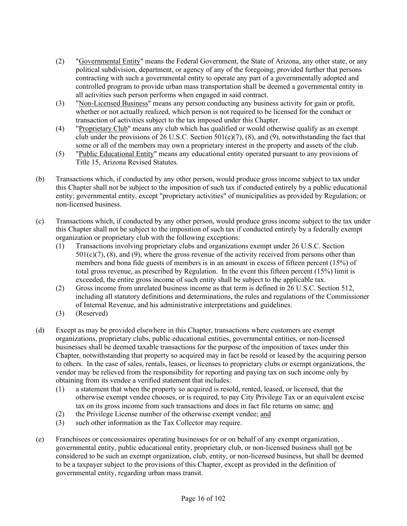- (2) "Governmental Entity" means the Federal Government, the State of Arizona, any other state, or any political subdivision, department, or agency of any of the foregoing; provided further that persons contracting with such a governmental entity to operate any part of a governmentally adopted and controlled program to provide urban mass transportation shall be deemed a governmental entity in all activities such person performs when engaged in said contract.
- (3) "Non-Licensed Business" means any person conducting any business activity for gain or profit, whether or not actually realized, which person is not required to be licensed for the conduct or transaction of activities subject to the tax imposed under this Chapter.
- (4) "Proprietary Club" means any club which has qualified or would otherwise qualify as an exempt club under the provisions of 26 U.S.C. Section  $501(c)(7)$ , (8), and (9), notwithstanding the fact that some or all of the members may own a proprietary interest in the property and assets of the club.
- (5) "Public Educational Entity" means any educational entity operated pursuant to any provisions of Title 15, Arizona Revised Statutes.
- (b) Transactions which, if conducted by any other person, would produce gross income subject to tax under this Chapter shall not be subject to the imposition of such tax if conducted entirely by a public educational entity; governmental entity, except "proprietary activities" of municipalities as provided by Regulation; or non-licensed business.
- (c) Transactions which, if conducted by any other person, would produce gross income subject to the tax under this Chapter shall not be subject to the imposition of such tax if conducted entirely by a federally exempt organization or proprietary club with the following exceptions:
	- (1) Transactions involving proprietary clubs and organizations exempt under 26 U.S.C. Section  $501(c)(7)$ ,  $(8)$ , and  $(9)$ , where the gross revenue of the activity received from persons other than members and bona fide guests of members is in an amount in excess of fifteen percent (15%) of total gross revenue, as prescribed by Regulation. In the event this fifteen percent (15%) limit is exceeded, the entire gross income of such entity shall be subject to the applicable tax.
	- (2) Gross income from unrelated business income as that term is defined in 26 U.S.C. Section 512, including all statutory definitions and determinations, the rules and regulations of the Commissioner of Internal Revenue, and his administrative interpretations and guidelines.
	- (3) (Reserved)
- (d) Except as may be provided elsewhere in this Chapter, transactions where customers are exempt organizations, proprietary clubs, public educational entities, governmental entities, or non-licensed businesses shall be deemed taxable transactions for the purpose of the imposition of taxes under this Chapter, notwithstanding that property so acquired may in fact be resold or leased by the acquiring person to others. In the case of sales, rentals, leases, or licenses to proprietary clubs or exempt organizations, the vendor may be relieved from the responsibility for reporting and paying tax on such income only by obtaining from its vendee a verified statement that includes:
	- (1) a statement that when the property so acquired is resold, rented, leased, or licensed, that the otherwise exempt vendee chooses, or is required, to pay City Privilege Tax or an equivalent excise tax on its gross income from such transactions and does in fact file returns on same; and
	- (2) the Privilege License number of the otherwise exempt vendee; and
	- (3) such other information as the Tax Collector may require.
- (e) Franchisees or concessionaires operating businesses for or on behalf of any exempt organization, governmental entity, public educational entity, proprietary club, or non-licensed business shall not be considered to be such an exempt organization, club, entity, or non-licensed business, but shall be deemed to be a taxpayer subject to the provisions of this Chapter, except as provided in the definition of governmental entity, regarding urban mass transit.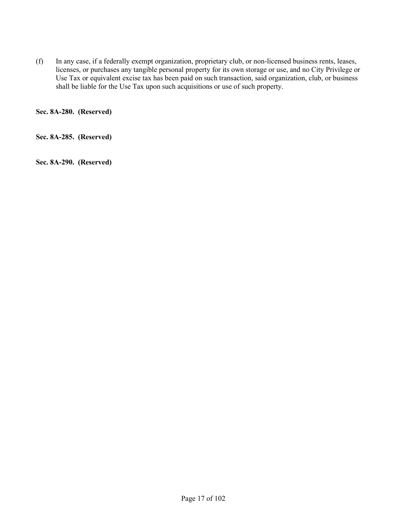(f) In any case, if a federally exempt organization, proprietary club, or non-licensed business rents, leases, licenses, or purchases any tangible personal property for its own storage or use, and no City Privilege or Use Tax or equivalent excise tax has been paid on such transaction, said organization, club, or business shall be liable for the Use Tax upon such acquisitions or use of such property.

**Sec. 8A-280. (Reserved)**

**Sec. 8A-285. (Reserved)**

**Sec. 8A-290. (Reserved)**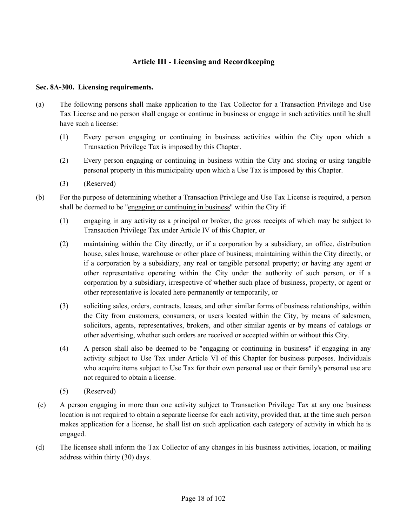#### **Article III - Licensing and Recordkeeping**

#### **Sec. 8A-300. Licensing requirements.**

- (a) The following persons shall make application to the Tax Collector for a Transaction Privilege and Use Tax License and no person shall engage or continue in business or engage in such activities until he shall have such a license:
	- (1) Every person engaging or continuing in business activities within the City upon which a Transaction Privilege Tax is imposed by this Chapter.
	- (2) Every person engaging or continuing in business within the City and storing or using tangible personal property in this municipality upon which a Use Tax is imposed by this Chapter.
	- (3) (Reserved)
- (b) For the purpose of determining whether a Transaction Privilege and Use Tax License is required, a person shall be deemed to be "engaging or continuing in business" within the City if:
	- (1) engaging in any activity as a principal or broker, the gross receipts of which may be subject to Transaction Privilege Tax under Article IV of this Chapter, or
	- (2) maintaining within the City directly, or if a corporation by a subsidiary, an office, distribution house, sales house, warehouse or other place of business; maintaining within the City directly, or if a corporation by a subsidiary, any real or tangible personal property; or having any agent or other representative operating within the City under the authority of such person, or if a corporation by a subsidiary, irrespective of whether such place of business, property, or agent or other representative is located here permanently or temporarily, or
	- (3) soliciting sales, orders, contracts, leases, and other similar forms of business relationships, within the City from customers, consumers, or users located within the City, by means of salesmen, solicitors, agents, representatives, brokers, and other similar agents or by means of catalogs or other advertising, whether such orders are received or accepted within or without this City.
	- (4) A person shall also be deemed to be "engaging or continuing in business" if engaging in any activity subject to Use Tax under Article VI of this Chapter for business purposes. Individuals who acquire items subject to Use Tax for their own personal use or their family's personal use are not required to obtain a license.
	- (5) (Reserved)
- (c) A person engaging in more than one activity subject to Transaction Privilege Tax at any one business location is not required to obtain a separate license for each activity, provided that, at the time such person makes application for a license, he shall list on such application each category of activity in which he is engaged.
- (d) The licensee shall inform the Tax Collector of any changes in his business activities, location, or mailing address within thirty (30) days.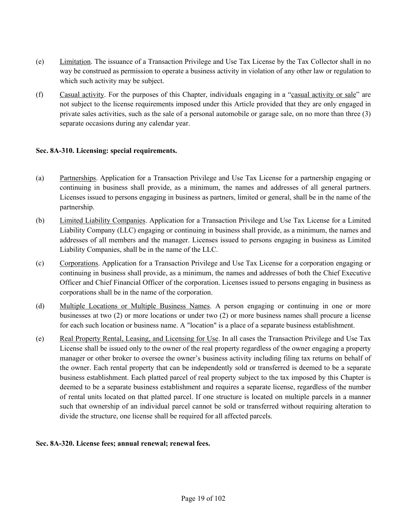- (e) Limitation. The issuance of a Transaction Privilege and Use Tax License by the Tax Collector shall in no way be construed as permission to operate a business activity in violation of any other law or regulation to which such activity may be subject.
- (f) Casual activity. For the purposes of this Chapter, individuals engaging in a "casual activity or sale" are not subject to the license requirements imposed under this Article provided that they are only engaged in private sales activities, such as the sale of a personal automobile or garage sale, on no more than three (3) separate occasions during any calendar year.

#### **Sec. 8A-310. Licensing: special requirements.**

- (a) Partnerships. Application for a Transaction Privilege and Use Tax License for a partnership engaging or continuing in business shall provide, as a minimum, the names and addresses of all general partners. Licenses issued to persons engaging in business as partners, limited or general, shall be in the name of the partnership.
- (b) Limited Liability Companies. Application for a Transaction Privilege and Use Tax License for a Limited Liability Company (LLC) engaging or continuing in business shall provide, as a minimum, the names and addresses of all members and the manager. Licenses issued to persons engaging in business as Limited Liability Companies, shall be in the name of the LLC.
- (c) Corporations. Application for a Transaction Privilege and Use Tax License for a corporation engaging or continuing in business shall provide, as a minimum, the names and addresses of both the Chief Executive Officer and Chief Financial Officer of the corporation. Licenses issued to persons engaging in business as corporations shall be in the name of the corporation.
- (d) Multiple Locations or Multiple Business Names. A person engaging or continuing in one or more businesses at two (2) or more locations or under two (2) or more business names shall procure a license for each such location or business name. A "location" is a place of a separate business establishment.
- (e) Real Property Rental, Leasing, and Licensing for Use. In all cases the Transaction Privilege and Use Tax License shall be issued only to the owner of the real property regardless of the owner engaging a property manager or other broker to oversee the owner's business activity including filing tax returns on behalf of the owner. Each rental property that can be independently sold or transferred is deemed to be a separate business establishment. Each platted parcel of real property subject to the tax imposed by this Chapter is deemed to be a separate business establishment and requires a separate license, regardless of the number of rental units located on that platted parcel. If one structure is located on multiple parcels in a manner such that ownership of an individual parcel cannot be sold or transferred without requiring alteration to divide the structure, one license shall be required for all affected parcels.

#### **Sec. 8A-320. License fees; annual renewal; renewal fees.**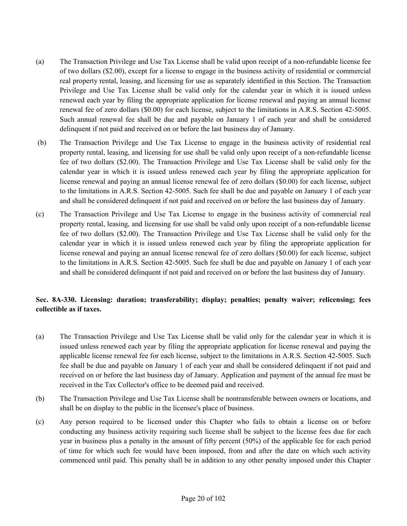- (a) The Transaction Privilege and Use Tax License shall be valid upon receipt of a non-refundable license fee of two dollars (\$2.00), except for a license to engage in the business activity of residential or commercial real property rental, leasing, and licensing for use as separately identified in this Section. The Transaction Privilege and Use Tax License shall be valid only for the calendar year in which it is issued unless renewed each year by filing the appropriate application for license renewal and paying an annual license renewal fee of zero dollars (\$0.00) for each license, subject to the limitations in A.R.S. Section 42-5005. Such annual renewal fee shall be due and payable on January 1 of each year and shall be considered delinquent if not paid and received on or before the last business day of January.
- (b) The Transaction Privilege and Use Tax License to engage in the business activity of residential real property rental, leasing, and licensing for use shall be valid only upon receipt of a non-refundable license fee of two dollars (\$2.00). The Transaction Privilege and Use Tax License shall be valid only for the calendar year in which it is issued unless renewed each year by filing the appropriate application for license renewal and paying an annual license renewal fee of zero dollars (\$0.00) for each license, subject to the limitations in A.R.S. Section 42-5005. Such fee shall be due and payable on January 1 of each year and shall be considered delinquent if not paid and received on or before the last business day of January.
- (c) The Transaction Privilege and Use Tax License to engage in the business activity of commercial real property rental, leasing, and licensing for use shall be valid only upon receipt of a non-refundable license fee of two dollars (\$2.00). The Transaction Privilege and Use Tax License shall be valid only for the calendar year in which it is issued unless renewed each year by filing the appropriate application for license renewal and paying an annual license renewal fee of zero dollars (\$0.00) for each license, subject to the limitations in A.R.S. Section 42-5005. Such fee shall be due and payable on January 1 of each year and shall be considered delinquent if not paid and received on or before the last business day of January.

#### **Sec. 8A-330. Licensing: duration; transferability; display; penalties; penalty waiver; relicensing; fees collectible as if taxes.**

- (a) The Transaction Privilege and Use Tax License shall be valid only for the calendar year in which it is issued unless renewed each year by filing the appropriate application for license renewal and paying the applicable license renewal fee for each license, subject to the limitations in A.R.S. Section 42-5005. Such fee shall be due and payable on January 1 of each year and shall be considered delinquent if not paid and received on or before the last business day of January. Application and payment of the annual fee must be received in the Tax Collector's office to be deemed paid and received.
- (b) The Transaction Privilege and Use Tax License shall be nontransferable between owners or locations, and shall be on display to the public in the licensee's place of business.
- (c) Any person required to be licensed under this Chapter who fails to obtain a license on or before conducting any business activity requiring such license shall be subject to the license fees due for each year in business plus a penalty in the amount of fifty percent (50%) of the applicable fee for each period of time for which such fee would have been imposed, from and after the date on which such activity commenced until paid. This penalty shall be in addition to any other penalty imposed under this Chapter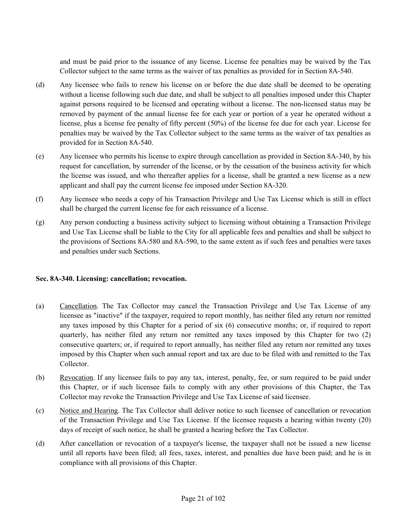and must be paid prior to the issuance of any license. License fee penalties may be waived by the Tax Collector subject to the same terms as the waiver of tax penalties as provided for in Section 8A-540.

- (d) Any licensee who fails to renew his license on or before the due date shall be deemed to be operating without a license following such due date, and shall be subject to all penalties imposed under this Chapter against persons required to be licensed and operating without a license. The non-licensed status may be removed by payment of the annual license fee for each year or portion of a year he operated without a license, plus a license fee penalty of fifty percent (50%) of the license fee due for each year. License fee penalties may be waived by the Tax Collector subject to the same terms as the waiver of tax penalties as provided for in Section 8A-540.
- (e) Any licensee who permits his license to expire through cancellation as provided in Section 8A-340, by his request for cancellation, by surrender of the license, or by the cessation of the business activity for which the license was issued, and who thereafter applies for a license, shall be granted a new license as a new applicant and shall pay the current license fee imposed under Section 8A-320.
- (f) Any licensee who needs a copy of his Transaction Privilege and Use Tax License which is still in effect shall be charged the current license fee for each reissuance of a license.
- (g) Any person conducting a business activity subject to licensing without obtaining a Transaction Privilege and Use Tax License shall be liable to the City for all applicable fees and penalties and shall be subject to the provisions of Sections 8A-580 and 8A-590, to the same extent as if such fees and penalties were taxes and penalties under such Sections.

#### **Sec. 8A-340. Licensing: cancellation; revocation.**

- (a) Cancellation. The Tax Collector may cancel the Transaction Privilege and Use Tax License of any licensee as "inactive" if the taxpayer, required to report monthly, has neither filed any return nor remitted any taxes imposed by this Chapter for a period of six (6) consecutive months; or, if required to report quarterly, has neither filed any return nor remitted any taxes imposed by this Chapter for two (2) consecutive quarters; or, if required to report annually, has neither filed any return nor remitted any taxes imposed by this Chapter when such annual report and tax are due to be filed with and remitted to the Tax Collector.
- (b) Revocation. If any licensee fails to pay any tax, interest, penalty, fee, or sum required to be paid under this Chapter, or if such licensee fails to comply with any other provisions of this Chapter, the Tax Collector may revoke the Transaction Privilege and Use Tax License of said licensee.
- (c) Notice and Hearing. The Tax Collector shall deliver notice to such licensee of cancellation or revocation of the Transaction Privilege and Use Tax License. If the licensee requests a hearing within twenty (20) days of receipt of such notice, he shall be granted a hearing before the Tax Collector.
- (d) After cancellation or revocation of a taxpayer's license, the taxpayer shall not be issued a new license until all reports have been filed; all fees, taxes, interest, and penalties due have been paid; and he is in compliance with all provisions of this Chapter.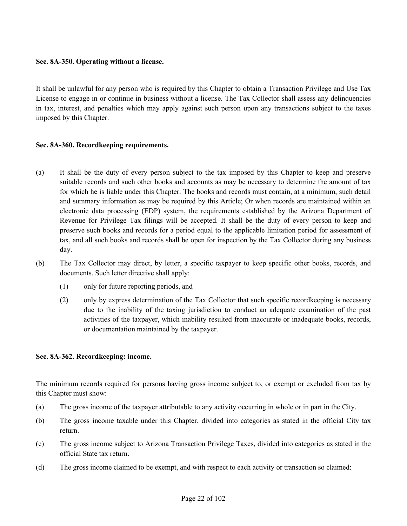#### **Sec. 8A-350. Operating without a license.**

It shall be unlawful for any person who is required by this Chapter to obtain a Transaction Privilege and Use Tax License to engage in or continue in business without a license. The Tax Collector shall assess any delinquencies in tax, interest, and penalties which may apply against such person upon any transactions subject to the taxes imposed by this Chapter.

#### **Sec. 8A-360. Recordkeeping requirements.**

- (a) It shall be the duty of every person subject to the tax imposed by this Chapter to keep and preserve suitable records and such other books and accounts as may be necessary to determine the amount of tax for which he is liable under this Chapter. The books and records must contain, at a minimum, such detail and summary information as may be required by this Article; Or when records are maintained within an electronic data processing (EDP) system, the requirements established by the Arizona Department of Revenue for Privilege Tax filings will be accepted. It shall be the duty of every person to keep and preserve such books and records for a period equal to the applicable limitation period for assessment of tax, and all such books and records shall be open for inspection by the Tax Collector during any business day.
- (b) The Tax Collector may direct, by letter, a specific taxpayer to keep specific other books, records, and documents. Such letter directive shall apply:
	- (1) only for future reporting periods, and
	- (2) only by express determination of the Tax Collector that such specific recordkeeping is necessary due to the inability of the taxing jurisdiction to conduct an adequate examination of the past activities of the taxpayer, which inability resulted from inaccurate or inadequate books, records, or documentation maintained by the taxpayer.

#### **Sec. 8A-362. Recordkeeping: income.**

The minimum records required for persons having gross income subject to, or exempt or excluded from tax by this Chapter must show:

- (a) The gross income of the taxpayer attributable to any activity occurring in whole or in part in the City.
- (b) The gross income taxable under this Chapter, divided into categories as stated in the official City tax return.
- (c) The gross income subject to Arizona Transaction Privilege Taxes, divided into categories as stated in the official State tax return.
- (d) The gross income claimed to be exempt, and with respect to each activity or transaction so claimed: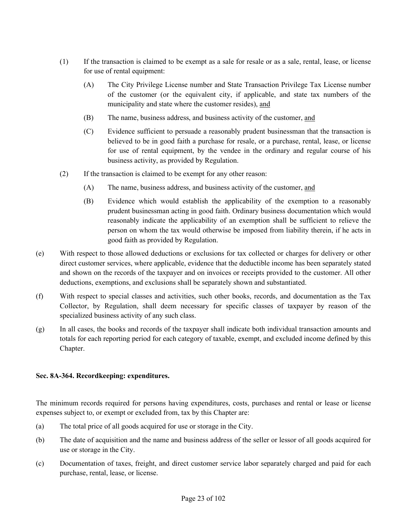- (1) If the transaction is claimed to be exempt as a sale for resale or as a sale, rental, lease, or license for use of rental equipment:
	- (A) The City Privilege License number and State Transaction Privilege Tax License number of the customer (or the equivalent city, if applicable, and state tax numbers of the municipality and state where the customer resides), and
	- (B) The name, business address, and business activity of the customer, and
	- (C) Evidence sufficient to persuade a reasonably prudent businessman that the transaction is believed to be in good faith a purchase for resale, or a purchase, rental, lease, or license for use of rental equipment, by the vendee in the ordinary and regular course of his business activity, as provided by Regulation.
- (2) If the transaction is claimed to be exempt for any other reason:
	- (A) The name, business address, and business activity of the customer, and
	- (B) Evidence which would establish the applicability of the exemption to a reasonably prudent businessman acting in good faith. Ordinary business documentation which would reasonably indicate the applicability of an exemption shall be sufficient to relieve the person on whom the tax would otherwise be imposed from liability therein, if he acts in good faith as provided by Regulation.
- (e) With respect to those allowed deductions or exclusions for tax collected or charges for delivery or other direct customer services, where applicable, evidence that the deductible income has been separately stated and shown on the records of the taxpayer and on invoices or receipts provided to the customer. All other deductions, exemptions, and exclusions shall be separately shown and substantiated.
- (f) With respect to special classes and activities, such other books, records, and documentation as the Tax Collector, by Regulation, shall deem necessary for specific classes of taxpayer by reason of the specialized business activity of any such class.
- (g) In all cases, the books and records of the taxpayer shall indicate both individual transaction amounts and totals for each reporting period for each category of taxable, exempt, and excluded income defined by this Chapter.

#### **Sec. 8A-364. Recordkeeping: expenditures.**

The minimum records required for persons having expenditures, costs, purchases and rental or lease or license expenses subject to, or exempt or excluded from, tax by this Chapter are:

- (a) The total price of all goods acquired for use or storage in the City.
- (b) The date of acquisition and the name and business address of the seller or lessor of all goods acquired for use or storage in the City.
- (c) Documentation of taxes, freight, and direct customer service labor separately charged and paid for each purchase, rental, lease, or license.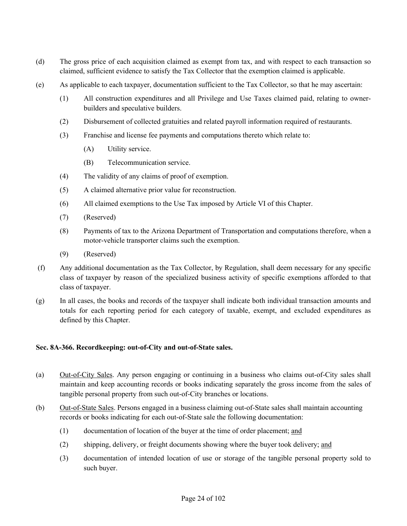- (d) The gross price of each acquisition claimed as exempt from tax, and with respect to each transaction so claimed, sufficient evidence to satisfy the Tax Collector that the exemption claimed is applicable.
- (e) As applicable to each taxpayer, documentation sufficient to the Tax Collector, so that he may ascertain:
	- (1) All construction expenditures and all Privilege and Use Taxes claimed paid, relating to ownerbuilders and speculative builders.
	- (2) Disbursement of collected gratuities and related payroll information required of restaurants.
	- (3) Franchise and license fee payments and computations thereto which relate to:
		- (A) Utility service.
		- (B) Telecommunication service.
	- (4) The validity of any claims of proof of exemption.
	- (5) A claimed alternative prior value for reconstruction.
	- (6) All claimed exemptions to the Use Tax imposed by Article VI of this Chapter.
	- (7) (Reserved)
	- (8) Payments of tax to the Arizona Department of Transportation and computations therefore, when a motor-vehicle transporter claims such the exemption.
	- (9) (Reserved)
- (f) Any additional documentation as the Tax Collector, by Regulation, shall deem necessary for any specific class of taxpayer by reason of the specialized business activity of specific exemptions afforded to that class of taxpayer.
- (g) In all cases, the books and records of the taxpayer shall indicate both individual transaction amounts and totals for each reporting period for each category of taxable, exempt, and excluded expenditures as defined by this Chapter.

#### **Sec. 8A-366. Recordkeeping: out-of-City and out-of-State sales.**

- (a) Out-of-City Sales. Any person engaging or continuing in a business who claims out-of-City sales shall maintain and keep accounting records or books indicating separately the gross income from the sales of tangible personal property from such out-of-City branches or locations.
- (b) Out-of-State Sales. Persons engaged in a business claiming out-of-State sales shall maintain accounting records or books indicating for each out-of-State sale the following documentation:
	- (1) documentation of location of the buyer at the time of order placement; and
	- (2) shipping, delivery, or freight documents showing where the buyer took delivery; and
	- (3) documentation of intended location of use or storage of the tangible personal property sold to such buyer.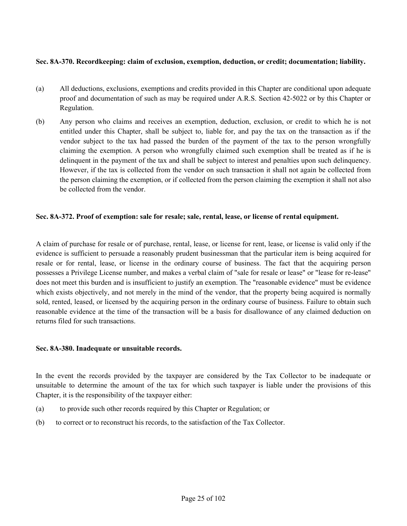#### **Sec. 8A-370. Recordkeeping: claim of exclusion, exemption, deduction, or credit; documentation; liability.**

- (a) All deductions, exclusions, exemptions and credits provided in this Chapter are conditional upon adequate proof and documentation of such as may be required under A.R.S. Section 42-5022 or by this Chapter or Regulation.
- (b) Any person who claims and receives an exemption, deduction, exclusion, or credit to which he is not entitled under this Chapter, shall be subject to, liable for, and pay the tax on the transaction as if the vendor subject to the tax had passed the burden of the payment of the tax to the person wrongfully claiming the exemption. A person who wrongfully claimed such exemption shall be treated as if he is delinquent in the payment of the tax and shall be subject to interest and penalties upon such delinquency. However, if the tax is collected from the vendor on such transaction it shall not again be collected from the person claiming the exemption, or if collected from the person claiming the exemption it shall not also be collected from the vendor.

#### **Sec. 8A-372. Proof of exemption: sale for resale; sale, rental, lease, or license of rental equipment.**

A claim of purchase for resale or of purchase, rental, lease, or license for rent, lease, or license is valid only if the evidence is sufficient to persuade a reasonably prudent businessman that the particular item is being acquired for resale or for rental, lease, or license in the ordinary course of business. The fact that the acquiring person possesses a Privilege License number, and makes a verbal claim of "sale for resale or lease" or "lease for re-lease" does not meet this burden and is insufficient to justify an exemption. The "reasonable evidence" must be evidence which exists objectively, and not merely in the mind of the vendor, that the property being acquired is normally sold, rented, leased, or licensed by the acquiring person in the ordinary course of business. Failure to obtain such reasonable evidence at the time of the transaction will be a basis for disallowance of any claimed deduction on returns filed for such transactions.

#### **Sec. 8A-380. Inadequate or unsuitable records.**

In the event the records provided by the taxpayer are considered by the Tax Collector to be inadequate or unsuitable to determine the amount of the tax for which such taxpayer is liable under the provisions of this Chapter, it is the responsibility of the taxpayer either:

- (a) to provide such other records required by this Chapter or Regulation; or
- (b) to correct or to reconstruct his records, to the satisfaction of the Tax Collector.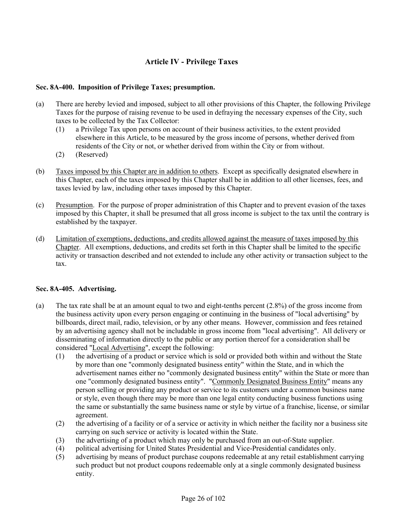# **Article IV - Privilege Taxes**

## **Sec. 8A-400. Imposition of Privilege Taxes; presumption.**

- (a) There are hereby levied and imposed, subject to all other provisions of this Chapter, the following Privilege Taxes for the purpose of raising revenue to be used in defraying the necessary expenses of the City, such taxes to be collected by the Tax Collector:
	- (1) a Privilege Tax upon persons on account of their business activities, to the extent provided elsewhere in this Article, to be measured by the gross income of persons, whether derived from residents of the City or not, or whether derived from within the City or from without.
	- (2) (Reserved)
- (b) Taxes imposed by this Chapter are in addition to others. Except as specifically designated elsewhere in this Chapter, each of the taxes imposed by this Chapter shall be in addition to all other licenses, fees, and taxes levied by law, including other taxes imposed by this Chapter.
- (c) Presumption. For the purpose of proper administration of this Chapter and to prevent evasion of the taxes imposed by this Chapter, it shall be presumed that all gross income is subject to the tax until the contrary is established by the taxpayer.
- (d) Limitation of exemptions, deductions, and credits allowed against the measure of taxes imposed by this Chapter. All exemptions, deductions, and credits set forth in this Chapter shall be limited to the specific activity or transaction described and not extended to include any other activity or transaction subject to the tax.

## **Sec. 8A-405. Advertising.**

- (a) The tax rate shall be at an amount equal to two and eight-tenths percent (2.8%) of the gross income from the business activity upon every person engaging or continuing in the business of "local advertising" by billboards, direct mail, radio, television, or by any other means. However, commission and fees retained by an advertising agency shall not be includable in gross income from "local advertising". All delivery or disseminating of information directly to the public or any portion thereof for a consideration shall be considered "Local Advertising", except the following:
	- (1) the advertising of a product or service which is sold or provided both within and without the State by more than one "commonly designated business entity" within the State, and in which the advertisement names either no "commonly designated business entity" within the State or more than one "commonly designated business entity". "Commonly Designated Business Entity" means any person selling or providing any product or service to its customers under a common business name or style, even though there may be more than one legal entity conducting business functions using the same or substantially the same business name or style by virtue of a franchise, license, or similar agreement.
	- (2) the advertising of a facility or of a service or activity in which neither the facility nor a business site carrying on such service or activity is located within the State.
	- (3) the advertising of a product which may only be purchased from an out-of-State supplier.
	- (4) political advertising for United States Presidential and Vice-Presidential candidates only.
	- (5) advertising by means of product purchase coupons redeemable at any retail establishment carrying such product but not product coupons redeemable only at a single commonly designated business entity.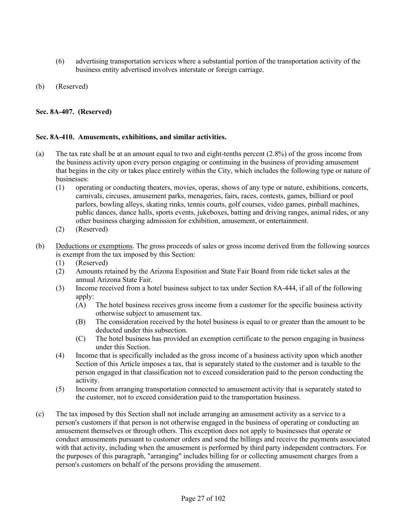- (6) advertising transportation services where a substantial portion of the transportation activity of the business entity advertised involves interstate or foreign carriage.
- (b) (Reserved)

## **Sec. 8A-407. (Reserved)**

## **Sec. 8A-410. Amusements, exhibitions, and similar activities.**

- (a) The tax rate shall be at an amount equal to two and eight-tenths percent (2.8%) of the gross income from the business activity upon every person engaging or continuing in the business of providing amusement that begins in the city or takes place entirely within the City, which includes the following type or nature of businesses:
	- (1) operating or conducting theaters, movies, operas, shows of any type or nature, exhibitions, concerts, carnivals, circuses, amusement parks, menageries, fairs, races, contests, games, billiard or pool parlors, bowling alleys, skating rinks, tennis courts, golf courses, video games, pinball machines, public dances, dance halls, sports events, jukeboxes, batting and driving ranges, animal rides, or any other business charging admission for exhibition, amusement, or entertainment.
	- (2) (Reserved)
- (b) Deductions or exemptions. The gross proceeds of sales or gross income derived from the following sources is exempt from the tax imposed by this Section:
	- (1) (Reserved)
	- (2) Amounts retained by the Arizona Exposition and State Fair Board from ride ticket sales at the annual Arizona State Fair.
	- (3) Income received from a hotel business subject to tax under Section 8A-444, if all of the following apply:
		- (A) The hotel business receives gross income from a customer for the specific business activity otherwise subject to amusement tax.
		- (B) The consideration received by the hotel business is equal to or greater than the amount to be deducted under this subsection.
		- (C) The hotel business has provided an exemption certificate to the person engaging in business under this Section.
	- (4) Income that is specifically included as the gross income of a business activity upon which another Section of this Article imposes a tax, that is separately stated to the customer and is taxable to the person engaged in that classification not to exceed consideration paid to the person conducting the activity.
	- (5) Income from arranging transportation connected to amusement activity that is separately stated to the customer, not to exceed consideration paid to the transportation business.
- (c) The tax imposed by this Section shall not include arranging an amusement activity as a service to a person's customers if that person is not otherwise engaged in the business of operating or conducting an amusement themselves or through others. This exception does not apply to businesses that operate or conduct amusements pursuant to customer orders and send the billings and receive the payments associated with that activity, including when the amusement is performed by third party independent contractors. For the purposes of this paragraph, "arranging" includes billing for or collecting amusement charges from a person's customers on behalf of the persons providing the amusement.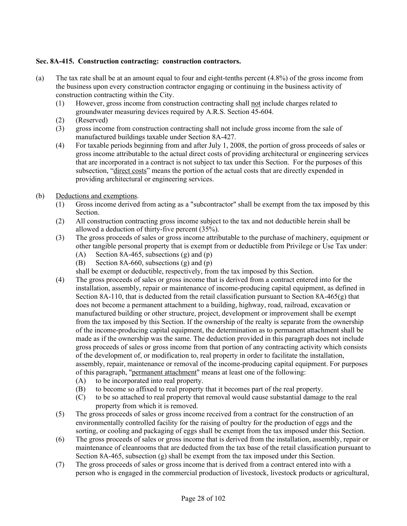## **Sec. 8A-415. Construction contracting: construction contractors.**

- (a) The tax rate shall be at an amount equal to four and eight-tenths percent (4.8%) of the gross income from the business upon every construction contractor engaging or continuing in the business activity of construction contracting within the City.
	- (1) However, gross income from construction contracting shall not include charges related to groundwater measuring devices required by A.R.S. Section 45-604.
	- (2) (Reserved)
	- (3) gross income from construction contracting shall not include gross income from the sale of manufactured buildings taxable under Section 8A-427.
	- (4) For taxable periods beginning from and after July 1, 2008, the portion of gross proceeds of sales or gross income attributable to the actual direct costs of providing architectural or engineering services that are incorporated in a contract is not subject to tax under this Section. For the purposes of this subsection, "direct costs" means the portion of the actual costs that are directly expended in providing architectural or engineering services.
- (b) Deductions and exemptions.
	- (1) Gross income derived from acting as a "subcontractor" shall be exempt from the tax imposed by this Section.
	- (2) All construction contracting gross income subject to the tax and not deductible herein shall be allowed a deduction of thirty-five percent (35%).
	- (3) The gross proceeds of sales or gross income attributable to the purchase of machinery, equipment or other tangible personal property that is exempt from or deductible from Privilege or Use Tax under:
		- (A) Section 8A-465, subsections  $(g)$  and  $(p)$
		- (B) Section 8A-660, subsections (g) and (p)
		- shall be exempt or deductible, respectively, from the tax imposed by this Section.
	- (4) The gross proceeds of sales or gross income that is derived from a contract entered into for the installation, assembly, repair or maintenance of income-producing capital equipment, as defined in Section 8A-110, that is deducted from the retail classification pursuant to Section 8A-465(g) that does not become a permanent attachment to a building, highway, road, railroad, excavation or manufactured building or other structure, project, development or improvement shall be exempt from the tax imposed by this Section. If the ownership of the realty is separate from the ownership of the income-producing capital equipment, the determination as to permanent attachment shall be made as if the ownership was the same. The deduction provided in this paragraph does not include gross proceeds of sales or gross income from that portion of any contracting activity which consists of the development of, or modification to, real property in order to facilitate the installation, assembly, repair, maintenance or removal of the income-producing capital equipment. For purposes of this paragraph, "permanent attachment" means at least one of the following:
		- (A) to be incorporated into real property.
		- (B) to become so affixed to real property that it becomes part of the real property.
		- (C) to be so attached to real property that removal would cause substantial damage to the real property from which it is removed.
	- (5) The gross proceeds of sales or gross income received from a contract for the construction of an environmentally controlled facility for the raising of poultry for the production of eggs and the sorting, or cooling and packaging of eggs shall be exempt from the tax imposed under this Section.
	- (6) The gross proceeds of sales or gross income that is derived from the installation, assembly, repair or maintenance of cleanrooms that are deducted from the tax base of the retail classification pursuant to Section 8A-465, subsection  $(g)$  shall be exempt from the tax imposed under this Section.
	- (7) The gross proceeds of sales or gross income that is derived from a contract entered into with a person who is engaged in the commercial production of livestock, livestock products or agricultural,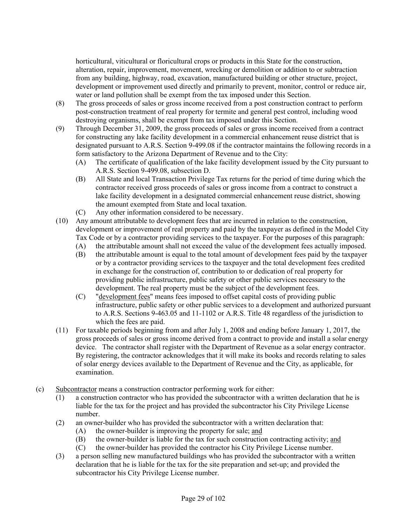horticultural, viticultural or floricultural crops or products in this State for the construction, alteration, repair, improvement, movement, wrecking or demolition or addition to or subtraction from any building, highway, road, excavation, manufactured building or other structure, project, development or improvement used directly and primarily to prevent, monitor, control or reduce air, water or land pollution shall be exempt from the tax imposed under this Section.

- (8) The gross proceeds of sales or gross income received from a post construction contract to perform post-construction treatment of real property for termite and general pest control, including wood destroying organisms, shall be exempt from tax imposed under this Section.
- (9) Through December 31, 2009, the gross proceeds of sales or gross income received from a contract for constructing any lake facility development in a commercial enhancement reuse district that is designated pursuant to A.R.S. Section 9-499.08 if the contractor maintains the following records in a form satisfactory to the Arizona Department of Revenue and to the City:
	- (A) The certificate of qualification of the lake facility development issued by the City pursuant to A.R.S. Section 9-499.08, subsection D.
	- (B) All State and local Transaction Privilege Tax returns for the period of time during which the contractor received gross proceeds of sales or gross income from a contract to construct a lake facility development in a designated commercial enhancement reuse district, showing the amount exempted from State and local taxation.
	- (C) Any other information considered to be necessary.
- (10) Any amount attributable to development fees that are incurred in relation to the construction, development or improvement of real property and paid by the taxpayer as defined in the Model City Tax Code or by a contractor providing services to the taxpayer. For the purposes of this paragraph:
	- (A) the attributable amount shall not exceed the value of the development fees actually imposed.
	- (B) the attributable amount is equal to the total amount of development fees paid by the taxpayer or by a contractor providing services to the taxpayer and the total development fees credited in exchange for the construction of, contribution to or dedication of real property for providing public infrastructure, public safety or other public services necessary to the development. The real property must be the subject of the development fees.
	- (C) "development fees" means fees imposed to offset capital costs of providing public infrastructure, public safety or other public services to a development and authorized pursuant to A.R.S. Sections 9-463.05 and 11-1102 or A.R.S. Title 48 regardless of the jurisdiction to which the fees are paid.
- (11) For taxable periods beginning from and after July 1, 2008 and ending before January 1, 2017, the gross proceeds of sales or gross income derived from a contract to provide and install a solar energy device. The contractor shall register with the Department of Revenue as a solar energy contractor. By registering, the contractor acknowledges that it will make its books and records relating to sales of solar energy devices available to the Department of Revenue and the City, as applicable, for examination.
- (c) Subcontractor means a construction contractor performing work for either:
	- (1) a construction contractor who has provided the subcontractor with a written declaration that he is liable for the tax for the project and has provided the subcontractor his City Privilege License number.
	- (2) an owner-builder who has provided the subcontractor with a written declaration that:
		- (A) the owner-builder is improving the property for sale; and
		- (B) the owner-builder is liable for the tax for such construction contracting activity; and
		- (C) the owner-builder has provided the contractor his City Privilege License number.
	- (3) a person selling new manufactured buildings who has provided the subcontractor with a written declaration that he is liable for the tax for the site preparation and set-up; and provided the subcontractor his City Privilege License number.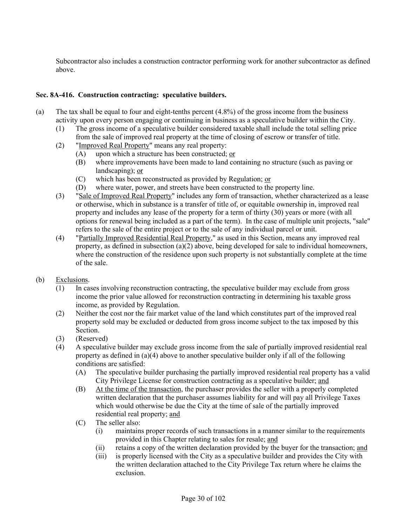Subcontractor also includes a construction contractor performing work for another subcontractor as defined above.

## **Sec. 8A-416. Construction contracting: speculative builders.**

- (a) The tax shall be equal to four and eight-tenths percent (4.8%) of the gross income from the business activity upon every person engaging or continuing in business as a speculative builder within the City.
	- (1) The gross income of a speculative builder considered taxable shall include the total selling price from the sale of improved real property at the time of closing of escrow or transfer of title.
	- (2) "Improved Real Property" means any real property:
		- (A) upon which a structure has been constructed; or
		- (B) where improvements have been made to land containing no structure (such as paving or landscaping); or
		- (C) which has been reconstructed as provided by Regulation; or
		- (D) where water, power, and streets have been constructed to the property line.
	- (3) "Sale of Improved Real Property" includes any form of transaction, whether characterized as a lease or otherwise, which in substance is a transfer of title of, or equitable ownership in, improved real property and includes any lease of the property for a term of thirty (30) years or more (with all options for renewal being included as a part of the term). In the case of multiple unit projects, "sale" refers to the sale of the entire project or to the sale of any individual parcel or unit.
	- (4) "Partially Improved Residential Real Property," as used in this Section, means any improved real property, as defined in subsection (a)(2) above, being developed for sale to individual homeowners, where the construction of the residence upon such property is not substantially complete at the time of the sale.

## (b) Exclusions.

- (1) In cases involving reconstruction contracting, the speculative builder may exclude from gross income the prior value allowed for reconstruction contracting in determining his taxable gross income, as provided by Regulation.
- (2) Neither the cost nor the fair market value of the land which constitutes part of the improved real property sold may be excluded or deducted from gross income subject to the tax imposed by this Section.
- (3) (Reserved)
- (4) A speculative builder may exclude gross income from the sale of partially improved residential real property as defined in  $(a)(4)$  above to another speculative builder only if all of the following conditions are satisfied:
	- (A) The speculative builder purchasing the partially improved residential real property has a valid City Privilege License for construction contracting as a speculative builder; and
	- (B) At the time of the transaction, the purchaser provides the seller with a properly completed written declaration that the purchaser assumes liability for and will pay all Privilege Taxes which would otherwise be due the City at the time of sale of the partially improved residential real property; and
	- (C) The seller also:
		- (i) maintains proper records of such transactions in a manner similar to the requirements provided in this Chapter relating to sales for resale; and
		- (ii) retains a copy of the written declaration provided by the buyer for the transaction; and
		- (iii) is properly licensed with the City as a speculative builder and provides the City with the written declaration attached to the City Privilege Tax return where he claims the exclusion.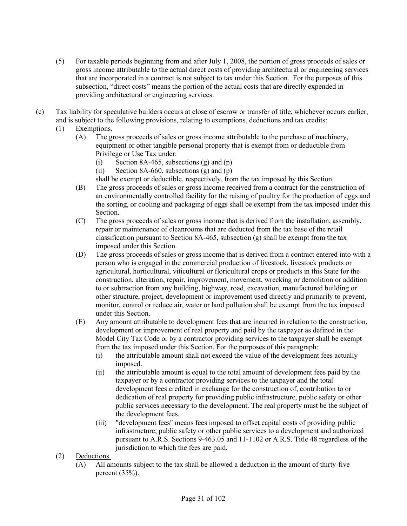- (5) For taxable periods beginning from and after July 1, 2008, the portion of gross proceeds of sales or gross income attributable to the actual direct costs of providing architectural or engineering services that are incorporated in a contract is not subject to tax under this Section. For the purposes of this subsection, "direct costs" means the portion of the actual costs that are directly expended in providing architectural or engineering services.
- (c) Tax liability for speculative builders occurs at close of escrow or transfer of title, whichever occurs earlier, and is subject to the following provisions, relating to exemptions, deductions and tax credits:
	- (1) Exemptions.
		- (A) The gross proceeds of sales or gross income attributable to the purchase of machinery, equipment or other tangible personal property that is exempt from or deductible from Privilege or Use Tax under:
			- (i) Section 8A-465, subsections  $(g)$  and  $(p)$
			- (ii) Section 8A-660, subsections  $(g)$  and  $(p)$
			- shall be exempt or deductible, respectively, from the tax imposed by this Section.
		- (B) The gross proceeds of sales or gross income received from a contract for the construction of an environmentally controlled facility for the raising of poultry for the production of eggs and the sorting, or cooling and packaging of eggs shall be exempt from the tax imposed under this Section.
		- (C) The gross proceeds of sales or gross income that is derived from the installation, assembly, repair or maintenance of cleanrooms that are deducted from the tax base of the retail classification pursuant to Section 8A-465, subsection (g) shall be exempt from the tax imposed under this Section.
		- (D) The gross proceeds of sales or gross income that is derived from a contract entered into with a person who is engaged in the commercial production of livestock, livestock products or agricultural, horticultural, viticultural or floricultural crops or products in this State for the construction, alteration, repair, improvement, movement, wrecking or demolition or addition to or subtraction from any building, highway, road, excavation, manufactured building or other structure, project, development or improvement used directly and primarily to prevent, monitor, control or reduce air, water or land pollution shall be exempt from the tax imposed under this Section.
		- (E) Any amount attributable to development fees that are incurred in relation to the construction, development or improvement of real property and paid by the taxpayer as defined in the Model City Tax Code or by a contractor providing services to the taxpayer shall be exempt from the tax imposed under this Section. For the purposes of this paragraph:
			- (i) the attributable amount shall not exceed the value of the development fees actually imposed.
			- (ii) the attributable amount is equal to the total amount of development fees paid by the taxpayer or by a contractor providing services to the taxpayer and the total development fees credited in exchange for the construction of, contribution to or dedication of real property for providing public infrastructure, public safety or other public services necessary to the development. The real property must be the subject of the development fees.
			- (iii) "development fees" means fees imposed to offset capital costs of providing public infrastructure, public safety or other public services to a development and authorized pursuant to A.R.S. Sections 9-463.05 and 11-1102 or A.R.S. Title 48 regardless of the jurisdiction to which the fees are paid.
	- (2) Deductions.
		- (A) All amounts subject to the tax shall be allowed a deduction in the amount of thirty-five percent (35%).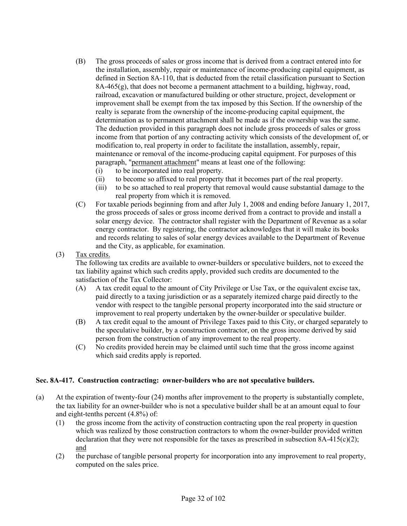- (B) The gross proceeds of sales or gross income that is derived from a contract entered into for the installation, assembly, repair or maintenance of income-producing capital equipment, as defined in Section 8A-110, that is deducted from the retail classification pursuant to Section 8A-465(g), that does not become a permanent attachment to a building, highway, road, railroad, excavation or manufactured building or other structure, project, development or improvement shall be exempt from the tax imposed by this Section. If the ownership of the realty is separate from the ownership of the income-producing capital equipment, the determination as to permanent attachment shall be made as if the ownership was the same. The deduction provided in this paragraph does not include gross proceeds of sales or gross income from that portion of any contracting activity which consists of the development of, or modification to, real property in order to facilitate the installation, assembly, repair, maintenance or removal of the income-producing capital equipment. For purposes of this paragraph, "permanent attachment" means at least one of the following:
	- (i) to be incorporated into real property.
	- (ii) to become so affixed to real property that it becomes part of the real property.
	- (iii) to be so attached to real property that removal would cause substantial damage to the real property from which it is removed.
- (C) For taxable periods beginning from and after July 1, 2008 and ending before January 1, 2017, the gross proceeds of sales or gross income derived from a contract to provide and install a solar energy device. The contractor shall register with the Department of Revenue as a solar energy contractor. By registering, the contractor acknowledges that it will make its books and records relating to sales of solar energy devices available to the Department of Revenue and the City, as applicable, for examination.
- (3) Tax credits.

The following tax credits are available to owner-builders or speculative builders, not to exceed the tax liability against which such credits apply, provided such credits are documented to the satisfaction of the Tax Collector:

- (A) A tax credit equal to the amount of City Privilege or Use Tax, or the equivalent excise tax, paid directly to a taxing jurisdiction or as a separately itemized charge paid directly to the vendor with respect to the tangible personal property incorporated into the said structure or improvement to real property undertaken by the owner-builder or speculative builder.
- (B) A tax credit equal to the amount of Privilege Taxes paid to this City, or charged separately to the speculative builder, by a construction contractor, on the gross income derived by said person from the construction of any improvement to the real property.
- (C) No credits provided herein may be claimed until such time that the gross income against which said credits apply is reported.

## **Sec. 8A-417. Construction contracting: owner-builders who are not speculative builders.**

- (a) At the expiration of twenty-four (24) months after improvement to the property is substantially complete, the tax liability for an owner-builder who is not a speculative builder shall be at an amount equal to four and eight-tenths percent (4.8%) of:
	- (1) the gross income from the activity of construction contracting upon the real property in question which was realized by those construction contractors to whom the owner-builder provided written declaration that they were not responsible for the taxes as prescribed in subsection  $8A-415(c)(2)$ ; and
	- (2) the purchase of tangible personal property for incorporation into any improvement to real property, computed on the sales price.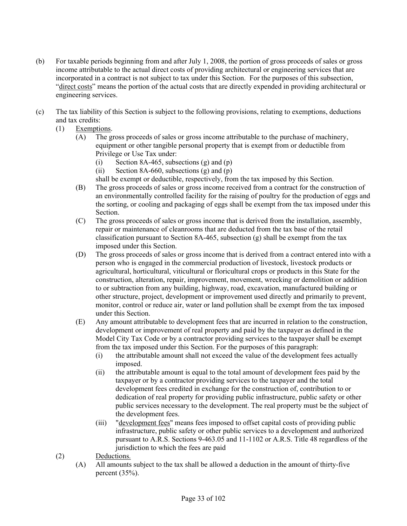- (b) For taxable periods beginning from and after July 1, 2008, the portion of gross proceeds of sales or gross income attributable to the actual direct costs of providing architectural or engineering services that are incorporated in a contract is not subject to tax under this Section. For the purposes of this subsection, "direct costs" means the portion of the actual costs that are directly expended in providing architectural or engineering services.
- (c) The tax liability of this Section is subject to the following provisions, relating to exemptions, deductions and tax credits:
	- (1) Exemptions.
		- (A) The gross proceeds of sales or gross income attributable to the purchase of machinery, equipment or other tangible personal property that is exempt from or deductible from Privilege or Use Tax under:
			- (i) Section 8A-465, subsections  $(g)$  and  $(p)$
			- (ii) Section 8A-660, subsections  $(g)$  and  $(p)$
			- shall be exempt or deductible, respectively, from the tax imposed by this Section.
		- (B) The gross proceeds of sales or gross income received from a contract for the construction of an environmentally controlled facility for the raising of poultry for the production of eggs and the sorting, or cooling and packaging of eggs shall be exempt from the tax imposed under this Section.
		- (C) The gross proceeds of sales or gross income that is derived from the installation, assembly, repair or maintenance of cleanrooms that are deducted from the tax base of the retail classification pursuant to Section 8A-465, subsection (g) shall be exempt from the tax imposed under this Section.
		- (D) The gross proceeds of sales or gross income that is derived from a contract entered into with a person who is engaged in the commercial production of livestock, livestock products or agricultural, horticultural, viticultural or floricultural crops or products in this State for the construction, alteration, repair, improvement, movement, wrecking or demolition or addition to or subtraction from any building, highway, road, excavation, manufactured building or other structure, project, development or improvement used directly and primarily to prevent, monitor, control or reduce air, water or land pollution shall be exempt from the tax imposed under this Section.
		- (E) Any amount attributable to development fees that are incurred in relation to the construction, development or improvement of real property and paid by the taxpayer as defined in the Model City Tax Code or by a contractor providing services to the taxpayer shall be exempt from the tax imposed under this Section. For the purposes of this paragraph:
			- (i) the attributable amount shall not exceed the value of the development fees actually imposed.
			- (ii) the attributable amount is equal to the total amount of development fees paid by the taxpayer or by a contractor providing services to the taxpayer and the total development fees credited in exchange for the construction of, contribution to or dedication of real property for providing public infrastructure, public safety or other public services necessary to the development. The real property must be the subject of the development fees.
			- (iii) "development fees" means fees imposed to offset capital costs of providing public infrastructure, public safety or other public services to a development and authorized pursuant to A.R.S. Sections 9-463.05 and 11-1102 or A.R.S. Title 48 regardless of the jurisdiction to which the fees are paid
	- (2) Deductions.
		- (A) All amounts subject to the tax shall be allowed a deduction in the amount of thirty-five percent (35%).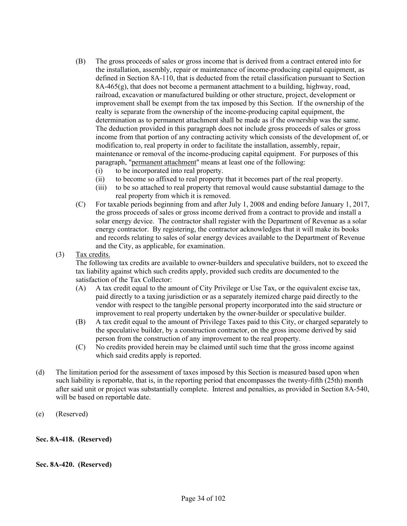- (B) The gross proceeds of sales or gross income that is derived from a contract entered into for the installation, assembly, repair or maintenance of income-producing capital equipment, as defined in Section 8A-110, that is deducted from the retail classification pursuant to Section 8A-465(g), that does not become a permanent attachment to a building, highway, road, railroad, excavation or manufactured building or other structure, project, development or improvement shall be exempt from the tax imposed by this Section. If the ownership of the realty is separate from the ownership of the income-producing capital equipment, the determination as to permanent attachment shall be made as if the ownership was the same. The deduction provided in this paragraph does not include gross proceeds of sales or gross income from that portion of any contracting activity which consists of the development of, or modification to, real property in order to facilitate the installation, assembly, repair, maintenance or removal of the income-producing capital equipment. For purposes of this paragraph, "permanent attachment" means at least one of the following:
	- (i) to be incorporated into real property.
	- (ii) to become so affixed to real property that it becomes part of the real property.
	- (iii) to be so attached to real property that removal would cause substantial damage to the real property from which it is removed.
- (C) For taxable periods beginning from and after July 1, 2008 and ending before January 1, 2017, the gross proceeds of sales or gross income derived from a contract to provide and install a solar energy device. The contractor shall register with the Department of Revenue as a solar energy contractor. By registering, the contractor acknowledges that it will make its books and records relating to sales of solar energy devices available to the Department of Revenue and the City, as applicable, for examination.
- (3) Tax credits.

The following tax credits are available to owner-builders and speculative builders, not to exceed the tax liability against which such credits apply, provided such credits are documented to the satisfaction of the Tax Collector:

- (A) A tax credit equal to the amount of City Privilege or Use Tax, or the equivalent excise tax, paid directly to a taxing jurisdiction or as a separately itemized charge paid directly to the vendor with respect to the tangible personal property incorporated into the said structure or improvement to real property undertaken by the owner-builder or speculative builder.
- (B) A tax credit equal to the amount of Privilege Taxes paid to this City, or charged separately to the speculative builder, by a construction contractor, on the gross income derived by said person from the construction of any improvement to the real property.
- (C) No credits provided herein may be claimed until such time that the gross income against which said credits apply is reported.
- (d) The limitation period for the assessment of taxes imposed by this Section is measured based upon when such liability is reportable, that is, in the reporting period that encompasses the twenty-fifth (25th) month after said unit or project was substantially complete. Interest and penalties, as provided in Section 8A-540, will be based on reportable date.
- (e) (Reserved)

## **Sec. 8A-418. (Reserved)**

## **Sec. 8A-420. (Reserved)**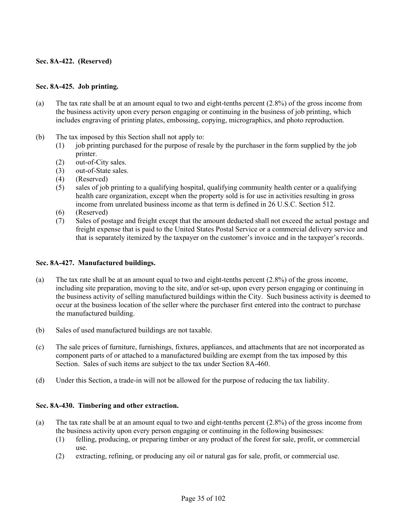## **Sec. 8A-422. (Reserved)**

#### **Sec. 8A-425. Job printing.**

- (a) The tax rate shall be at an amount equal to two and eight-tenths percent (2.8%) of the gross income from the business activity upon every person engaging or continuing in the business of job printing, which includes engraving of printing plates, embossing, copying, micrographics, and photo reproduction.
- (b) The tax imposed by this Section shall not apply to:
	- (1) job printing purchased for the purpose of resale by the purchaser in the form supplied by the job printer.
	- (2) out-of-City sales.
	- (3) out-of-State sales.
	- (4) (Reserved)
	- (5) sales of job printing to a qualifying hospital, qualifying community health center or a qualifying health care organization, except when the property sold is for use in activities resulting in gross income from unrelated business income as that term is defined in 26 U.S.C. Section 512.
	- (6) (Reserved)
	- (7) Sales of postage and freight except that the amount deducted shall not exceed the actual postage and freight expense that is paid to the United States Postal Service or a commercial delivery service and that is separately itemized by the taxpayer on the customer's invoice and in the taxpayer's records.

#### **Sec. 8A-427. Manufactured buildings.**

- (a) The tax rate shall be at an amount equal to two and eight-tenths percent (2.8%) of the gross income, including site preparation, moving to the site, and/or set-up, upon every person engaging or continuing in the business activity of selling manufactured buildings within the City. Such business activity is deemed to occur at the business location of the seller where the purchaser first entered into the contract to purchase the manufactured building.
- (b) Sales of used manufactured buildings are not taxable.
- (c) The sale prices of furniture, furnishings, fixtures, appliances, and attachments that are not incorporated as component parts of or attached to a manufactured building are exempt from the tax imposed by this Section. Sales of such items are subject to the tax under Section 8A-460.
- (d) Under this Section, a trade-in will not be allowed for the purpose of reducing the tax liability.

## **Sec. 8A-430. Timbering and other extraction.**

- (a) The tax rate shall be at an amount equal to two and eight-tenths percent (2.8%) of the gross income from the business activity upon every person engaging or continuing in the following businesses:
	- (1) felling, producing, or preparing timber or any product of the forest for sale, profit, or commercial use.
	- (2) extracting, refining, or producing any oil or natural gas for sale, profit, or commercial use.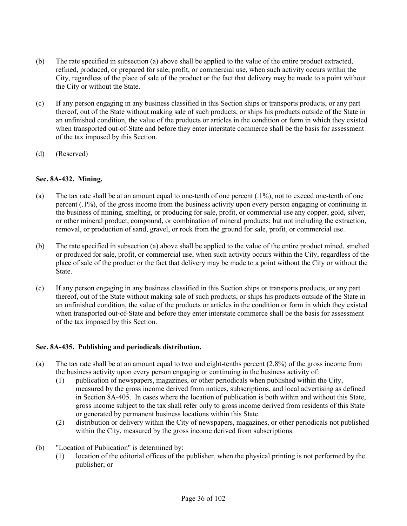- (b) The rate specified in subsection (a) above shall be applied to the value of the entire product extracted, refined, produced, or prepared for sale, profit, or commercial use, when such activity occurs within the City, regardless of the place of sale of the product or the fact that delivery may be made to a point without the City or without the State.
- (c) If any person engaging in any business classified in this Section ships or transports products, or any part thereof, out of the State without making sale of such products, or ships his products outside of the State in an unfinished condition, the value of the products or articles in the condition or form in which they existed when transported out-of-State and before they enter interstate commerce shall be the basis for assessment of the tax imposed by this Section.
- (d) (Reserved)

## **Sec. 8A-432. Mining.**

- (a) The tax rate shall be at an amount equal to one-tenth of one percent (.1%), not to exceed one-tenth of one percent (.1%), of the gross income from the business activity upon every person engaging or continuing in the business of mining, smelting, or producing for sale, profit, or commercial use any copper, gold, silver, or other mineral product, compound, or combination of mineral products; but not including the extraction, removal, or production of sand, gravel, or rock from the ground for sale, profit, or commercial use.
- (b) The rate specified in subsection (a) above shall be applied to the value of the entire product mined, smelted or produced for sale, profit, or commercial use, when such activity occurs within the City, regardless of the place of sale of the product or the fact that delivery may be made to a point without the City or without the State.
- (c) If any person engaging in any business classified in this Section ships or transports products, or any part thereof, out of the State without making sale of such products, or ships his products outside of the State in an unfinished condition, the value of the products or articles in the condition or form in which they existed when transported out-of-State and before they enter interstate commerce shall be the basis for assessment of the tax imposed by this Section.

## **Sec. 8A-435. Publishing and periodicals distribution.**

- (a) The tax rate shall be at an amount equal to two and eight-tenths percent (2.8%) of the gross income from the business activity upon every person engaging or continuing in the business activity of:
	- (1) publication of newspapers, magazines, or other periodicals when published within the City, measured by the gross income derived from notices, subscriptions, and local advertising as defined in Section 8A-405. In cases where the location of publication is both within and without this State, gross income subject to the tax shall refer only to gross income derived from residents of this State or generated by permanent business locations within this State.
	- (2) distribution or delivery within the City of newspapers, magazines, or other periodicals not published within the City, measured by the gross income derived from subscriptions.
- (b) "Location of Publication" is determined by:
	- (1) location of the editorial offices of the publisher, when the physical printing is not performed by the publisher; or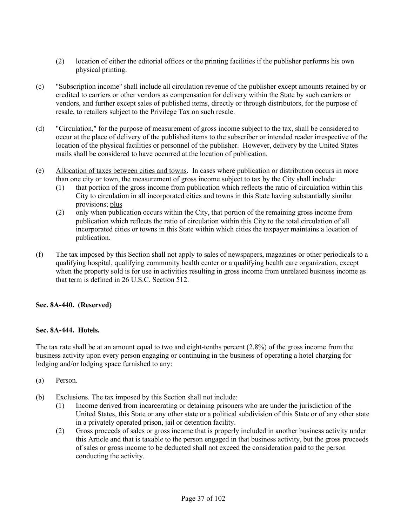- (2) location of either the editorial offices or the printing facilities if the publisher performs his own physical printing.
- (c) "Subscription income" shall include all circulation revenue of the publisher except amounts retained by or credited to carriers or other vendors as compensation for delivery within the State by such carriers or vendors, and further except sales of published items, directly or through distributors, for the purpose of resale, to retailers subject to the Privilege Tax on such resale.
- (d) "Circulation," for the purpose of measurement of gross income subject to the tax, shall be considered to occur at the place of delivery of the published items to the subscriber or intended reader irrespective of the location of the physical facilities or personnel of the publisher. However, delivery by the United States mails shall be considered to have occurred at the location of publication.
- (e) Allocation of taxes between cities and towns. In cases where publication or distribution occurs in more than one city or town, the measurement of gross income subject to tax by the City shall include:
	- (1) that portion of the gross income from publication which reflects the ratio of circulation within this City to circulation in all incorporated cities and towns in this State having substantially similar provisions; plus
	- (2) only when publication occurs within the City, that portion of the remaining gross income from publication which reflects the ratio of circulation within this City to the total circulation of all incorporated cities or towns in this State within which cities the taxpayer maintains a location of publication.
- (f) The tax imposed by this Section shall not apply to sales of newspapers, magazines or other periodicals to a qualifying hospital, qualifying community health center or a qualifying health care organization, except when the property sold is for use in activities resulting in gross income from unrelated business income as that term is defined in 26 U.S.C. Section 512.

## **Sec. 8A-440. (Reserved)**

## **Sec. 8A-444. Hotels.**

The tax rate shall be at an amount equal to two and eight-tenths percent (2.8%) of the gross income from the business activity upon every person engaging or continuing in the business of operating a hotel charging for lodging and/or lodging space furnished to any:

- (a) Person.
- (b) Exclusions. The tax imposed by this Section shall not include:
	- (1) Income derived from incarcerating or detaining prisoners who are under the jurisdiction of the United States, this State or any other state or a political subdivision of this State or of any other state in a privately operated prison, jail or detention facility.
	- (2) Gross proceeds of sales or gross income that is properly included in another business activity under this Article and that is taxable to the person engaged in that business activity, but the gross proceeds of sales or gross income to be deducted shall not exceed the consideration paid to the person conducting the activity.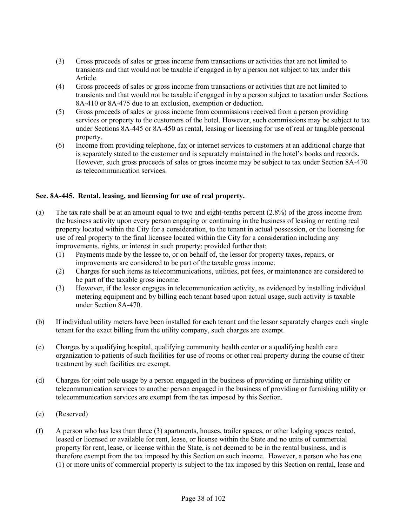- (3) Gross proceeds of sales or gross income from transactions or activities that are not limited to transients and that would not be taxable if engaged in by a person not subject to tax under this Article.
- (4) Gross proceeds of sales or gross income from transactions or activities that are not limited to transients and that would not be taxable if engaged in by a person subject to taxation under Sections 8A-410 or 8A-475 due to an exclusion, exemption or deduction.
- (5) Gross proceeds of sales or gross income from commissions received from a person providing services or property to the customers of the hotel. However, such commissions may be subject to tax under Sections 8A-445 or 8A-450 as rental, leasing or licensing for use of real or tangible personal property.
- (6) Income from providing telephone, fax or internet services to customers at an additional charge that is separately stated to the customer and is separately maintained in the hotel's books and records. However, such gross proceeds of sales or gross income may be subject to tax under Section 8A-470 as telecommunication services.

## **Sec. 8A-445. Rental, leasing, and licensing for use of real property.**

- (a) The tax rate shall be at an amount equal to two and eight-tenths percent (2.8%) of the gross income from the business activity upon every person engaging or continuing in the business of leasing or renting real property located within the City for a consideration, to the tenant in actual possession, or the licensing for use of real property to the final licensee located within the City for a consideration including any improvements, rights, or interest in such property; provided further that:
	- (1) Payments made by the lessee to, or on behalf of, the lessor for property taxes, repairs, or improvements are considered to be part of the taxable gross income.
	- (2) Charges for such items as telecommunications, utilities, pet fees, or maintenance are considered to be part of the taxable gross income.
	- (3) However, if the lessor engages in telecommunication activity, as evidenced by installing individual metering equipment and by billing each tenant based upon actual usage, such activity is taxable under Section 8A-470.
- (b) If individual utility meters have been installed for each tenant and the lessor separately charges each single tenant for the exact billing from the utility company, such charges are exempt.
- (c) Charges by a qualifying hospital, qualifying community health center or a qualifying health care organization to patients of such facilities for use of rooms or other real property during the course of their treatment by such facilities are exempt.
- (d) Charges for joint pole usage by a person engaged in the business of providing or furnishing utility or telecommunication services to another person engaged in the business of providing or furnishing utility or telecommunication services are exempt from the tax imposed by this Section.
- (e) (Reserved)
- (f) A person who has less than three (3) apartments, houses, trailer spaces, or other lodging spaces rented, leased or licensed or available for rent, lease, or license within the State and no units of commercial property for rent, lease, or license within the State, is not deemed to be in the rental business, and is therefore exempt from the tax imposed by this Section on such income. However, a person who has one (1) or more units of commercial property is subject to the tax imposed by this Section on rental, lease and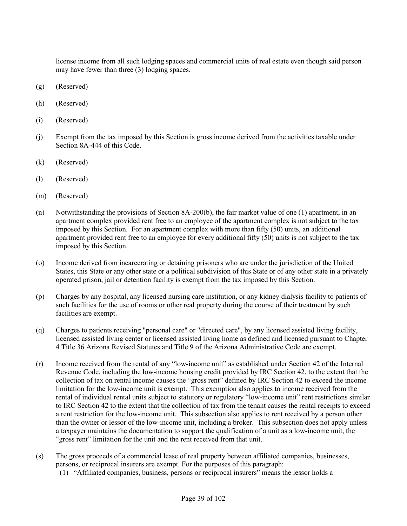license income from all such lodging spaces and commercial units of real estate even though said person may have fewer than three (3) lodging spaces.

- (g) (Reserved)
- (h) (Reserved)
- (i) (Reserved)
- (j) Exempt from the tax imposed by this Section is gross income derived from the activities taxable under Section 8A-444 of this Code.
- (k) (Reserved)
- (l) (Reserved)
- (m) (Reserved)
- (n) Notwithstanding the provisions of Section 8A-200(b), the fair market value of one (1) apartment, in an apartment complex provided rent free to an employee of the apartment complex is not subject to the tax imposed by this Section. For an apartment complex with more than fifty (50) units, an additional apartment provided rent free to an employee for every additional fifty (50) units is not subject to the tax imposed by this Section.
- (o) Income derived from incarcerating or detaining prisoners who are under the jurisdiction of the United States, this State or any other state or a political subdivision of this State or of any other state in a privately operated prison, jail or detention facility is exempt from the tax imposed by this Section.
- (p) Charges by any hospital, any licensed nursing care institution, or any kidney dialysis facility to patients of such facilities for the use of rooms or other real property during the course of their treatment by such facilities are exempt.
- (q) Charges to patients receiving "personal care" or "directed care", by any licensed assisted living facility, licensed assisted living center or licensed assisted living home as defined and licensed pursuant to Chapter 4 Title 36 Arizona Revised Statutes and Title 9 of the Arizona Administrative Code are exempt.
- (r) Income received from the rental of any "low-income unit" as established under Section 42 of the Internal Revenue Code, including the low-income housing credit provided by IRC Section 42, to the extent that the collection of tax on rental income causes the "gross rent" defined by IRC Section 42 to exceed the income limitation for the low-income unit is exempt. This exemption also applies to income received from the rental of individual rental units subject to statutory or regulatory "low-income unit" rent restrictions similar to IRC Section 42 to the extent that the collection of tax from the tenant causes the rental receipts to exceed a rent restriction for the low-income unit. This subsection also applies to rent received by a person other than the owner or lessor of the low-income unit, including a broker. This subsection does not apply unless a taxpayer maintains the documentation to support the qualification of a unit as a low-income unit, the "gross rent" limitation for the unit and the rent received from that unit.
- (s) The gross proceeds of a commercial lease of real property between affiliated companies, businesses, persons, or reciprocal insurers are exempt. For the purposes of this paragraph:
	- (1) "Affiliated companies, business, persons or reciprocal insurers" means the lessor holds a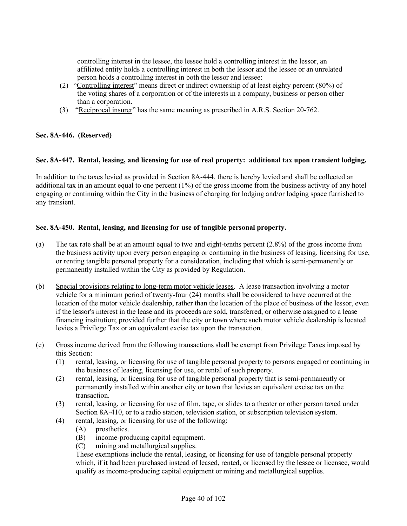controlling interest in the lessee, the lessee hold a controlling interest in the lessor, an affiliated entity holds a controlling interest in both the lessor and the lessee or an unrelated person holds a controlling interest in both the lessor and lessee:

- (2) "Controlling interest" means direct or indirect ownership of at least eighty percent (80%) of the voting shares of a corporation or of the interests in a company, business or person other than a corporation.
- (3) "Reciprocal insurer" has the same meaning as prescribed in A.R.S. Section 20-762.

## **Sec. 8A-446. (Reserved)**

## **Sec. 8A-447. Rental, leasing, and licensing for use of real property: additional tax upon transient lodging.**

In addition to the taxes levied as provided in Section 8A-444, there is hereby levied and shall be collected an additional tax in an amount equal to one percent  $(1\%)$  of the gross income from the business activity of any hotel engaging or continuing within the City in the business of charging for lodging and/or lodging space furnished to any transient.

## **Sec. 8A-450. Rental, leasing, and licensing for use of tangible personal property.**

- (a) The tax rate shall be at an amount equal to two and eight-tenths percent (2.8%) of the gross income from the business activity upon every person engaging or continuing in the business of leasing, licensing for use, or renting tangible personal property for a consideration, including that which is semi-permanently or permanently installed within the City as provided by Regulation.
- (b) Special provisions relating to long-term motor vehicle leases. A lease transaction involving a motor vehicle for a minimum period of twenty-four (24) months shall be considered to have occurred at the location of the motor vehicle dealership, rather than the location of the place of business of the lessor, even if the lessor's interest in the lease and its proceeds are sold, transferred, or otherwise assigned to a lease financing institution; provided further that the city or town where such motor vehicle dealership is located levies a Privilege Tax or an equivalent excise tax upon the transaction.
- (c) Gross income derived from the following transactions shall be exempt from Privilege Taxes imposed by this Section:
	- (1) rental, leasing, or licensing for use of tangible personal property to persons engaged or continuing in the business of leasing, licensing for use, or rental of such property.
	- (2) rental, leasing, or licensing for use of tangible personal property that is semi-permanently or permanently installed within another city or town that levies an equivalent excise tax on the transaction.
	- (3) rental, leasing, or licensing for use of film, tape, or slides to a theater or other person taxed under Section 8A-410, or to a radio station, television station, or subscription television system.
	- (4) rental, leasing, or licensing for use of the following:
		- (A) prosthetics.
		- (B) income-producing capital equipment.
		- (C) mining and metallurgical supplies.

These exemptions include the rental, leasing, or licensing for use of tangible personal property which, if it had been purchased instead of leased, rented, or licensed by the lessee or licensee, would qualify as income-producing capital equipment or mining and metallurgical supplies.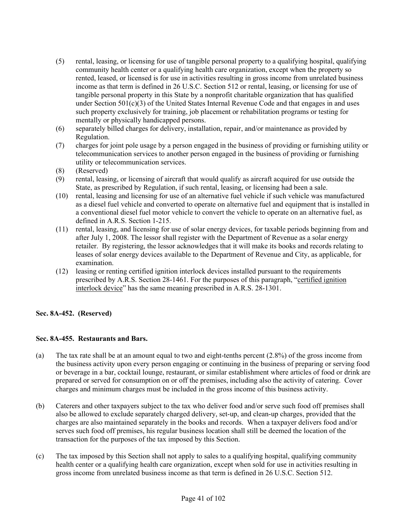- (5) rental, leasing, or licensing for use of tangible personal property to a qualifying hospital, qualifying community health center or a qualifying health care organization, except when the property so rented, leased, or licensed is for use in activities resulting in gross income from unrelated business income as that term is defined in 26 U.S.C. Section 512 or rental, leasing, or licensing for use of tangible personal property in this State by a nonprofit charitable organization that has qualified under Section  $501(c)(3)$  of the United States Internal Revenue Code and that engages in and uses such property exclusively for training, job placement or rehabilitation programs or testing for mentally or physically handicapped persons.
- (6) separately billed charges for delivery, installation, repair, and/or maintenance as provided by Regulation.
- (7) charges for joint pole usage by a person engaged in the business of providing or furnishing utility or telecommunication services to another person engaged in the business of providing or furnishing utility or telecommunication services.
- (8) (Reserved)
- (9) rental, leasing, or licensing of aircraft that would qualify as aircraft acquired for use outside the State, as prescribed by Regulation, if such rental, leasing, or licensing had been a sale.
- (10) rental, leasing and licensing for use of an alternative fuel vehicle if such vehicle was manufactured as a diesel fuel vehicle and converted to operate on alternative fuel and equipment that is installed in a conventional diesel fuel motor vehicle to convert the vehicle to operate on an alternative fuel, as defined in A.R.S. Section 1-215.
- (11) rental, leasing, and licensing for use of solar energy devices, for taxable periods beginning from and after July 1, 2008. The lessor shall register with the Department of Revenue as a solar energy retailer. By registering, the lessor acknowledges that it will make its books and records relating to leases of solar energy devices available to the Department of Revenue and City, as applicable, for examination.
- (12) leasing or renting certified ignition interlock devices installed pursuant to the requirements prescribed by A.R.S. Section 28-1461. For the purposes of this paragraph, "certified ignition interlock device" has the same meaning prescribed in A.R.S. 28-1301.

## **Sec. 8A-452. (Reserved)**

## **Sec. 8A-455. Restaurants and Bars.**

- (a) The tax rate shall be at an amount equal to two and eight-tenths percent (2.8%) of the gross income from the business activity upon every person engaging or continuing in the business of preparing or serving food or beverage in a bar, cocktail lounge, restaurant, or similar establishment where articles of food or drink are prepared or served for consumption on or off the premises, including also the activity of catering. Cover charges and minimum charges must be included in the gross income of this business activity.
- (b) Caterers and other taxpayers subject to the tax who deliver food and/or serve such food off premises shall also be allowed to exclude separately charged delivery, set-up, and clean-up charges, provided that the charges are also maintained separately in the books and records. When a taxpayer delivers food and/or serves such food off premises, his regular business location shall still be deemed the location of the transaction for the purposes of the tax imposed by this Section.
- (c) The tax imposed by this Section shall not apply to sales to a qualifying hospital, qualifying community health center or a qualifying health care organization, except when sold for use in activities resulting in gross income from unrelated business income as that term is defined in 26 U.S.C. Section 512.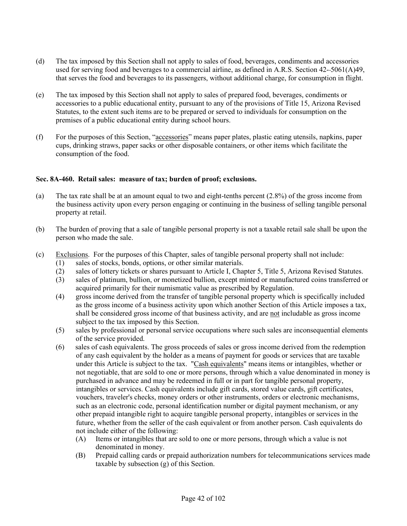- (d) The tax imposed by this Section shall not apply to sales of food, beverages, condiments and accessories used for serving food and beverages to a commercial airline, as defined in A.R.S. Section 42- 5061(A)49, that serves the food and beverages to its passengers, without additional charge, for consumption in flight.
- (e) The tax imposed by this Section shall not apply to sales of prepared food, beverages, condiments or accessories to a public educational entity, pursuant to any of the provisions of Title 15, Arizona Revised Statutes, to the extent such items are to be prepared or served to individuals for consumption on the premises of a public educational entity during school hours.
- (f) For the purposes of this Section, "accessories" means paper plates, plastic eating utensils, napkins, paper cups, drinking straws, paper sacks or other disposable containers, or other items which facilitate the consumption of the food.

## **Sec. 8A-460. Retail sales: measure of tax; burden of proof; exclusions.**

- (a) The tax rate shall be at an amount equal to two and eight-tenths percent (2.8%) of the gross income from the business activity upon every person engaging or continuing in the business of selling tangible personal property at retail.
- (b) The burden of proving that a sale of tangible personal property is not a taxable retail sale shall be upon the person who made the sale.
- (c) Exclusions. For the purposes of this Chapter, sales of tangible personal property shall not include:
	- (1) sales of stocks, bonds, options, or other similar materials.
	- (2) sales of lottery tickets or shares pursuant to Article I, Chapter 5, Title 5, Arizona Revised Statutes.
	- (3) sales of platinum, bullion, or monetized bullion, except minted or manufactured coins transferred or acquired primarily for their numismatic value as prescribed by Regulation.
	- (4) gross income derived from the transfer of tangible personal property which is specifically included as the gross income of a business activity upon which another Section of this Article imposes a tax, shall be considered gross income of that business activity, and are not includable as gross income subject to the tax imposed by this Section.
	- (5) sales by professional or personal service occupations where such sales are inconsequential elements of the service provided.
	- (6) sales of cash equivalents. The gross proceeds of sales or gross income derived from the redemption of any cash equivalent by the holder as a means of payment for goods or services that are taxable under this Article is subject to the tax. "Cash equivalents" means items or intangibles, whether or not negotiable, that are sold to one or more persons, through which a value denominated in money is purchased in advance and may be redeemed in full or in part for tangible personal property, intangibles or services. Cash equivalents include gift cards, stored value cards, gift certificates, vouchers, traveler's checks, money orders or other instruments, orders or electronic mechanisms, such as an electronic code, personal identification number or digital payment mechanism, or any other prepaid intangible right to acquire tangible personal property, intangibles or services in the future, whether from the seller of the cash equivalent or from another person. Cash equivalents do not include either of the following:
		- (A) Items or intangibles that are sold to one or more persons, through which a value is not denominated in money.
		- (B) Prepaid calling cards or prepaid authorization numbers for telecommunications services made taxable by subsection (g) of this Section.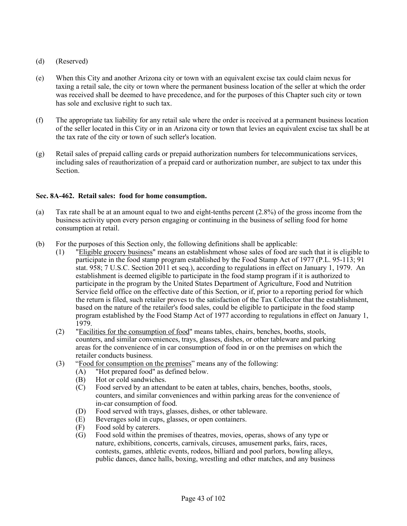- (d) (Reserved)
- (e) When this City and another Arizona city or town with an equivalent excise tax could claim nexus for taxing a retail sale, the city or town where the permanent business location of the seller at which the order was received shall be deemed to have precedence, and for the purposes of this Chapter such city or town has sole and exclusive right to such tax.
- (f) The appropriate tax liability for any retail sale where the order is received at a permanent business location of the seller located in this City or in an Arizona city or town that levies an equivalent excise tax shall be at the tax rate of the city or town of such seller's location.
- (g) Retail sales of prepaid calling cards or prepaid authorization numbers for telecommunications services, including sales of reauthorization of a prepaid card or authorization number, are subject to tax under this Section.

## **Sec. 8A-462. Retail sales: food for home consumption.**

- (a) Tax rate shall be at an amount equal to two and eight-tenths percent (2.8%) of the gross income from the business activity upon every person engaging or continuing in the business of selling food for home consumption at retail.
- (b) For the purposes of this Section only, the following definitions shall be applicable:
	- (1) "Eligible grocery business" means an establishment whose sales of food are such that it is eligible to participate in the food stamp program established by the Food Stamp Act of 1977 (P.L. 95-113; 91 stat. 958; 7 U.S.C. Section 2011 et seq.), according to regulations in effect on January 1, 1979. An establishment is deemed eligible to participate in the food stamp program if it is authorized to participate in the program by the United States Department of Agriculture, Food and Nutrition Service field office on the effective date of this Section, or if, prior to a reporting period for which the return is filed, such retailer proves to the satisfaction of the Tax Collector that the establishment, based on the nature of the retailer's food sales, could be eligible to participate in the food stamp program established by the Food Stamp Act of 1977 according to regulations in effect on January 1, 1979.
	- (2) "Facilities for the consumption of food" means tables, chairs, benches, booths, stools, counters, and similar conveniences, trays, glasses, dishes, or other tableware and parking areas for the convenience of in car consumption of food in or on the premises on which the retailer conducts business.
	- (3) "Food for consumption on the premises" means any of the following:
		- (A) "Hot prepared food" as defined below.
		- (B) Hot or cold sandwiches.
		- (C) Food served by an attendant to be eaten at tables, chairs, benches, booths, stools, counters, and similar conveniences and within parking areas for the convenience of in-car consumption of food.
		- (D) Food served with trays, glasses, dishes, or other tableware.
		- (E) Beverages sold in cups, glasses, or open containers.
		- (F) Food sold by caterers.
		- (G) Food sold within the premises of theatres, movies, operas, shows of any type or nature, exhibitions, concerts, carnivals, circuses, amusement parks, fairs, races, contests, games, athletic events, rodeos, billiard and pool parlors, bowling alleys, public dances, dance halls, boxing, wrestling and other matches, and any business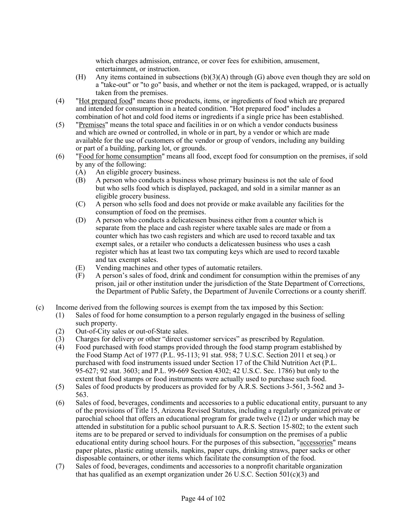which charges admission, entrance, or cover fees for exhibition, amusement, entertainment, or instruction.

- (H) Any items contained in subsections  $(b)(3)(A)$  through (G) above even though they are sold on a "take-out" or "to go" basis, and whether or not the item is packaged, wrapped, or is actually taken from the premises.
- (4) "Hot prepared food" means those products, items, or ingredients of food which are prepared and intended for consumption in a heated condition. "Hot prepared food" includes a combination of hot and cold food items or ingredients if a single price has been established.
- (5) "Premises" means the total space and facilities in or on which a vendor conducts business and which are owned or controlled, in whole or in part, by a vendor or which are made available for the use of customers of the vendor or group of vendors, including any building or part of a building, parking lot, or grounds.
- (6) "Food for home consumption" means all food, except food for consumption on the premises, if sold by any of the following:
	- (A) An eligible grocery business.
	- (B) A person who conducts a business whose primary business is not the sale of food but who sells food which is displayed, packaged, and sold in a similar manner as an eligible grocery business.
	- (C) A person who sells food and does not provide or make available any facilities for the consumption of food on the premises.
	- (D) A person who conducts a delicatessen business either from a counter which is separate from the place and cash register where taxable sales are made or from a counter which has two cash registers and which are used to record taxable and tax exempt sales, or a retailer who conducts a delicatessen business who uses a cash register which has at least two tax computing keys which are used to record taxable and tax exempt sales.
	- (E) Vending machines and other types of automatic retailers.
	- (F) A person's sales of food, drink and condiment for consumption within the premises of any prison, jail or other institution under the jurisdiction of the State Department of Corrections, the Department of Public Safety, the Department of Juvenile Corrections or a county sheriff.
- (c) Income derived from the following sources is exempt from the tax imposed by this Section:
	- (1) Sales of food for home consumption to a person regularly engaged in the business of selling such property.
	- (2) Out-of-City sales or out-of-State sales.
	- (3) Charges for delivery or other "direct customer services" as prescribed by Regulation.
	- (4) Food purchased with food stamps provided through the food stamp program established by the Food Stamp Act of 1977 (P.L. 95-113; 91 stat. 958; 7 U.S.C. Section 2011 et seq.) or purchased with food instruments issued under Section 17 of the Child Nutrition Act (P.L. 95-627; 92 stat. 3603; and P.L. 99-669 Section 4302; 42 U.S.C. Sec. 1786) but only to the extent that food stamps or food instruments were actually used to purchase such food.
	- (5) Sales of food products by producers as provided for by A.R.S. Sections 3-561, 3-562 and 3- 563.
	- (6) Sales of food, beverages, condiments and accessories to a public educational entity, pursuant to any of the provisions of Title 15, Arizona Revised Statutes, including a regularly organized private or parochial school that offers an educational program for grade twelve (12) or under which may be attended in substitution for a public school pursuant to A.R.S. Section 15-802; to the extent such items are to be prepared or served to individuals for consumption on the premises of a public educational entity during school hours. For the purposes of this subsection, "accessories" means paper plates, plastic eating utensils, napkins, paper cups, drinking straws, paper sacks or other disposable containers, or other items which facilitate the consumption of the food.
	- (7) Sales of food, beverages, condiments and accessories to a nonprofit charitable organization that has qualified as an exempt organization under 26 U.S.C. Section  $501(c)(3)$  and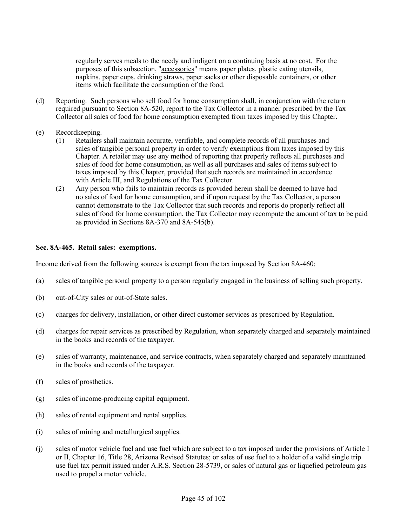regularly serves meals to the needy and indigent on a continuing basis at no cost. For the purposes of this subsection, "accessories" means paper plates, plastic eating utensils, napkins, paper cups, drinking straws, paper sacks or other disposable containers, or other items which facilitate the consumption of the food.

- (d) Reporting. Such persons who sell food for home consumption shall, in conjunction with the return required pursuant to Section 8A-520, report to the Tax Collector in a manner prescribed by the Tax Collector all sales of food for home consumption exempted from taxes imposed by this Chapter.
- (e) Recordkeeping.
	- (1) Retailers shall maintain accurate, verifiable, and complete records of all purchases and sales of tangible personal property in order to verify exemptions from taxes imposed by this Chapter. A retailer may use any method of reporting that properly reflects all purchases and sales of food for home consumption, as well as all purchases and sales of items subject to taxes imposed by this Chapter, provided that such records are maintained in accordance with Article III, and Regulations of the Tax Collector.
	- (2) Any person who fails to maintain records as provided herein shall be deemed to have had no sales of food for home consumption, and if upon request by the Tax Collector, a person cannot demonstrate to the Tax Collector that such records and reports do properly reflect all sales of food for home consumption, the Tax Collector may recompute the amount of tax to be paid as provided in Sections 8A-370 and 8A-545(b).

## **Sec. 8A-465. Retail sales: exemptions.**

Income derived from the following sources is exempt from the tax imposed by Section 8A-460:

- (a) sales of tangible personal property to a person regularly engaged in the business of selling such property.
- (b) out-of-City sales or out-of-State sales.
- (c) charges for delivery, installation, or other direct customer services as prescribed by Regulation.
- (d) charges for repair services as prescribed by Regulation, when separately charged and separately maintained in the books and records of the taxpayer.
- (e) sales of warranty, maintenance, and service contracts, when separately charged and separately maintained in the books and records of the taxpayer.
- (f) sales of prosthetics.
- (g) sales of income-producing capital equipment.
- (h) sales of rental equipment and rental supplies.
- (i) sales of mining and metallurgical supplies.
- (j) sales of motor vehicle fuel and use fuel which are subject to a tax imposed under the provisions of Article I or II, Chapter 16, Title 28, Arizona Revised Statutes; or sales of use fuel to a holder of a valid single trip use fuel tax permit issued under A.R.S. Section 28-5739, or sales of natural gas or liquefied petroleum gas used to propel a motor vehicle.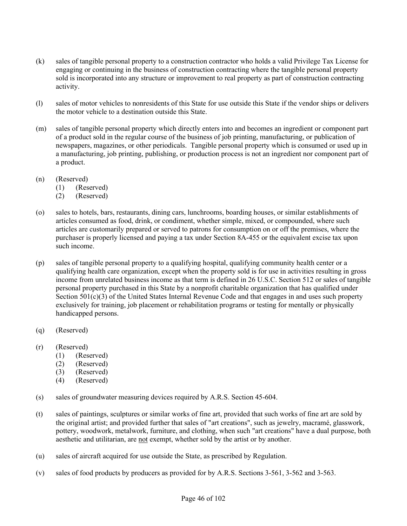- (k) sales of tangible personal property to a construction contractor who holds a valid Privilege Tax License for engaging or continuing in the business of construction contracting where the tangible personal property sold is incorporated into any structure or improvement to real property as part of construction contracting activity.
- (l) sales of motor vehicles to nonresidents of this State for use outside this State if the vendor ships or delivers the motor vehicle to a destination outside this State.
- (m) sales of tangible personal property which directly enters into and becomes an ingredient or component part of a product sold in the regular course of the business of job printing, manufacturing, or publication of newspapers, magazines, or other periodicals. Tangible personal property which is consumed or used up in a manufacturing, job printing, publishing, or production process is not an ingredient nor component part of a product.
- (n) (Reserved)
	- (1) (Reserved)
	- (2) (Reserved)
- (o) sales to hotels, bars, restaurants, dining cars, lunchrooms, boarding houses, or similar establishments of articles consumed as food, drink, or condiment, whether simple, mixed, or compounded, where such articles are customarily prepared or served to patrons for consumption on or off the premises, where the purchaser is properly licensed and paying a tax under Section 8A-455 or the equivalent excise tax upon such income.
- (p) sales of tangible personal property to a qualifying hospital, qualifying community health center or a qualifying health care organization, except when the property sold is for use in activities resulting in gross income from unrelated business income as that term is defined in 26 U.S.C. Section 512 or sales of tangible personal property purchased in this State by a nonprofit charitable organization that has qualified under Section  $501(c)(3)$  of the United States Internal Revenue Code and that engages in and uses such property exclusively for training, job placement or rehabilitation programs or testing for mentally or physically handicapped persons.
- (q) (Reserved)
- (r) (Reserved)
	- (1) (Reserved)
	- (2) (Reserved)
	- (3) (Reserved)
	- (4) (Reserved)
- (s) sales of groundwater measuring devices required by A.R.S. Section 45-604.
- (t) sales of paintings, sculptures or similar works of fine art, provided that such works of fine art are sold by the original artist; and provided further that sales of "art creations", such as jewelry, macramé, glasswork, pottery, woodwork, metalwork, furniture, and clothing, when such "art creations" have a dual purpose, both aesthetic and utilitarian, are not exempt, whether sold by the artist or by another.
- (u) sales of aircraft acquired for use outside the State, as prescribed by Regulation.
- (v) sales of food products by producers as provided for by A.R.S. Sections 3-561, 3-562 and 3-563.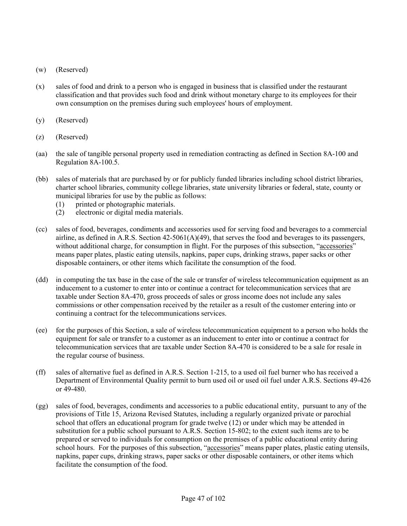- (w) (Reserved)
- (x) sales of food and drink to a person who is engaged in business that is classified under the restaurant classification and that provides such food and drink without monetary charge to its employees for their own consumption on the premises during such employees' hours of employment.
- (y) (Reserved)
- (z) (Reserved)
- (aa) the sale of tangible personal property used in remediation contracting as defined in Section 8A-100 and Regulation 8A-100.5.
- (bb) sales of materials that are purchased by or for publicly funded libraries including school district libraries, charter school libraries, community college libraries, state university libraries or federal, state, county or municipal libraries for use by the public as follows:
	- (1) printed or photographic materials.
	- (2) electronic or digital media materials.
- (cc) sales of food, beverages, condiments and accessories used for serving food and beverages to a commercial airline, as defined in A.R.S. Section 42-5061(A)(49), that serves the food and beverages to its passengers, without additional charge, for consumption in flight. For the purposes of this subsection, "accessories" means paper plates, plastic eating utensils, napkins, paper cups, drinking straws, paper sacks or other disposable containers, or other items which facilitate the consumption of the food.
- (dd) in computing the tax base in the case of the sale or transfer of wireless telecommunication equipment as an inducement to a customer to enter into or continue a contract for telecommunication services that are taxable under Section 8A-470, gross proceeds of sales or gross income does not include any sales commissions or other compensation received by the retailer as a result of the customer entering into or continuing a contract for the telecommunications services.
- (ee) for the purposes of this Section, a sale of wireless telecommunication equipment to a person who holds the equipment for sale or transfer to a customer as an inducement to enter into or continue a contract for telecommunication services that are taxable under Section 8A-470 is considered to be a sale for resale in the regular course of business.
- (ff) sales of alternative fuel as defined in A.R.S. Section 1-215, to a used oil fuel burner who has received a Department of Environmental Quality permit to burn used oil or used oil fuel under A.R.S. Sections 49-426 or 49-480.
- (gg) sales of food, beverages, condiments and accessories to a public educational entity, pursuant to any of the provisions of Title 15, Arizona Revised Statutes, including a regularly organized private or parochial school that offers an educational program for grade twelve (12) or under which may be attended in substitution for a public school pursuant to A.R.S. Section 15-802; to the extent such items are to be prepared or served to individuals for consumption on the premises of a public educational entity during school hours. For the purposes of this subsection, "accessories" means paper plates, plastic eating utensils, napkins, paper cups, drinking straws, paper sacks or other disposable containers, or other items which facilitate the consumption of the food.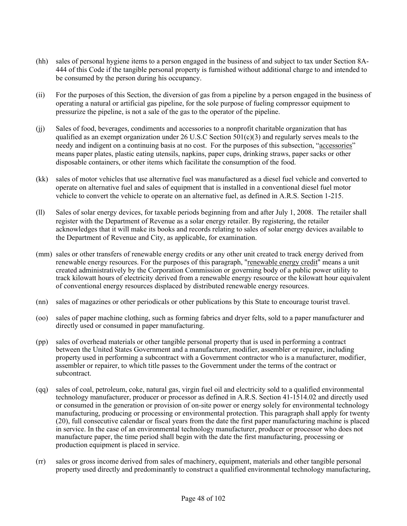- (hh) sales of personal hygiene items to a person engaged in the business of and subject to tax under Section 8A-444 of this Code if the tangible personal property is furnished without additional charge to and intended to be consumed by the person during his occupancy.
- (ii) For the purposes of this Section, the diversion of gas from a pipeline by a person engaged in the business of operating a natural or artificial gas pipeline, for the sole purpose of fueling compressor equipment to pressurize the pipeline, is not a sale of the gas to the operator of the pipeline.
- (jj) Sales of food, beverages, condiments and accessories to a nonprofit charitable organization that has qualified as an exempt organization under 26 U.S.C Section  $501(c)(3)$  and regularly serves meals to the needy and indigent on a continuing basis at no cost. For the purposes of this subsection, "accessories" means paper plates, plastic eating utensils, napkins, paper cups, drinking straws, paper sacks or other disposable containers, or other items which facilitate the consumption of the food.
- (kk) sales of motor vehicles that use alternative fuel was manufactured as a diesel fuel vehicle and converted to operate on alternative fuel and sales of equipment that is installed in a conventional diesel fuel motor vehicle to convert the vehicle to operate on an alternative fuel, as defined in A.R.S. Section 1-215.
- (ll) Sales of solar energy devices, for taxable periods beginning from and after July 1, 2008. The retailer shall register with the Department of Revenue as a solar energy retailer. By registering, the retailer acknowledges that it will make its books and records relating to sales of solar energy devices available to the Department of Revenue and City, as applicable, for examination.
- (mm) sales or other transfers of renewable energy credits or any other unit created to track energy derived from renewable energy resources. For the purposes of this paragraph, "renewable energy credit" means a unit created administratively by the Corporation Commission or governing body of a public power utility to track kilowatt hours of electricity derived from a renewable energy resource or the kilowatt hour equivalent of conventional energy resources displaced by distributed renewable energy resources.
- (nn) sales of magazines or other periodicals or other publications by this State to encourage tourist travel.
- (oo) sales of paper machine clothing, such as forming fabrics and dryer felts, sold to a paper manufacturer and directly used or consumed in paper manufacturing.
- (pp) sales of overhead materials or other tangible personal property that is used in performing a contract between the United States Government and a manufacturer, modifier, assembler or repairer, including property used in performing a subcontract with a Government contractor who is a manufacturer, modifier, assembler or repairer, to which title passes to the Government under the terms of the contract or subcontract.
- (qq) sales of coal, petroleum, coke, natural gas, virgin fuel oil and electricity sold to a qualified environmental technology manufacturer, producer or processor as defined in A.R.S. Section 41-1514.02 and directly used or consumed in the generation or provision of on-site power or energy solely for environmental technology manufacturing, producing or processing or environmental protection. This paragraph shall apply for twenty (20), full consecutive calendar or fiscal years from the date the first paper manufacturing machine is placed in service. In the case of an environmental technology manufacturer, producer or processor who does not manufacture paper, the time period shall begin with the date the first manufacturing, processing or production equipment is placed in service.
- (rr) sales or gross income derived from sales of machinery, equipment, materials and other tangible personal property used directly and predominantly to construct a qualified environmental technology manufacturing,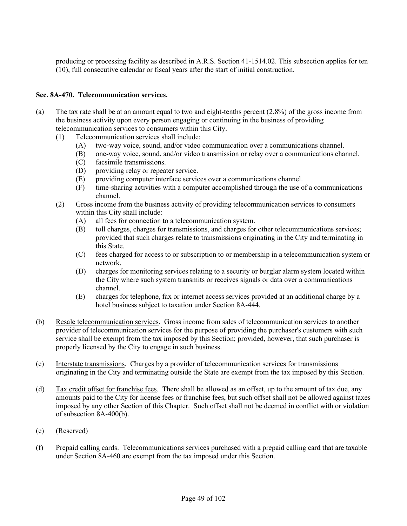producing or processing facility as described in A.R.S. Section 41-1514.02. This subsection applies for ten (10), full consecutive calendar or fiscal years after the start of initial construction.

## **Sec. 8A-470. Telecommunication services.**

- (a) The tax rate shall be at an amount equal to two and eight-tenths percent (2.8%) of the gross income from the business activity upon every person engaging or continuing in the business of providing telecommunication services to consumers within this City.
	- (1) Telecommunication services shall include:
		- (A) two-way voice, sound, and/or video communication over a communications channel.
		- (B) one-way voice, sound, and/or video transmission or relay over a communications channel.
		- (C) facsimile transmissions.
		- (D) providing relay or repeater service.
		- (E) providing computer interface services over a communications channel.
		- (F) time-sharing activities with a computer accomplished through the use of a communications channel.
	- (2) Gross income from the business activity of providing telecommunication services to consumers within this City shall include:
		- (A) all fees for connection to a telecommunication system.
		- (B) toll charges, charges for transmissions, and charges for other telecommunications services; provided that such charges relate to transmissions originating in the City and terminating in this State.
		- (C) fees charged for access to or subscription to or membership in a telecommunication system or network.
		- (D) charges for monitoring services relating to a security or burglar alarm system located within the City where such system transmits or receives signals or data over a communications channel.
		- (E) charges for telephone, fax or internet access services provided at an additional charge by a hotel business subject to taxation under Section 8A-444.
- (b) Resale telecommunication services. Gross income from sales of telecommunication services to another provider of telecommunication services for the purpose of providing the purchaser's customers with such service shall be exempt from the tax imposed by this Section; provided, however, that such purchaser is properly licensed by the City to engage in such business.
- (c) Interstate transmissions. Charges by a provider of telecommunication services for transmissions originating in the City and terminating outside the State are exempt from the tax imposed by this Section.
- (d) Tax credit offset for franchise fees. There shall be allowed as an offset, up to the amount of tax due, any amounts paid to the City for license fees or franchise fees, but such offset shall not be allowed against taxes imposed by any other Section of this Chapter. Such offset shall not be deemed in conflict with or violation of subsection 8A-400(b).
- (e) (Reserved)
- (f) Prepaid calling cards. Telecommunications services purchased with a prepaid calling card that are taxable under Section 8A-460 are exempt from the tax imposed under this Section.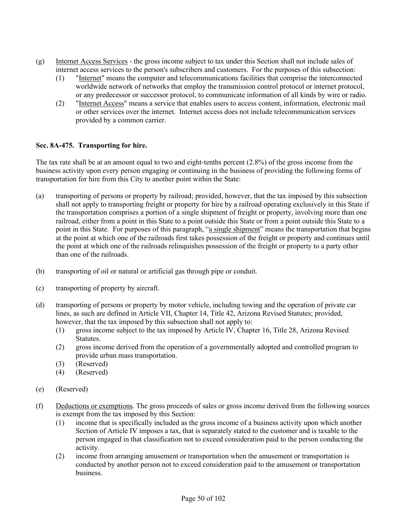- (g) Internet Access Services the gross income subject to tax under this Section shall not include sales of internet access services to the person's subscribers and customers. For the purposes of this subsection:
	- (1) "Internet" means the computer and telecommunications facilities that comprise the interconnected worldwide network of networks that employ the transmission control protocol or internet protocol, or any predecessor or successor protocol, to communicate information of all kinds by wire or radio.
	- (2) "Internet Access" means a service that enables users to access content, information, electronic mail or other services over the internet. Internet access does not include telecommunication services provided by a common carrier.

## **Sec. 8A-475. Transporting for hire.**

The tax rate shall be at an amount equal to two and eight-tenths percent (2.8%) of the gross income from the business activity upon every person engaging or continuing in the business of providing the following forms of transportation for hire from this City to another point within the State:

- (a) transporting of persons or property by railroad; provided, however, that the tax imposed by this subsection shall not apply to transporting freight or property for hire by a railroad operating exclusively in this State if the transportation comprises a portion of a single shipment of freight or property, involving more than one railroad, either from a point in this State to a point outside this State or from a point outside this State to a point in this State. For purposes of this paragraph, "a single shipment" means the transportation that begins at the point at which one of the railroads first takes possession of the freight or property and continues until the point at which one of the railroads relinquishes possession of the freight or property to a party other than one of the railroads.
- (b) transporting of oil or natural or artificial gas through pipe or conduit.
- (c) transporting of property by aircraft.
- (d) transporting of persons or property by motor vehicle, including towing and the operation of private car lines, as such are defined in Article VII, Chapter 14, Title 42, Arizona Revised Statutes; provided, however, that the tax imposed by this subsection shall not apply to:
	- (1) gross income subject to the tax imposed by Article IV, Chapter 16, Title 28, Arizona Revised Statutes.
	- (2) gross income derived from the operation of a governmentally adopted and controlled program to provide urban mass transportation.
	- (3) (Reserved)
	- (4) (Reserved)
- (e) (Reserved)
- (f) Deductions or exemptions. The gross proceeds of sales or gross income derived from the following sources is exempt from the tax imposed by this Section:
	- (1) income that is specifically included as the gross income of a business activity upon which another Section of Article IV imposes a tax, that is separately stated to the customer and is taxable to the person engaged in that classification not to exceed consideration paid to the person conducting the activity.
	- (2) income from arranging amusement or transportation when the amusement or transportation is conducted by another person not to exceed consideration paid to the amusement or transportation business.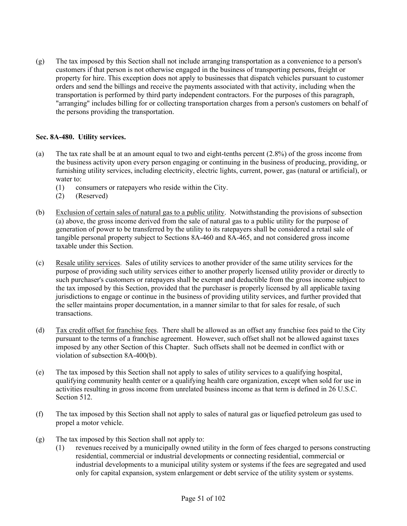(g) The tax imposed by this Section shall not include arranging transportation as a convenience to a person's customers if that person is not otherwise engaged in the business of transporting persons, freight or property for hire. This exception does not apply to businesses that dispatch vehicles pursuant to customer orders and send the billings and receive the payments associated with that activity, including when the transportation is performed by third party independent contractors. For the purposes of this paragraph, "arranging" includes billing for or collecting transportation charges from a person's customers on behalf of the persons providing the transportation.

## **Sec. 8A-480. Utility services.**

- (a) The tax rate shall be at an amount equal to two and eight-tenths percent (2.8%) of the gross income from the business activity upon every person engaging or continuing in the business of producing, providing, or furnishing utility services, including electricity, electric lights, current, power, gas (natural or artificial), or water to:
	- (1) consumers or ratepayers who reside within the City.
	- (2) (Reserved)
- (b) Exclusion of certain sales of natural gas to a public utility. Notwithstanding the provisions of subsection (a) above, the gross income derived from the sale of natural gas to a public utility for the purpose of generation of power to be transferred by the utility to its ratepayers shall be considered a retail sale of tangible personal property subject to Sections 8A-460 and 8A-465, and not considered gross income taxable under this Section.
- (c) Resale utility services. Sales of utility services to another provider of the same utility services for the purpose of providing such utility services either to another properly licensed utility provider or directly to such purchaser's customers or ratepayers shall be exempt and deductible from the gross income subject to the tax imposed by this Section, provided that the purchaser is properly licensed by all applicable taxing jurisdictions to engage or continue in the business of providing utility services, and further provided that the seller maintains proper documentation, in a manner similar to that for sales for resale, of such transactions.
- (d) Tax credit offset for franchise fees. There shall be allowed as an offset any franchise fees paid to the City pursuant to the terms of a franchise agreement. However, such offset shall not be allowed against taxes imposed by any other Section of this Chapter. Such offsets shall not be deemed in conflict with or violation of subsection 8A-400(b).
- (e) The tax imposed by this Section shall not apply to sales of utility services to a qualifying hospital, qualifying community health center or a qualifying health care organization, except when sold for use in activities resulting in gross income from unrelated business income as that term is defined in 26 U.S.C. Section 512.
- (f) The tax imposed by this Section shall not apply to sales of natural gas or liquefied petroleum gas used to propel a motor vehicle.
- (g) The tax imposed by this Section shall not apply to:
	- (1) revenues received by a municipally owned utility in the form of fees charged to persons constructing residential, commercial or industrial developments or connecting residential, commercial or industrial developments to a municipal utility system or systems if the fees are segregated and used only for capital expansion, system enlargement or debt service of the utility system or systems.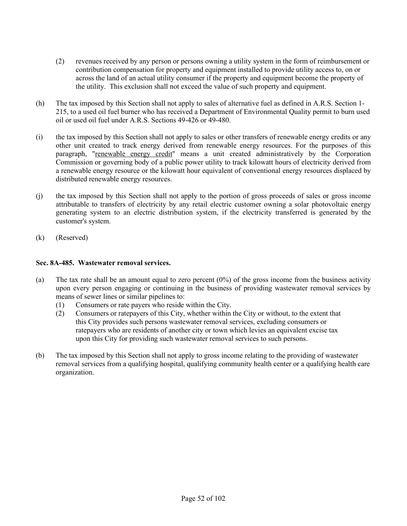- (2) revenues received by any person or persons owning a utility system in the form of reimbursement or contribution compensation for property and equipment installed to provide utility access to, on or across the land of an actual utility consumer if the property and equipment become the property of the utility. This exclusion shall not exceed the value of such property and equipment.
- (h) The tax imposed by this Section shall not apply to sales of alternative fuel as defined in A.R.S. Section 1- 215, to a used oil fuel burner who has received a Department of Environmental Quality permit to burn used oil or used oil fuel under A.R.S. Sections 49-426 or 49-480.
- (i) the tax imposed by this Section shall not apply to sales or other transfers of renewable energy credits or any other unit created to track energy derived from renewable energy resources. For the purposes of this paragraph, "renewable energy credit" means a unit created administratively by the Corporation Commission or governing body of a public power utility to track kilowatt hours of electricity derived from a renewable energy resource or the kilowatt hour equivalent of conventional energy resources displaced by distributed renewable energy resources.
- (j) the tax imposed by this Section shall not apply to the portion of gross proceeds of sales or gross income attributable to transfers of electricity by any retail electric customer owning a solar photovoltaic energy generating system to an electric distribution system, if the electricity transferred is generated by the customer's system.
- (k) (Reserved)

## **Sec. 8A-485. Wastewater removal services.**

- (a) The tax rate shall be an amount equal to zero percent (0%) of the gross income from the business activity upon every person engaging or continuing in the business of providing wastewater removal services by means of sewer lines or similar pipelines to:
	- (1) Consumers or rate payers who reside within the City.
	- (2) Consumers or ratepayers of this City, whether within the City or without, to the extent that this City provides such persons wastewater removal services, excluding consumers or ratepayers who are residents of another city or town which levies an equivalent excise tax upon this City for providing such wastewater removal services to such persons.
- (b) The tax imposed by this Section shall not apply to gross income relating to the providing of wastewater removal services from a qualifying hospital, qualifying community health center or a qualifying health care organization.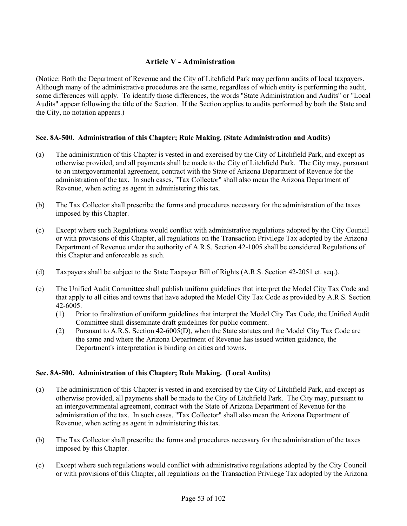# **Article V - Administration**

(Notice: Both the Department of Revenue and the City of Litchfield Park may perform audits of local taxpayers. Although many of the administrative procedures are the same, regardless of which entity is performing the audit, some differences will apply. To identify those differences, the words "State Administration and Audits" or "Local Audits" appear following the title of the Section. If the Section applies to audits performed by both the State and the City, no notation appears.)

## **Sec. 8A-500. Administration of this Chapter; Rule Making. (State Administration and Audits)**

- (a) The administration of this Chapter is vested in and exercised by the City of Litchfield Park, and except as otherwise provided, and all payments shall be made to the City of Litchfield Park. The City may, pursuant to an intergovernmental agreement, contract with the State of Arizona Department of Revenue for the administration of the tax. In such cases, "Tax Collector" shall also mean the Arizona Department of Revenue, when acting as agent in administering this tax.
- (b) The Tax Collector shall prescribe the forms and procedures necessary for the administration of the taxes imposed by this Chapter.
- (c) Except where such Regulations would conflict with administrative regulations adopted by the City Council or with provisions of this Chapter, all regulations on the Transaction Privilege Tax adopted by the Arizona Department of Revenue under the authority of A.R.S. Section 42-1005 shall be considered Regulations of this Chapter and enforceable as such.
- (d) Taxpayers shall be subject to the State Taxpayer Bill of Rights (A.R.S. Section 42-2051 et. seq.).
- (e) The Unified Audit Committee shall publish uniform guidelines that interpret the Model City Tax Code and that apply to all cities and towns that have adopted the Model City Tax Code as provided by A.R.S. Section 42-6005.
	- (1) Prior to finalization of uniform guidelines that interpret the Model City Tax Code, the Unified Audit Committee shall disseminate draft guidelines for public comment.
	- (2) Pursuant to A.R.S. Section 42-6005(D), when the State statutes and the Model City Tax Code are the same and where the Arizona Department of Revenue has issued written guidance, the Department's interpretation is binding on cities and towns.

## **Sec. 8A-500. Administration of this Chapter; Rule Making. (Local Audits)**

- (a) The administration of this Chapter is vested in and exercised by the City of Litchfield Park, and except as otherwise provided, all payments shall be made to the City of Litchfield Park. The City may, pursuant to an intergovernmental agreement, contract with the State of Arizona Department of Revenue for the administration of the tax. In such cases, "Tax Collector" shall also mean the Arizona Department of Revenue, when acting as agent in administering this tax.
- (b) The Tax Collector shall prescribe the forms and procedures necessary for the administration of the taxes imposed by this Chapter.
- (c) Except where such regulations would conflict with administrative regulations adopted by the City Council or with provisions of this Chapter, all regulations on the Transaction Privilege Tax adopted by the Arizona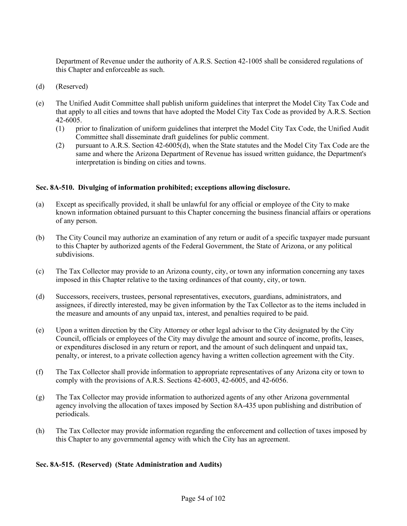Department of Revenue under the authority of A.R.S. Section 42-1005 shall be considered regulations of this Chapter and enforceable as such.

- (d) (Reserved)
- (e) The Unified Audit Committee shall publish uniform guidelines that interpret the Model City Tax Code and that apply to all cities and towns that have adopted the Model City Tax Code as provided by A.R.S. Section 42-6005.
	- (1) prior to finalization of uniform guidelines that interpret the Model City Tax Code, the Unified Audit Committee shall disseminate draft guidelines for public comment.
	- (2) pursuant to A.R.S. Section 42-6005(d), when the State statutes and the Model City Tax Code are the same and where the Arizona Department of Revenue has issued written guidance, the Department's interpretation is binding on cities and towns.

## **Sec. 8A-510. Divulging of information prohibited; exceptions allowing disclosure.**

- (a) Except as specifically provided, it shall be unlawful for any official or employee of the City to make known information obtained pursuant to this Chapter concerning the business financial affairs or operations of any person.
- (b) The City Council may authorize an examination of any return or audit of a specific taxpayer made pursuant to this Chapter by authorized agents of the Federal Government, the State of Arizona, or any political subdivisions.
- (c) The Tax Collector may provide to an Arizona county, city, or town any information concerning any taxes imposed in this Chapter relative to the taxing ordinances of that county, city, or town.
- (d) Successors, receivers, trustees, personal representatives, executors, guardians, administrators, and assignees, if directly interested, may be given information by the Tax Collector as to the items included in the measure and amounts of any unpaid tax, interest, and penalties required to be paid.
- (e) Upon a written direction by the City Attorney or other legal advisor to the City designated by the City Council, officials or employees of the City may divulge the amount and source of income, profits, leases, or expenditures disclosed in any return or report, and the amount of such delinquent and unpaid tax, penalty, or interest, to a private collection agency having a written collection agreement with the City.
- (f) The Tax Collector shall provide information to appropriate representatives of any Arizona city or town to comply with the provisions of A.R.S. Sections 42-6003, 42-6005, and 42-6056.
- (g) The Tax Collector may provide information to authorized agents of any other Arizona governmental agency involving the allocation of taxes imposed by Section 8A-435 upon publishing and distribution of periodicals.
- (h) The Tax Collector may provide information regarding the enforcement and collection of taxes imposed by this Chapter to any governmental agency with which the City has an agreement.

## **Sec. 8A-515. (Reserved) (State Administration and Audits)**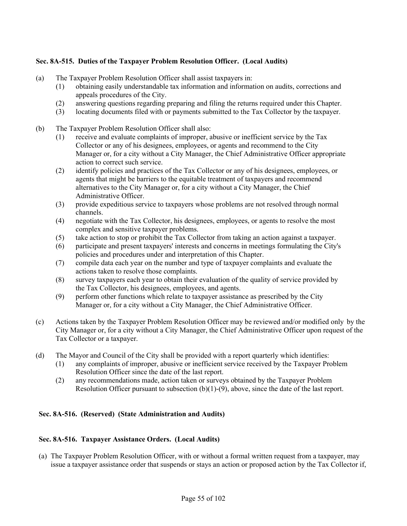## **Sec. 8A-515. Duties of the Taxpayer Problem Resolution Officer. (Local Audits)**

- (a) The Taxpayer Problem Resolution Officer shall assist taxpayers in:
	- (1) obtaining easily understandable tax information and information on audits, corrections and appeals procedures of the City.
	- (2) answering questions regarding preparing and filing the returns required under this Chapter.
	- (3) locating documents filed with or payments submitted to the Tax Collector by the taxpayer.
- (b) The Taxpayer Problem Resolution Officer shall also:
	- (1) receive and evaluate complaints of improper, abusive or inefficient service by the Tax Collector or any of his designees, employees, or agents and recommend to the City Manager or, for a city without a City Manager, the Chief Administrative Officer appropriate action to correct such service.
	- (2) identify policies and practices of the Tax Collector or any of his designees, employees, or agents that might be barriers to the equitable treatment of taxpayers and recommend alternatives to the City Manager or, for a city without a City Manager, the Chief Administrative Officer.
	- (3) provide expeditious service to taxpayers whose problems are not resolved through normal channels.
	- (4) negotiate with the Tax Collector, his designees, employees, or agents to resolve the most complex and sensitive taxpayer problems.
	- (5) take action to stop or prohibit the Tax Collector from taking an action against a taxpayer.
	- (6) participate and present taxpayers' interests and concerns in meetings formulating the City's policies and procedures under and interpretation of this Chapter.
	- (7) compile data each year on the number and type of taxpayer complaints and evaluate the actions taken to resolve those complaints.
	- (8) survey taxpayers each year to obtain their evaluation of the quality of service provided by the Tax Collector, his designees, employees, and agents.
	- (9) perform other functions which relate to taxpayer assistance as prescribed by the City Manager or, for a city without a City Manager, the Chief Administrative Officer.
- (c) Actions taken by the Taxpayer Problem Resolution Officer may be reviewed and/or modified only by the City Manager or, for a city without a City Manager, the Chief Administrative Officer upon request of the Tax Collector or a taxpayer.
- (d) The Mayor and Council of the City shall be provided with a report quarterly which identifies:
	- (1) any complaints of improper, abusive or inefficient service received by the Taxpayer Problem Resolution Officer since the date of the last report.
	- (2) any recommendations made, action taken or surveys obtained by the Taxpayer Problem Resolution Officer pursuant to subsection  $(b)(1)-(9)$ , above, since the date of the last report.

## **Sec. 8A-516. (Reserved) (State Administration and Audits)**

#### **Sec. 8A-516. Taxpayer Assistance Orders. (Local Audits)**

(a) The Taxpayer Problem Resolution Officer, with or without a formal written request from a taxpayer, may issue a taxpayer assistance order that suspends or stays an action or proposed action by the Tax Collector if,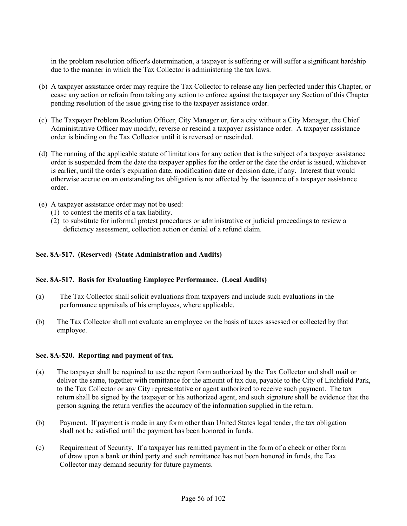in the problem resolution officer's determination, a taxpayer is suffering or will suffer a significant hardship due to the manner in which the Tax Collector is administering the tax laws.

- (b) A taxpayer assistance order may require the Tax Collector to release any lien perfected under this Chapter, or cease any action or refrain from taking any action to enforce against the taxpayer any Section of this Chapter pending resolution of the issue giving rise to the taxpayer assistance order.
- (c) The Taxpayer Problem Resolution Officer, City Manager or, for a city without a City Manager, the Chief Administrative Officer may modify, reverse or rescind a taxpayer assistance order. A taxpayer assistance order is binding on the Tax Collector until it is reversed or rescinded.
- (d) The running of the applicable statute of limitations for any action that is the subject of a taxpayer assistance order is suspended from the date the taxpayer applies for the order or the date the order is issued, whichever is earlier, until the order's expiration date, modification date or decision date, if any. Interest that would otherwise accrue on an outstanding tax obligation is not affected by the issuance of a taxpayer assistance order.
- (e) A taxpayer assistance order may not be used:
	- (1) to contest the merits of a tax liability.
	- (2) to substitute for informal protest procedures or administrative or judicial proceedings to review a deficiency assessment, collection action or denial of a refund claim.

#### **Sec. 8A-517. (Reserved) (State Administration and Audits)**

#### **Sec. 8A-517. Basis for Evaluating Employee Performance. (Local Audits)**

- (a) The Tax Collector shall solicit evaluations from taxpayers and include such evaluations in the performance appraisals of his employees, where applicable.
- (b) The Tax Collector shall not evaluate an employee on the basis of taxes assessed or collected by that employee.

#### **Sec. 8A-520. Reporting and payment of tax.**

- (a) The taxpayer shall be required to use the report form authorized by the Tax Collector and shall mail or deliver the same, together with remittance for the amount of tax due, payable to the City of Litchfield Park, to the Tax Collector or any City representative or agent authorized to receive such payment. The tax return shall be signed by the taxpayer or his authorized agent, and such signature shall be evidence that the person signing the return verifies the accuracy of the information supplied in the return.
- (b) Payment. If payment is made in any form other than United States legal tender, the tax obligation shall not be satisfied until the payment has been honored in funds.
- (c) Requirement of Security. If a taxpayer has remitted payment in the form of a check or other form of draw upon a bank or third party and such remittance has not been honored in funds, the Tax Collector may demand security for future payments.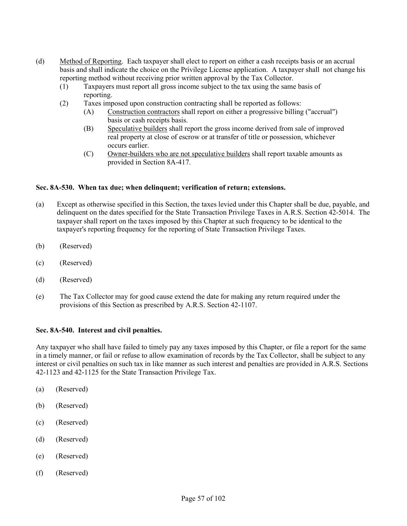- (d) Method of Reporting. Each taxpayer shall elect to report on either a cash receipts basis or an accrual basis and shall indicate the choice on the Privilege License application. A taxpayer shall not change his reporting method without receiving prior written approval by the Tax Collector.
	- (1) Taxpayers must report all gross income subject to the tax using the same basis of reporting.
	- (2) Taxes imposed upon construction contracting shall be reported as follows:
		- (A) Construction contractors shall report on either a progressive billing ("accrual") basis or cash receipts basis.
		- (B) Speculative builders shall report the gross income derived from sale of improved real property at close of escrow or at transfer of title or possession, whichever occurs earlier.
		- (C) Owner-builders who are not speculative builders shall report taxable amounts as provided in Section 8A-417.

## **Sec. 8A-530. When tax due; when delinquent; verification of return; extensions.**

- (a) Except as otherwise specified in this Section, the taxes levied under this Chapter shall be due, payable, and delinquent on the dates specified for the State Transaction Privilege Taxes in A.R.S. Section 42-5014. The taxpayer shall report on the taxes imposed by this Chapter at such frequency to be identical to the taxpayer's reporting frequency for the reporting of State Transaction Privilege Taxes.
- (b) (Reserved)
- (c) (Reserved)
- (d) (Reserved)
- (e) The Tax Collector may for good cause extend the date for making any return required under the provisions of this Section as prescribed by A.R.S. Section 42-1107.

## **Sec. 8A-540. Interest and civil penalties.**

Any taxpayer who shall have failed to timely pay any taxes imposed by this Chapter, or file a report for the same in a timely manner, or fail or refuse to allow examination of records by the Tax Collector, shall be subject to any interest or civil penalties on such tax in like manner as such interest and penalties are provided in A.R.S. Sections 42-1123 and 42-1125 for the State Transaction Privilege Tax.

- (a) (Reserved)
- (b) (Reserved)
- (c) (Reserved)
- (d) (Reserved)
- (e) (Reserved)
- (f) (Reserved)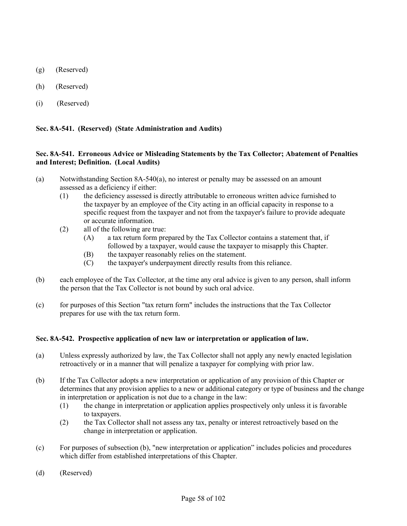- (g) (Reserved)
- (h) (Reserved)
- (i) (Reserved)

## **Sec. 8A-541. (Reserved) (State Administration and Audits)**

## **Sec. 8A-541. Erroneous Advice or Misleading Statements by the Tax Collector; Abatement of Penalties and Interest; Definition. (Local Audits)**

- (a) Notwithstanding Section 8A-540(a), no interest or penalty may be assessed on an amount assessed as a deficiency if either:
	- (1) the deficiency assessed is directly attributable to erroneous written advice furnished to the taxpayer by an employee of the City acting in an official capacity in response to a specific request from the taxpayer and not from the taxpayer's failure to provide adequate or accurate information.
	- (2) all of the following are true:
		- (A) a tax return form prepared by the Tax Collector contains a statement that, if followed by a taxpayer, would cause the taxpayer to misapply this Chapter.
		- (B) the taxpayer reasonably relies on the statement.
		- (C) the taxpayer's underpayment directly results from this reliance.
- (b) each employee of the Tax Collector, at the time any oral advice is given to any person, shall inform the person that the Tax Collector is not bound by such oral advice.
- (c) for purposes of this Section "tax return form" includes the instructions that the Tax Collector prepares for use with the tax return form.

## **Sec. 8A-542. Prospective application of new law or interpretation or application of law.**

- (a) Unless expressly authorized by law, the Tax Collector shall not apply any newly enacted legislation retroactively or in a manner that will penalize a taxpayer for complying with prior law.
- (b) If the Tax Collector adopts a new interpretation or application of any provision of this Chapter or determines that any provision applies to a new or additional category or type of business and the change in interpretation or application is not due to a change in the law:
	- (1) the change in interpretation or application applies prospectively only unless it is favorable to taxpayers.
	- (2) the Tax Collector shall not assess any tax, penalty or interest retroactively based on the change in interpretation or application.
- (c) For purposes of subsection (b), "new interpretation or application" includes policies and procedures which differ from established interpretations of this Chapter.
- (d) (Reserved)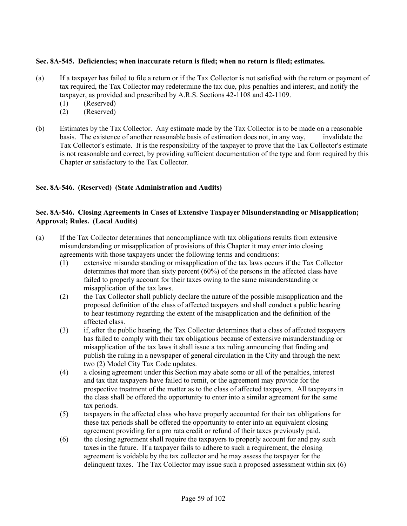## **Sec. 8A-545. Deficiencies; when inaccurate return is filed; when no return is filed; estimates.**

- (a) If a taxpayer has failed to file a return or if the Tax Collector is not satisfied with the return or payment of tax required, the Tax Collector may redetermine the tax due, plus penalties and interest, and notify the taxpayer, as provided and prescribed by A.R.S. Sections 42-1108 and 42-1109.
	- (1) (Reserved)
	- (2) (Reserved)
- (b) Estimates by the Tax Collector. Any estimate made by the Tax Collector is to be made on a reasonable basis. The existence of another reasonable basis of estimation does not, in any way, invalidate the Tax Collector's estimate. It is the responsibility of the taxpayer to prove that the Tax Collector's estimate is not reasonable and correct, by providing sufficient documentation of the type and form required by this Chapter or satisfactory to the Tax Collector.

## **Sec. 8A-546. (Reserved) (State Administration and Audits)**

## **Sec. 8A-546. Closing Agreements in Cases of Extensive Taxpayer Misunderstanding or Misapplication; Approval; Rules. (Local Audits)**

- (a) If the Tax Collector determines that noncompliance with tax obligations results from extensive misunderstanding or misapplication of provisions of this Chapter it may enter into closing agreements with those taxpayers under the following terms and conditions:
	- (1) extensive misunderstanding or misapplication of the tax laws occurs if the Tax Collector determines that more than sixty percent (60%) of the persons in the affected class have failed to properly account for their taxes owing to the same misunderstanding or misapplication of the tax laws.
	- (2) the Tax Collector shall publicly declare the nature of the possible misapplication and the proposed definition of the class of affected taxpayers and shall conduct a public hearing to hear testimony regarding the extent of the misapplication and the definition of the affected class.
	- (3) if, after the public hearing, the Tax Collector determines that a class of affected taxpayers has failed to comply with their tax obligations because of extensive misunderstanding or misapplication of the tax laws it shall issue a tax ruling announcing that finding and publish the ruling in a newspaper of general circulation in the City and through the next two (2) Model City Tax Code updates.
	- (4) a closing agreement under this Section may abate some or all of the penalties, interest and tax that taxpayers have failed to remit, or the agreement may provide for the prospective treatment of the matter as to the class of affected taxpayers. All taxpayers in the class shall be offered the opportunity to enter into a similar agreement for the same tax periods.
	- (5) taxpayers in the affected class who have properly accounted for their tax obligations for these tax periods shall be offered the opportunity to enter into an equivalent closing agreement providing for a pro rata credit or refund of their taxes previously paid.
	- (6) the closing agreement shall require the taxpayers to properly account for and pay such taxes in the future. If a taxpayer fails to adhere to such a requirement, the closing agreement is voidable by the tax collector and he may assess the taxpayer for the delinquent taxes. The Tax Collector may issue such a proposed assessment within  $s$ ix  $(6)$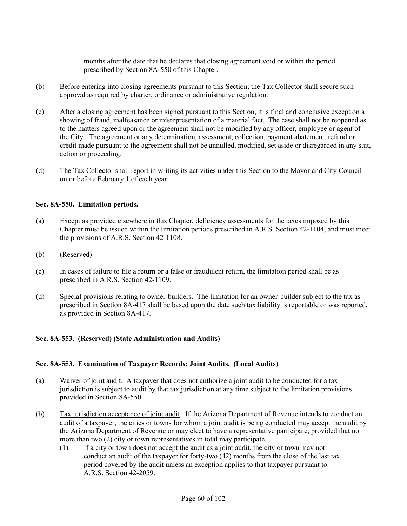months after the date that he declares that closing agreement void or within the period prescribed by Section 8A-550 of this Chapter.

- (b) Before entering into closing agreements pursuant to this Section, the Tax Collector shall secure such approval as required by charter, ordinance or administrative regulation.
- (c) After a closing agreement has been signed pursuant to this Section, it is final and conclusive except on a showing of fraud, malfeasance or misrepresentation of a material fact. The case shall not be reopened as to the matters agreed upon or the agreement shall not be modified by any officer, employee or agent of the City. The agreement or any determination, assessment, collection, payment abatement, refund or credit made pursuant to the agreement shall not be annulled, modified, set aside or disregarded in any suit, action or proceeding.
- (d) The Tax Collector shall report in writing its activities under this Section to the Mayor and City Council on or before February 1 of each year.

## **Sec. 8A-550. Limitation periods.**

- (a) Except as provided elsewhere in this Chapter, deficiency assessments for the taxes imposed by this Chapter must be issued within the limitation periods prescribed in A.R.S. Section 42-1104, and must meet the provisions of A.R.S. Section 42-1108.
- (b) (Reserved)
- (c) In cases of failure to file a return or a false or fraudulent return, the limitation period shall be as prescribed in A.R.S. Section 42-1109.
- (d) Special provisions relating to owner-builders. The limitation for an owner-builder subject to the tax as prescribed in Section 8A-417 shall be based upon the date such tax liability is reportable or was reported, as provided in Section 8A-417.

## **Sec. 8A-553. (Reserved) (State Administration and Audits)**

## **Sec. 8A-553. Examination of Taxpayer Records; Joint Audits. (Local Audits)**

- (a) Waiver of joint audit. A taxpayer that does not authorize a joint audit to be conducted for a tax jurisdiction is subject to audit by that tax jurisdiction at any time subject to the limitation provisions provided in Section 8A-550.
- (b) Tax jurisdiction acceptance of joint audit. If the Arizona Department of Revenue intends to conduct an audit of a taxpayer, the cities or towns for whom a joint audit is being conducted may accept the audit by the Arizona Department of Revenue or may elect to have a representative participate, provided that no more than two (2) city or town representatives in total may participate.
	- (1) If a city or town does not accept the audit as a joint audit, the city or town may not conduct an audit of the taxpayer for forty-two (42) months from the close of the last tax period covered by the audit unless an exception applies to that taxpayer pursuant to A.R.S. Section 42-2059.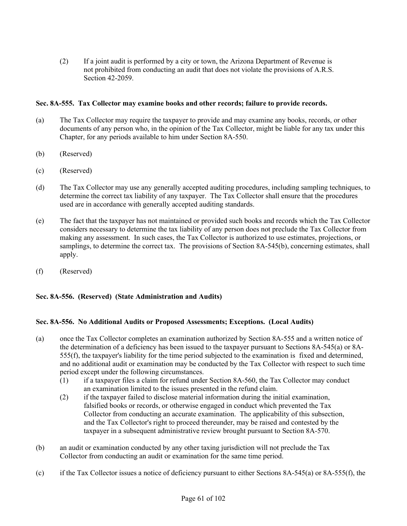(2) If a joint audit is performed by a city or town, the Arizona Department of Revenue is not prohibited from conducting an audit that does not violate the provisions of A.R.S. Section 42-2059.

## **Sec. 8A-555. Tax Collector may examine books and other records; failure to provide records.**

- (a) The Tax Collector may require the taxpayer to provide and may examine any books, records, or other documents of any person who, in the opinion of the Tax Collector, might be liable for any tax under this Chapter, for any periods available to him under Section 8A-550.
- (b) (Reserved)
- (c) (Reserved)
- (d) The Tax Collector may use any generally accepted auditing procedures, including sampling techniques, to determine the correct tax liability of any taxpayer. The Tax Collector shall ensure that the procedures used are in accordance with generally accepted auditing standards.
- (e) The fact that the taxpayer has not maintained or provided such books and records which the Tax Collector considers necessary to determine the tax liability of any person does not preclude the Tax Collector from making any assessment. In such cases, the Tax Collector is authorized to use estimates, projections, or samplings, to determine the correct tax. The provisions of Section 8A-545(b), concerning estimates, shall apply.
- (f) (Reserved)

## **Sec. 8A-556. (Reserved) (State Administration and Audits)**

## **Sec. 8A-556. No Additional Audits or Proposed Assessments; Exceptions. (Local Audits)**

- (a) once the Tax Collector completes an examination authorized by Section 8A-555 and a written notice of the determination of a deficiency has been issued to the taxpayer pursuant to Sections 8A-545(a) or 8A-555(f), the taxpayer's liability for the time period subjected to the examination is fixed and determined, and no additional audit or examination may be conducted by the Tax Collector with respect to such time period except under the following circumstances.
	- (1) if a taxpayer files a claim for refund under Section 8A-560, the Tax Collector may conduct an examination limited to the issues presented in the refund claim.
	- (2) if the taxpayer failed to disclose material information during the initial examination, falsified books or records, or otherwise engaged in conduct which prevented the Tax Collector from conducting an accurate examination. The applicability of this subsection, and the Tax Collector's right to proceed thereunder, may be raised and contested by the taxpayer in a subsequent administrative review brought pursuant to Section 8A-570.
- (b) an audit or examination conducted by any other taxing jurisdiction will not preclude the Tax Collector from conducting an audit or examination for the same time period.
- (c) if the Tax Collector issues a notice of deficiency pursuant to either Sections  $8A-545(a)$  or  $8A-555(f)$ , the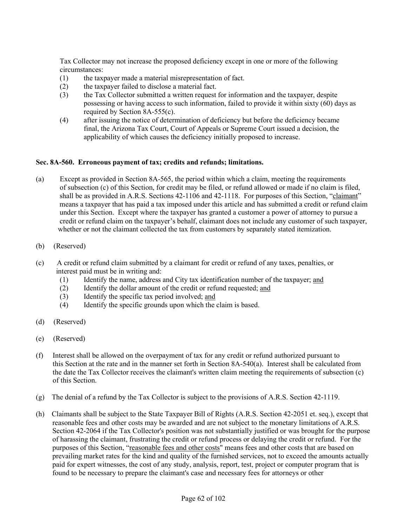Tax Collector may not increase the proposed deficiency except in one or more of the following circumstances:

- (1) the taxpayer made a material misrepresentation of fact.
- (2) the taxpayer failed to disclose a material fact.
- (3) the Tax Collector submitted a written request for information and the taxpayer, despite possessing or having access to such information, failed to provide it within sixty (60) days as required by Section 8A-555(c).
- (4) after issuing the notice of determination of deficiency but before the deficiency became final, the Arizona Tax Court, Court of Appeals or Supreme Court issued a decision, the applicability of which causes the deficiency initially proposed to increase.

### **Sec. 8A-560. Erroneous payment of tax; credits and refunds; limitations.**

- (a) Except as provided in Section 8A-565, the period within which a claim, meeting the requirements of subsection (c) of this Section, for credit may be filed, or refund allowed or made if no claim is filed, shall be as provided in A.R.S. Sections 42-1106 and 42-1118. For purposes of this Section, "claimant" means a taxpayer that has paid a tax imposed under this article and has submitted a credit or refund claim under this Section. Except where the taxpayer has granted a customer a power of attorney to pursue a credit or refund claim on the taxpayer's behalf, claimant does not include any customer of such taxpayer, whether or not the claimant collected the tax from customers by separately stated itemization.
- (b) (Reserved)
- (c) A credit or refund claim submitted by a claimant for credit or refund of any taxes, penalties, or interest paid must be in writing and:
	- (1) Identify the name, address and City tax identification number of the taxpayer; and
	- (2) Identify the dollar amount of the credit or refund requested; and
	- (3) Identify the specific tax period involved; and
	- (4) Identify the specific grounds upon which the claim is based.
- (d) (Reserved)
- (e) (Reserved)
- (f) Interest shall be allowed on the overpayment of tax for any credit or refund authorized pursuant to this Section at the rate and in the manner set forth in Section 8A-540(a). Interest shall be calculated from the date the Tax Collector receives the claimant's written claim meeting the requirements of subsection (c) of this Section.
- (g) The denial of a refund by the Tax Collector is subject to the provisions of A.R.S. Section 42-1119.
- (h) Claimants shall be subject to the State Taxpayer Bill of Rights (A.R.S. Section 42-2051 et. seq.), except that reasonable fees and other costs may be awarded and are not subject to the monetary limitations of A.R.S. Section 42-2064 if the Tax Collector's position was not substantially justified or was brought for the purpose of harassing the claimant, frustrating the credit or refund process or delaying the credit or refund. For the purposes of this Section, "reasonable fees and other costs" means fees and other costs that are based on prevailing market rates for the kind and quality of the furnished services, not to exceed the amounts actually paid for expert witnesses, the cost of any study, analysis, report, test, project or computer program that is found to be necessary to prepare the claimant's case and necessary fees for attorneys or other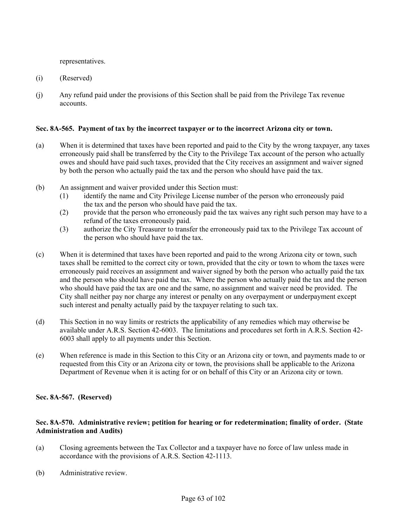representatives.

- (i) (Reserved)
- (j) Any refund paid under the provisions of this Section shall be paid from the Privilege Tax revenue accounts.

### **Sec. 8A-565. Payment of tax by the incorrect taxpayer or to the incorrect Arizona city or town.**

- (a) When it is determined that taxes have been reported and paid to the City by the wrong taxpayer, any taxes erroneously paid shall be transferred by the City to the Privilege Tax account of the person who actually owes and should have paid such taxes, provided that the City receives an assignment and waiver signed by both the person who actually paid the tax and the person who should have paid the tax.
- (b) An assignment and waiver provided under this Section must:
	- (1) identify the name and City Privilege License number of the person who erroneously paid the tax and the person who should have paid the tax.
	- (2) provide that the person who erroneously paid the tax waives any right such person may have to a refund of the taxes erroneously paid.
	- (3) authorize the City Treasurer to transfer the erroneously paid tax to the Privilege Tax account of the person who should have paid the tax.
- (c) When it is determined that taxes have been reported and paid to the wrong Arizona city or town, such taxes shall be remitted to the correct city or town, provided that the city or town to whom the taxes were erroneously paid receives an assignment and waiver signed by both the person who actually paid the tax and the person who should have paid the tax. Where the person who actually paid the tax and the person who should have paid the tax are one and the same, no assignment and waiver need be provided. The City shall neither pay nor charge any interest or penalty on any overpayment or underpayment except such interest and penalty actually paid by the taxpayer relating to such tax.
- (d) This Section in no way limits or restricts the applicability of any remedies which may otherwise be available under A.R.S. Section 42-6003. The limitations and procedures set forth in A.R.S. Section 42- 6003 shall apply to all payments under this Section.
- (e) When reference is made in this Section to this City or an Arizona city or town, and payments made to or requested from this City or an Arizona city or town, the provisions shall be applicable to the Arizona Department of Revenue when it is acting for or on behalf of this City or an Arizona city or town.

**Sec. 8A-567. (Reserved)**

### **Sec. 8A-570. Administrative review; petition for hearing or for redetermination; finality of order. (State Administration and Audits)**

- (a) Closing agreements between the Tax Collector and a taxpayer have no force of law unless made in accordance with the provisions of A.R.S. Section 42-1113.
- (b) Administrative review.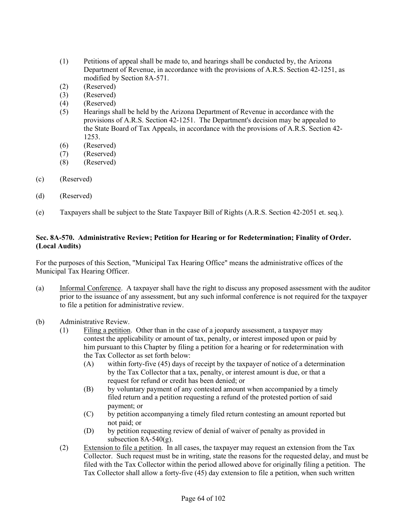- (1) Petitions of appeal shall be made to, and hearings shall be conducted by, the Arizona Department of Revenue, in accordance with the provisions of A.R.S. Section 42-1251, as modified by Section 8A-571.
- (2) (Reserved)
- (3) (Reserved)
- (4) (Reserved)
- (5) Hearings shall be held by the Arizona Department of Revenue in accordance with the provisions of A.R.S. Section 42-1251. The Department's decision may be appealed to the State Board of Tax Appeals, in accordance with the provisions of A.R.S. Section 42- 1253.
- (6) (Reserved)
- (7) (Reserved)
- (8) (Reserved)
- (c) (Reserved)
- (d) (Reserved)
- (e) Taxpayers shall be subject to the State Taxpayer Bill of Rights (A.R.S. Section 42-2051 et. seq.).

# **Sec. 8A-570. Administrative Review; Petition for Hearing or for Redetermination; Finality of Order. (Local Audits)**

For the purposes of this Section, "Municipal Tax Hearing Office" means the administrative offices of the Municipal Tax Hearing Officer.

- (a) Informal Conference. A taxpayer shall have the right to discuss any proposed assessment with the auditor prior to the issuance of any assessment, but any such informal conference is not required for the taxpayer to file a petition for administrative review.
- (b) Administrative Review.
	- (1) Filing a petition. Other than in the case of a jeopardy assessment, a taxpayer may contest the applicability or amount of tax, penalty, or interest imposed upon or paid by him pursuant to this Chapter by filing a petition for a hearing or for redetermination with the Tax Collector as set forth below:
		- (A) within forty-five (45) days of receipt by the taxpayer of notice of a determination by the Tax Collector that a tax, penalty, or interest amount is due, or that a request for refund or credit has been denied; or
		- (B) by voluntary payment of any contested amount when accompanied by a timely filed return and a petition requesting a refund of the protested portion of said payment; or
		- (C) by petition accompanying a timely filed return contesting an amount reported but not paid; or
		- (D) by petition requesting review of denial of waiver of penalty as provided in subsection  $8A-540(g)$ .
	- (2) Extension to file a petition. In all cases, the taxpayer may request an extension from the Tax Collector. Such request must be in writing, state the reasons for the requested delay, and must be filed with the Tax Collector within the period allowed above for originally filing a petition. The Tax Collector shall allow a forty-five (45) day extension to file a petition, when such written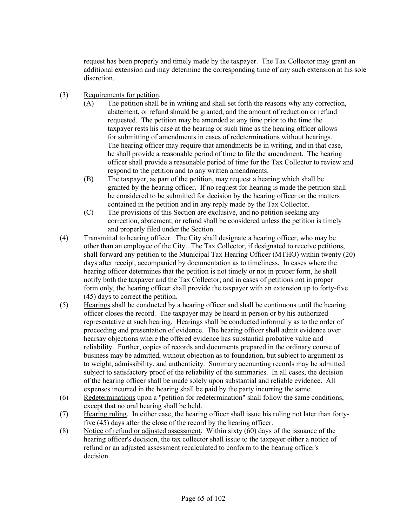request has been properly and timely made by the taxpayer. The Tax Collector may grant an additional extension and may determine the corresponding time of any such extension at his sole discretion.

- (3) Requirements for petition.
	- (A) The petition shall be in writing and shall set forth the reasons why any correction, abatement, or refund should be granted, and the amount of reduction or refund requested. The petition may be amended at any time prior to the time the taxpayer rests his case at the hearing or such time as the hearing officer allows for submitting of amendments in cases of redeterminations without hearings. The hearing officer may require that amendments be in writing, and in that case, he shall provide a reasonable period of time to file the amendment. The hearing officer shall provide a reasonable period of time for the Tax Collector to review and respond to the petition and to any written amendments.
	- (B) The taxpayer, as part of the petition, may request a hearing which shall be granted by the hearing officer. If no request for hearing is made the petition shall be considered to be submitted for decision by the hearing officer on the matters contained in the petition and in any reply made by the Tax Collector.
	- (C) The provisions of this Section are exclusive, and no petition seeking any correction, abatement, or refund shall be considered unless the petition is timely and properly filed under the Section.
- (4) Transmittal to hearing officer. The City shall designate a hearing officer, who may be other than an employee of the City. The Tax Collector, if designated to receive petitions, shall forward any petition to the Municipal Tax Hearing Officer (MTHO) within twenty (20) days after receipt, accompanied by documentation as to timeliness. In cases where the hearing officer determines that the petition is not timely or not in proper form, he shall notify both the taxpayer and the Tax Collector; and in cases of petitions not in proper form only, the hearing officer shall provide the taxpayer with an extension up to forty-five (45) days to correct the petition.
- (5) Hearings shall be conducted by a hearing officer and shall be continuous until the hearing officer closes the record. The taxpayer may be heard in person or by his authorized representative at such hearing. Hearings shall be conducted informally as to the order of proceeding and presentation of evidence. The hearing officer shall admit evidence over hearsay objections where the offered evidence has substantial probative value and reliability. Further, copies of records and documents prepared in the ordinary course of business may be admitted, without objection as to foundation, but subject to argument as to weight, admissibility, and authenticity. Summary accounting records may be admitted subject to satisfactory proof of the reliability of the summaries. In all cases, the decision of the hearing officer shall be made solely upon substantial and reliable evidence. All expenses incurred in the hearing shall be paid by the party incurring the same.
- (6) Redeterminations upon a "petition for redetermination" shall follow the same conditions, except that no oral hearing shall be held.
- (7) Hearing ruling. In either case, the hearing officer shall issue his ruling not later than fortyfive (45) days after the close of the record by the hearing officer.
- (8) Notice of refund or adjusted assessment. Within sixty (60) days of the issuance of the hearing officer's decision, the tax collector shall issue to the taxpayer either a notice of refund or an adjusted assessment recalculated to conform to the hearing officer's decision.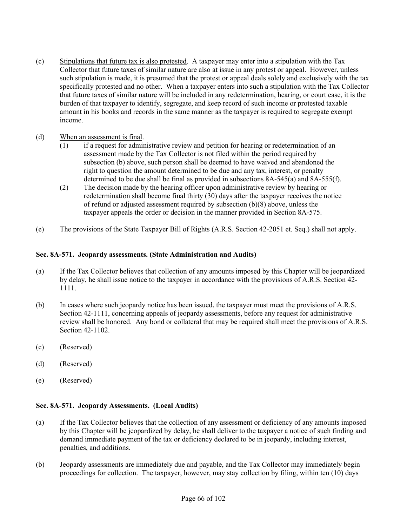(c) Stipulations that future tax is also protested. A taxpayer may enter into a stipulation with the Tax Collector that future taxes of similar nature are also at issue in any protest or appeal. However, unless such stipulation is made, it is presumed that the protest or appeal deals solely and exclusively with the tax specifically protested and no other. When a taxpayer enters into such a stipulation with the Tax Collector that future taxes of similar nature will be included in any redetermination, hearing, or court case, it is the burden of that taxpayer to identify, segregate, and keep record of such income or protested taxable amount in his books and records in the same manner as the taxpayer is required to segregate exempt income.

# (d) When an assessment is final.

- (1) if a request for administrative review and petition for hearing or redetermination of an assessment made by the Tax Collector is not filed within the period required by subsection (b) above, such person shall be deemed to have waived and abandoned the right to question the amount determined to be due and any tax, interest, or penalty determined to be due shall be final as provided in subsections 8A-545(a) and 8A-555(f).
- (2) The decision made by the hearing officer upon administrative review by hearing or redetermination shall become final thirty (30) days after the taxpayer receives the notice of refund or adjusted assessment required by subsection (b)(8) above, unless the taxpayer appeals the order or decision in the manner provided in Section 8A-575.
- (e) The provisions of the State Taxpayer Bill of Rights (A.R.S. Section 42-2051 et. Seq.) shall not apply.

### **Sec. 8A-571. Jeopardy assessments. (State Administration and Audits)**

- (a) If the Tax Collector believes that collection of any amounts imposed by this Chapter will be jeopardized by delay, he shall issue notice to the taxpayer in accordance with the provisions of A.R.S. Section 42- 1111.
- (b) In cases where such jeopardy notice has been issued, the taxpayer must meet the provisions of A.R.S. Section 42-1111, concerning appeals of jeopardy assessments, before any request for administrative review shall be honored. Any bond or collateral that may be required shall meet the provisions of A.R.S. Section 42-1102.
- (c) (Reserved)
- (d) (Reserved)
- (e) (Reserved)

### **Sec. 8A-571. Jeopardy Assessments. (Local Audits)**

- (a) If the Tax Collector believes that the collection of any assessment or deficiency of any amounts imposed by this Chapter will be jeopardized by delay, he shall deliver to the taxpayer a notice of such finding and demand immediate payment of the tax or deficiency declared to be in jeopardy, including interest, penalties, and additions.
- (b) Jeopardy assessments are immediately due and payable, and the Tax Collector may immediately begin proceedings for collection. The taxpayer, however, may stay collection by filing, within ten (10) days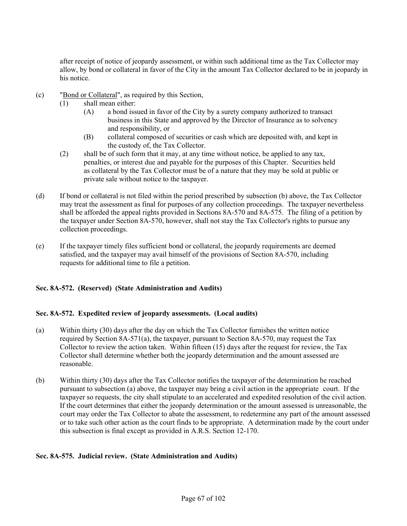after receipt of notice of jeopardy assessment, or within such additional time as the Tax Collector may allow, by bond or collateral in favor of the City in the amount Tax Collector declared to be in jeopardy in his notice.

- (c) "Bond or Collateral", as required by this Section,
	- (1) shall mean either:
		- (A) a bond issued in favor of the City by a surety company authorized to transact business in this State and approved by the Director of Insurance as to solvency and responsibility, or
		- (B) collateral composed of securities or cash which are deposited with, and kept in the custody of, the Tax Collector.
	- (2) shall be of such form that it may, at any time without notice, be applied to any tax, penalties, or interest due and payable for the purposes of this Chapter. Securities held as collateral by the Tax Collector must be of a nature that they may be sold at public or private sale without notice to the taxpayer.
- (d) If bond or collateral is not filed within the period prescribed by subsection (b) above, the Tax Collector may treat the assessment as final for purposes of any collection proceedings. The taxpayer nevertheless shall be afforded the appeal rights provided in Sections 8A-570 and 8A-575. The filing of a petition by the taxpayer under Section 8A-570, however, shall not stay the Tax Collector's rights to pursue any collection proceedings.
- (e) If the taxpayer timely files sufficient bond or collateral, the jeopardy requirements are deemed satisfied, and the taxpayer may avail himself of the provisions of Section 8A-570, including requests for additional time to file a petition.

# **Sec. 8A-572. (Reserved) (State Administration and Audits)**

### **Sec. 8A-572. Expedited review of jeopardy assessments. (Local audits)**

- (a) Within thirty (30) days after the day on which the Tax Collector furnishes the written notice required by Section 8A-571(a), the taxpayer, pursuant to Section 8A-570, may request the Tax Collector to review the action taken. Within fifteen (15) days after the request for review, the Tax Collector shall determine whether both the jeopardy determination and the amount assessed are reasonable.
- (b) Within thirty (30) days after the Tax Collector notifies the taxpayer of the determination he reached pursuant to subsection (a) above, the taxpayer may bring a civil action in the appropriate court. If the taxpayer so requests, the city shall stipulate to an accelerated and expedited resolution of the civil action. If the court determines that either the jeopardy determination or the amount assessed is unreasonable, the court may order the Tax Collector to abate the assessment, to redetermine any part of the amount assessed or to take such other action as the court finds to be appropriate. A determination made by the court under this subsection is final except as provided in A.R.S. Section 12-170.

### **Sec. 8A-575. Judicial review. (State Administration and Audits)**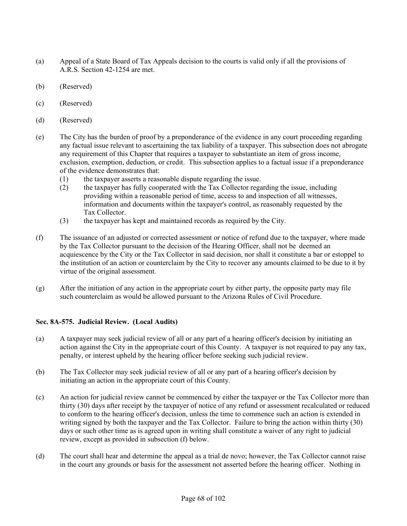- (a) Appeal of a State Board of Tax Appeals decision to the courts is valid only if all the provisions of A.R.S. Section 42-1254 are met.
- (b) (Reserved)
- (c) (Reserved)
- (d) (Reserved)
- (e) The City has the burden of proof by a preponderance of the evidence in any court proceeding regarding any factual issue relevant to ascertaining the tax liability of a taxpayer. This subsection does not abrogate any requirement of this Chapter that requires a taxpayer to substantiate an item of gross income, exclusion, exemption, deduction, or credit. This subsection applies to a factual issue if a preponderance of the evidence demonstrates that:
	- (1) the taxpayer asserts a reasonable dispute regarding the issue.
	- (2) the taxpayer has fully cooperated with the Tax Collector regarding the issue, including providing within a reasonable period of time, access to and inspection of all witnesses, information and documents within the taxpayer's control, as reasonably requested by the Tax Collector.
	- (3) the taxpayer has kept and maintained records as required by the City.
- (f) The issuance of an adjusted or corrected assessment or notice of refund due to the taxpayer, where made by the Tax Collector pursuant to the decision of the Hearing Officer, shall not be deemed an acquiescence by the City or the Tax Collector in said decision, nor shall it constitute a bar or estoppel to the institution of an action or counterclaim by the City to recover any amounts claimed to be due to it by virtue of the original assessment.
- (g) After the initiation of any action in the appropriate court by either party, the opposite party may file such counterclaim as would be allowed pursuant to the Arizona Rules of Civil Procedure.

# **Sec. 8A-575. Judicial Review. (Local Audits)**

- (a) A taxpayer may seek judicial review of all or any part of a hearing officer's decision by initiating an action against the City in the appropriate court of this County. A taxpayer is not required to pay any tax, penalty, or interest upheld by the hearing officer before seeking such judicial review.
- (b) The Tax Collector may seek judicial review of all or any part of a hearing officer's decision by initiating an action in the appropriate court of this County.
- (c) An action for judicial review cannot be commenced by either the taxpayer or the Tax Collector more than thirty (30) days after receipt by the taxpayer of notice of any refund or assessment recalculated or reduced to conform to the hearing officer's decision, unless the time to commence such an action is extended in writing signed by both the taxpayer and the Tax Collector. Failure to bring the action within thirty (30) days or such other time as is agreed upon in writing shall constitute a waiver of any right to judicial review, except as provided in subsection (f) below.
- (d) The court shall hear and determine the appeal as a trial de novo; however, the Tax Collector cannot raise in the court any grounds or basis for the assessment not asserted before the hearing officer. Nothing in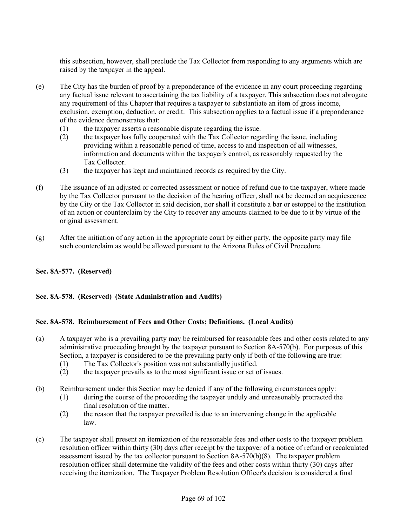this subsection, however, shall preclude the Tax Collector from responding to any arguments which are raised by the taxpayer in the appeal.

- (e) The City has the burden of proof by a preponderance of the evidence in any court proceeding regarding any factual issue relevant to ascertaining the tax liability of a taxpayer. This subsection does not abrogate any requirement of this Chapter that requires a taxpayer to substantiate an item of gross income, exclusion, exemption, deduction, or credit. This subsection applies to a factual issue if a preponderance of the evidence demonstrates that:
	- (1) the taxpayer asserts a reasonable dispute regarding the issue.
	- (2) the taxpayer has fully cooperated with the Tax Collector regarding the issue, including providing within a reasonable period of time, access to and inspection of all witnesses, information and documents within the taxpayer's control, as reasonably requested by the Tax Collector.
	- (3) the taxpayer has kept and maintained records as required by the City.
- (f) The issuance of an adjusted or corrected assessment or notice of refund due to the taxpayer, where made by the Tax Collector pursuant to the decision of the hearing officer, shall not be deemed an acquiescence by the City or the Tax Collector in said decision, nor shall it constitute a bar or estoppel to the institution of an action or counterclaim by the City to recover any amounts claimed to be due to it by virtue of the original assessment.
- (g) After the initiation of any action in the appropriate court by either party, the opposite party may file such counterclaim as would be allowed pursuant to the Arizona Rules of Civil Procedure.

# **Sec. 8A-577. (Reserved)**

# **Sec. 8A-578. (Reserved) (State Administration and Audits)**

# **Sec. 8A-578. Reimbursement of Fees and Other Costs; Definitions. (Local Audits)**

- (a) A taxpayer who is a prevailing party may be reimbursed for reasonable fees and other costs related to any administrative proceeding brought by the taxpayer pursuant to Section 8A-570(b). For purposes of this Section, a taxpayer is considered to be the prevailing party only if both of the following are true:
	- (1) The Tax Collector's position was not substantially justified.
	- (2) the taxpayer prevails as to the most significant issue or set of issues.
- (b) Reimbursement under this Section may be denied if any of the following circumstances apply:
	- (1) during the course of the proceeding the taxpayer unduly and unreasonably protracted the final resolution of the matter.
	- (2) the reason that the taxpayer prevailed is due to an intervening change in the applicable law.
- (c) The taxpayer shall present an itemization of the reasonable fees and other costs to the taxpayer problem resolution officer within thirty (30) days after receipt by the taxpayer of a notice of refund or recalculated assessment issued by the tax collector pursuant to Section 8A-570(b)(8). The taxpayer problem resolution officer shall determine the validity of the fees and other costs within thirty (30) days after receiving the itemization. The Taxpayer Problem Resolution Officer's decision is considered a final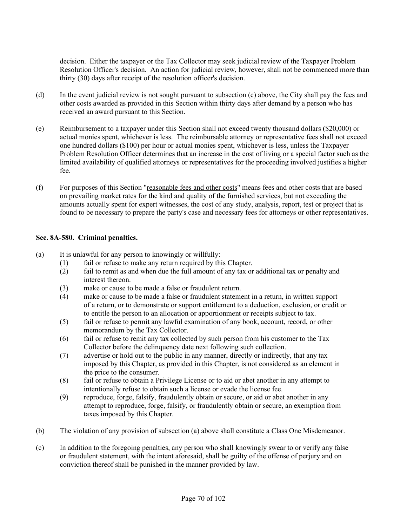decision. Either the taxpayer or the Tax Collector may seek judicial review of the Taxpayer Problem Resolution Officer's decision. An action for judicial review, however, shall not be commenced more than thirty (30) days after receipt of the resolution officer's decision.

- (d) In the event judicial review is not sought pursuant to subsection (c) above, the City shall pay the fees and other costs awarded as provided in this Section within thirty days after demand by a person who has received an award pursuant to this Section.
- (e) Reimbursement to a taxpayer under this Section shall not exceed twenty thousand dollars (\$20,000) or actual monies spent, whichever is less. The reimbursable attorney or representative fees shall not exceed one hundred dollars (\$100) per hour or actual monies spent, whichever is less, unless the Taxpayer Problem Resolution Officer determines that an increase in the cost of living or a special factor such as the limited availability of qualified attorneys or representatives for the proceeding involved justifies a higher fee.
- (f) For purposes of this Section "reasonable fees and other costs" means fees and other costs that are based on prevailing market rates for the kind and quality of the furnished services, but not exceeding the amounts actually spent for expert witnesses, the cost of any study, analysis, report, test or project that is found to be necessary to prepare the party's case and necessary fees for attorneys or other representatives.

### **Sec. 8A-580. Criminal penalties.**

- (a) It is unlawful for any person to knowingly or willfully:
	- (1) fail or refuse to make any return required by this Chapter.
	- (2) fail to remit as and when due the full amount of any tax or additional tax or penalty and interest thereon.
	- (3) make or cause to be made a false or fraudulent return.
	- (4) make or cause to be made a false or fraudulent statement in a return, in written support of a return, or to demonstrate or support entitlement to a deduction, exclusion, or credit or to entitle the person to an allocation or apportionment or receipts subject to tax.
	- (5) fail or refuse to permit any lawful examination of any book, account, record, or other memorandum by the Tax Collector.
	- (6) fail or refuse to remit any tax collected by such person from his customer to the Tax Collector before the delinquency date next following such collection.
	- (7) advertise or hold out to the public in any manner, directly or indirectly, that any tax imposed by this Chapter, as provided in this Chapter, is not considered as an element in the price to the consumer.
	- (8) fail or refuse to obtain a Privilege License or to aid or abet another in any attempt to intentionally refuse to obtain such a license or evade the license fee.
	- (9) reproduce, forge, falsify, fraudulently obtain or secure, or aid or abet another in any attempt to reproduce, forge, falsify, or fraudulently obtain or secure, an exemption from taxes imposed by this Chapter.
- (b) The violation of any provision of subsection (a) above shall constitute a Class One Misdemeanor.
- (c) In addition to the foregoing penalties, any person who shall knowingly swear to or verify any false or fraudulent statement, with the intent aforesaid, shall be guilty of the offense of perjury and on conviction thereof shall be punished in the manner provided by law.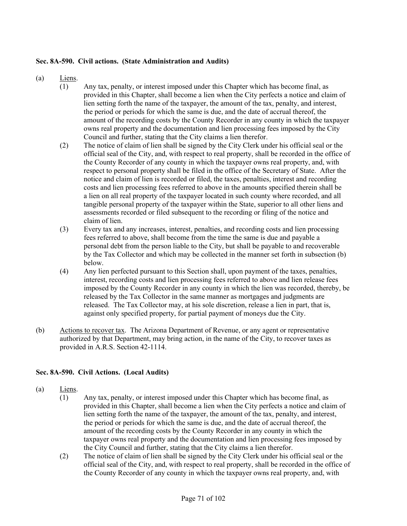### **Sec. 8A-590. Civil actions. (State Administration and Audits)**

- (a) Liens.
	- (1) Any tax, penalty, or interest imposed under this Chapter which has become final, as provided in this Chapter, shall become a lien when the City perfects a notice and claim of lien setting forth the name of the taxpayer, the amount of the tax, penalty, and interest, the period or periods for which the same is due, and the date of accrual thereof, the amount of the recording costs by the County Recorder in any county in which the taxpayer owns real property and the documentation and lien processing fees imposed by the City Council and further, stating that the City claims a lien therefor.
	- (2) The notice of claim of lien shall be signed by the City Clerk under his official seal or the official seal of the City, and, with respect to real property, shall be recorded in the office of the County Recorder of any county in which the taxpayer owns real property, and, with respect to personal property shall be filed in the office of the Secretary of State. After the notice and claim of lien is recorded or filed, the taxes, penalties, interest and recording costs and lien processing fees referred to above in the amounts specified therein shall be a lien on all real property of the taxpayer located in such county where recorded, and all tangible personal property of the taxpayer within the State, superior to all other liens and assessments recorded or filed subsequent to the recording or filing of the notice and claim of lien.
	- (3) Every tax and any increases, interest, penalties, and recording costs and lien processing fees referred to above, shall become from the time the same is due and payable a personal debt from the person liable to the City, but shall be payable to and recoverable by the Tax Collector and which may be collected in the manner set forth in subsection (b) below.
	- (4) Any lien perfected pursuant to this Section shall, upon payment of the taxes, penalties, interest, recording costs and lien processing fees referred to above and lien release fees imposed by the County Recorder in any county in which the lien was recorded, thereby, be released by the Tax Collector in the same manner as mortgages and judgments are released. The Tax Collector may, at his sole discretion, release a lien in part, that is, against only specified property, for partial payment of moneys due the City.
- (b) Actions to recover tax. The Arizona Department of Revenue, or any agent or representative authorized by that Department, may bring action, in the name of the City, to recover taxes as provided in A.R.S. Section 42-1114.

# **Sec. 8A-590. Civil Actions. (Local Audits)**

- (a) Liens.
	- (1) Any tax, penalty, or interest imposed under this Chapter which has become final, as provided in this Chapter, shall become a lien when the City perfects a notice and claim of lien setting forth the name of the taxpayer, the amount of the tax, penalty, and interest, the period or periods for which the same is due, and the date of accrual thereof, the amount of the recording costs by the County Recorder in any county in which the taxpayer owns real property and the documentation and lien processing fees imposed by the City Council and further, stating that the City claims a lien therefor.
	- (2) The notice of claim of lien shall be signed by the City Clerk under his official seal or the official seal of the City, and, with respect to real property, shall be recorded in the office of the County Recorder of any county in which the taxpayer owns real property, and, with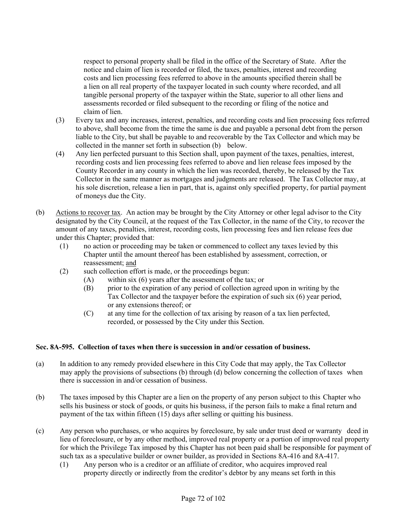respect to personal property shall be filed in the office of the Secretary of State. After the notice and claim of lien is recorded or filed, the taxes, penalties, interest and recording costs and lien processing fees referred to above in the amounts specified therein shall be a lien on all real property of the taxpayer located in such county where recorded, and all tangible personal property of the taxpayer within the State, superior to all other liens and assessments recorded or filed subsequent to the recording or filing of the notice and claim of lien.

- (3) Every tax and any increases, interest, penalties, and recording costs and lien processing fees referred to above, shall become from the time the same is due and payable a personal debt from the person liable to the City, but shall be payable to and recoverable by the Tax Collector and which may be collected in the manner set forth in subsection (b) below.
- (4) Any lien perfected pursuant to this Section shall, upon payment of the taxes, penalties, interest, recording costs and lien processing fees referred to above and lien release fees imposed by the County Recorder in any county in which the lien was recorded, thereby, be released by the Tax Collector in the same manner as mortgages and judgments are released. The Tax Collector may, at his sole discretion, release a lien in part, that is, against only specified property, for partial payment of moneys due the City.
- (b) Actions to recover tax. An action may be brought by the City Attorney or other legal advisor to the City designated by the City Council, at the request of the Tax Collector, in the name of the City, to recover the amount of any taxes, penalties, interest, recording costs, lien processing fees and lien release fees due under this Chapter; provided that:
	- (1) no action or proceeding may be taken or commenced to collect any taxes levied by this Chapter until the amount thereof has been established by assessment, correction, or reassessment; and
	- (2) such collection effort is made, or the proceedings begun:
		- (A) within six (6) years after the assessment of the tax; or
		- (B) prior to the expiration of any period of collection agreed upon in writing by the Tax Collector and the taxpayer before the expiration of such six (6) year period, or any extensions thereof; or
		- (C) at any time for the collection of tax arising by reason of a tax lien perfected, recorded, or possessed by the City under this Section.

### **Sec. 8A-595. Collection of taxes when there is succession in and/or cessation of business.**

- (a) In addition to any remedy provided elsewhere in this City Code that may apply, the Tax Collector may apply the provisions of subsections (b) through (d) below concerning the collection of taxes when there is succession in and/or cessation of business.
- (b) The taxes imposed by this Chapter are a lien on the property of any person subject to this Chapter who sells his business or stock of goods, or quits his business, if the person fails to make a final return and payment of the tax within fifteen (15) days after selling or quitting his business.
- (c) Any person who purchases, or who acquires by foreclosure, by sale under trust deed or warranty deed in lieu of foreclosure, or by any other method, improved real property or a portion of improved real property for which the Privilege Tax imposed by this Chapter has not been paid shall be responsible for payment of such tax as a speculative builder or owner builder, as provided in Sections 8A-416 and 8A-417.
	- (1) Any person who is a creditor or an affiliate of creditor, who acquires improved real property directly or indirectly from the creditor's debtor by any means set forth in this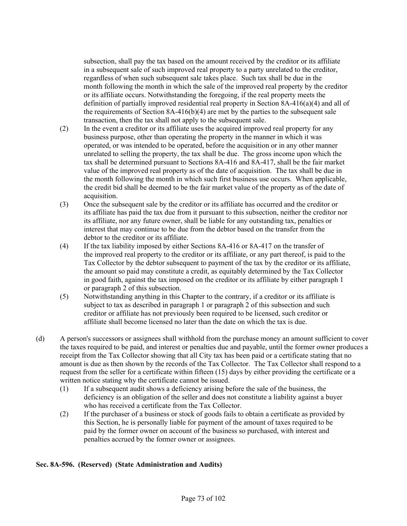subsection, shall pay the tax based on the amount received by the creditor or its affiliate in a subsequent sale of such improved real property to a party unrelated to the creditor, regardless of when such subsequent sale takes place. Such tax shall be due in the month following the month in which the sale of the improved real property by the creditor or its affiliate occurs. Notwithstanding the foregoing, if the real property meets the definition of partially improved residential real property in Section 8A-416(a)(4) and all of the requirements of Section 8A-416(b)(4) are met by the parties to the subsequent sale transaction, then the tax shall not apply to the subsequent sale.

- (2) In the event a creditor or its affiliate uses the acquired improved real property for any business purpose, other than operating the property in the manner in which it was operated, or was intended to be operated, before the acquisition or in any other manner unrelated to selling the property, the tax shall be due. The gross income upon which the tax shall be determined pursuant to Sections 8A-416 and 8A-417, shall be the fair market value of the improved real property as of the date of acquisition. The tax shall be due in the month following the month in which such first business use occurs. When applicable, the credit bid shall be deemed to be the fair market value of the property as of the date of acquisition.
- (3) Once the subsequent sale by the creditor or its affiliate has occurred and the creditor or its affiliate has paid the tax due from it pursuant to this subsection, neither the creditor nor its affiliate, nor any future owner, shall be liable for any outstanding tax, penalties or interest that may continue to be due from the debtor based on the transfer from the debtor to the creditor or its affiliate.
- (4) If the tax liability imposed by either Sections 8A-416 or 8A-417 on the transfer of the improved real property to the creditor or its affiliate, or any part thereof, is paid to the Tax Collector by the debtor subsequent to payment of the tax by the creditor or its affiliate, the amount so paid may constitute a credit, as equitably determined by the Tax Collector in good faith, against the tax imposed on the creditor or its affiliate by either paragraph 1 or paragraph 2 of this subsection.
- (5) Notwithstanding anything in this Chapter to the contrary, if a creditor or its affiliate is subject to tax as described in paragraph 1 or paragraph 2 of this subsection and such creditor or affiliate has not previously been required to be licensed, such creditor or affiliate shall become licensed no later than the date on which the tax is due.
- (d) A person's successors or assignees shall withhold from the purchase money an amount sufficient to cover the taxes required to be paid, and interest or penalties due and payable, until the former owner produces a receipt from the Tax Collector showing that all City tax has been paid or a certificate stating that no amount is due as then shown by the records of the Tax Collector. The Tax Collector shall respond to a request from the seller for a certificate within fifteen (15) days by either providing the certificate or a written notice stating why the certificate cannot be issued.
	- (1) If a subsequent audit shows a deficiency arising before the sale of the business, the deficiency is an obligation of the seller and does not constitute a liability against a buyer who has received a certificate from the Tax Collector.
	- (2) If the purchaser of a business or stock of goods fails to obtain a certificate as provided by this Section, he is personally liable for payment of the amount of taxes required to be paid by the former owner on account of the business so purchased, with interest and penalties accrued by the former owner or assignees.

### **Sec. 8A-596. (Reserved) (State Administration and Audits)**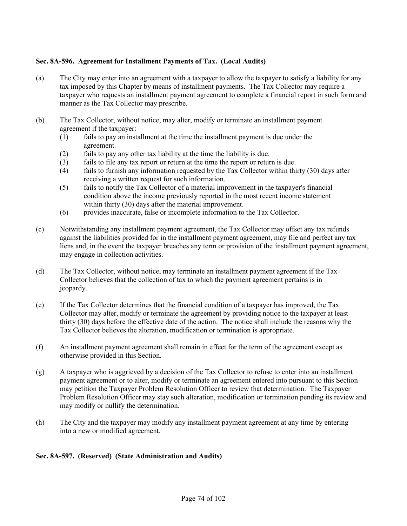### **Sec. 8A-596. Agreement for Installment Payments of Tax. (Local Audits)**

- (a) The City may enter into an agreement with a taxpayer to allow the taxpayer to satisfy a liability for any tax imposed by this Chapter by means of installment payments. The Tax Collector may require a taxpayer who requests an installment payment agreement to complete a financial report in such form and manner as the Tax Collector may prescribe.
- (b) The Tax Collector, without notice, may alter, modify or terminate an installment payment agreement if the taxpayer:
	- (1) fails to pay an installment at the time the installment payment is due under the agreement.
	- (2) fails to pay any other tax liability at the time the liability is due.
	- (3) fails to file any tax report or return at the time the report or return is due.
	- (4) fails to furnish any information requested by the Tax Collector within thirty (30) days after receiving a written request for such information.
	- (5) fails to notify the Tax Collector of a material improvement in the taxpayer's financial condition above the income previously reported in the most recent income statement within thirty (30) days after the material improvement.
	- (6) provides inaccurate, false or incomplete information to the Tax Collector.
- (c) Notwithstanding any installment payment agreement, the Tax Collector may offset any tax refunds against the liabilities provided for in the installment payment agreement, may file and perfect any tax liens and, in the event the taxpayer breaches any term or provision of the installment payment agreement, may engage in collection activities.
- (d) The Tax Collector, without notice, may terminate an installment payment agreement if the Tax Collector believes that the collection of tax to which the payment agreement pertains is in jeopardy.
- (e) If the Tax Collector determines that the financial condition of a taxpayer has improved, the Tax Collector may alter, modify or terminate the agreement by providing notice to the taxpayer at least thirty (30) days before the effective date of the action. The notice shall include the reasons why the Tax Collector believes the alteration, modification or termination is appropriate.
- (f) An installment payment agreement shall remain in effect for the term of the agreement except as otherwise provided in this Section.
- (g) A taxpayer who is aggrieved by a decision of the Tax Collector to refuse to enter into an installment payment agreement or to alter, modify or terminate an agreement entered into pursuant to this Section may petition the Taxpayer Problem Resolution Officer to review that determination. The Taxpayer Problem Resolution Officer may stay such alteration, modification or termination pending its review and may modify or nullify the determination.
- (h) The City and the taxpayer may modify any installment payment agreement at any time by entering into a new or modified agreement.

### **Sec. 8A-597. (Reserved) (State Administration and Audits)**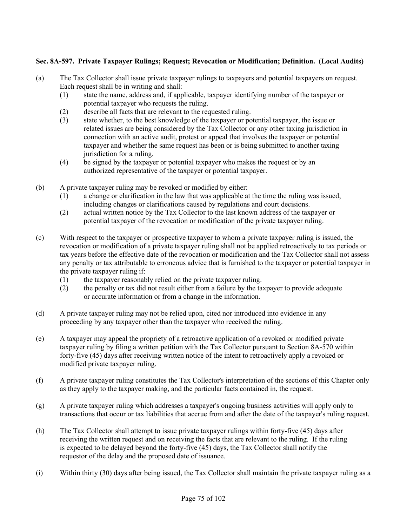# **Sec. 8A-597. Private Taxpayer Rulings; Request; Revocation or Modification; Definition. (Local Audits)**

- (a) The Tax Collector shall issue private taxpayer rulings to taxpayers and potential taxpayers on request. Each request shall be in writing and shall:
	- (1) state the name, address and, if applicable, taxpayer identifying number of the taxpayer or potential taxpayer who requests the ruling.
	- (2) describe all facts that are relevant to the requested ruling.
	- (3) state whether, to the best knowledge of the taxpayer or potential taxpayer, the issue or related issues are being considered by the Tax Collector or any other taxing jurisdiction in connection with an active audit, protest or appeal that involves the taxpayer or potential taxpayer and whether the same request has been or is being submitted to another taxing jurisdiction for a ruling.
	- (4) be signed by the taxpayer or potential taxpayer who makes the request or by an authorized representative of the taxpayer or potential taxpayer.
- (b) A private taxpayer ruling may be revoked or modified by either:
	- (1) a change or clarification in the law that was applicable at the time the ruling was issued, including changes or clarifications caused by regulations and court decisions.
	- (2) actual written notice by the Tax Collector to the last known address of the taxpayer or potential taxpayer of the revocation or modification of the private taxpayer ruling.
- (c) With respect to the taxpayer or prospective taxpayer to whom a private taxpayer ruling is issued, the revocation or modification of a private taxpayer ruling shall not be applied retroactively to tax periods or tax years before the effective date of the revocation or modification and the Tax Collector shall not assess any penalty or tax attributable to erroneous advice that is furnished to the taxpayer or potential taxpayer in the private taxpayer ruling if:
	- (1) the taxpayer reasonably relied on the private taxpayer ruling.
	- (2) the penalty or tax did not result either from a failure by the taxpayer to provide adequate or accurate information or from a change in the information.
- (d) A private taxpayer ruling may not be relied upon, cited nor introduced into evidence in any proceeding by any taxpayer other than the taxpayer who received the ruling.
- (e) A taxpayer may appeal the propriety of a retroactive application of a revoked or modified private taxpayer ruling by filing a written petition with the Tax Collector pursuant to Section 8A-570 within forty-five (45) days after receiving written notice of the intent to retroactively apply a revoked or modified private taxpayer ruling.
- (f) A private taxpayer ruling constitutes the Tax Collector's interpretation of the sections of this Chapter only as they apply to the taxpayer making, and the particular facts contained in, the request.
- (g) A private taxpayer ruling which addresses a taxpayer's ongoing business activities will apply only to transactions that occur or tax liabilities that accrue from and after the date of the taxpayer's ruling request.
- (h) The Tax Collector shall attempt to issue private taxpayer rulings within forty-five (45) days after receiving the written request and on receiving the facts that are relevant to the ruling. If the ruling is expected to be delayed beyond the forty-five (45) days, the Tax Collector shall notify the requestor of the delay and the proposed date of issuance.
- (i) Within thirty (30) days after being issued, the Tax Collector shall maintain the private taxpayer ruling as a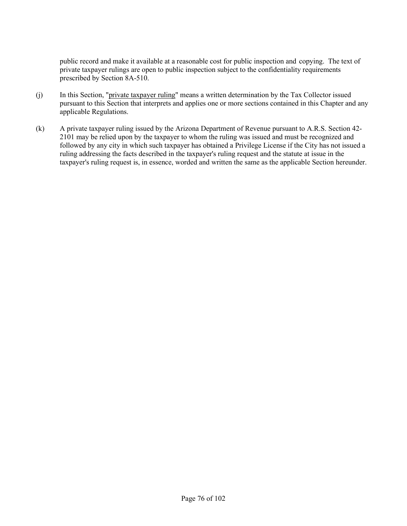public record and make it available at a reasonable cost for public inspection and copying. The text of private taxpayer rulings are open to public inspection subject to the confidentiality requirements prescribed by Section 8A-510.

- (j) In this Section, "private taxpayer ruling" means a written determination by the Tax Collector issued pursuant to this Section that interprets and applies one or more sections contained in this Chapter and any applicable Regulations.
- (k) A private taxpayer ruling issued by the Arizona Department of Revenue pursuant to A.R.S. Section 42- 2101 may be relied upon by the taxpayer to whom the ruling was issued and must be recognized and followed by any city in which such taxpayer has obtained a Privilege License if the City has not issued a ruling addressing the facts described in the taxpayer's ruling request and the statute at issue in the taxpayer's ruling request is, in essence, worded and written the same as the applicable Section hereunder.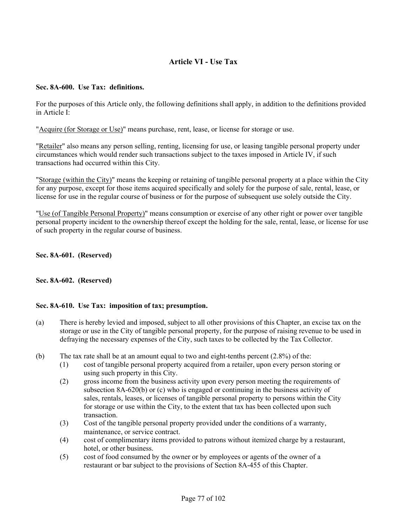# **Article VI - Use Tax**

### **Sec. 8A-600. Use Tax: definitions.**

For the purposes of this Article only, the following definitions shall apply, in addition to the definitions provided in Article I:

"Acquire (for Storage or Use)" means purchase, rent, lease, or license for storage or use.

"Retailer" also means any person selling, renting, licensing for use, or leasing tangible personal property under circumstances which would render such transactions subject to the taxes imposed in Article IV, if such transactions had occurred within this City.

"Storage (within the City)" means the keeping or retaining of tangible personal property at a place within the City for any purpose, except for those items acquired specifically and solely for the purpose of sale, rental, lease, or license for use in the regular course of business or for the purpose of subsequent use solely outside the City.

"Use (of Tangible Personal Property)" means consumption or exercise of any other right or power over tangible personal property incident to the ownership thereof except the holding for the sale, rental, lease, or license for use of such property in the regular course of business.

**Sec. 8A-601. (Reserved)**

### **Sec. 8A-602. (Reserved)**

#### **Sec. 8A-610. Use Tax: imposition of tax; presumption.**

- (a) There is hereby levied and imposed, subject to all other provisions of this Chapter, an excise tax on the storage or use in the City of tangible personal property, for the purpose of raising revenue to be used in defraying the necessary expenses of the City, such taxes to be collected by the Tax Collector.
- (b) The tax rate shall be at an amount equal to two and eight-tenths percent (2.8%) of the:
	- (1) cost of tangible personal property acquired from a retailer, upon every person storing or using such property in this City.
	- (2) gross income from the business activity upon every person meeting the requirements of subsection 8A-620(b) or (c) who is engaged or continuing in the business activity of sales, rentals, leases, or licenses of tangible personal property to persons within the City for storage or use within the City, to the extent that tax has been collected upon such transaction.
	- (3) Cost of the tangible personal property provided under the conditions of a warranty, maintenance, or service contract.
	- (4) cost of complimentary items provided to patrons without itemized charge by a restaurant, hotel, or other business.
	- (5) cost of food consumed by the owner or by employees or agents of the owner of a restaurant or bar subject to the provisions of Section 8A-455 of this Chapter.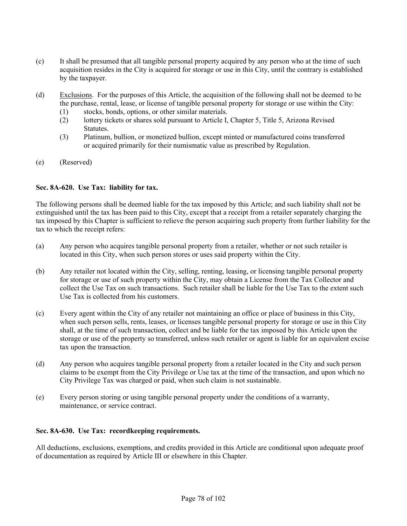- (c) It shall be presumed that all tangible personal property acquired by any person who at the time of such acquisition resides in the City is acquired for storage or use in this City, until the contrary is established by the taxpayer.
- (d) Exclusions. For the purposes of this Article, the acquisition of the following shall not be deemed to be the purchase, rental, lease, or license of tangible personal property for storage or use within the City:
	- (1) stocks, bonds, options, or other similar materials.
	- (2) lottery tickets or shares sold pursuant to Article I, Chapter 5, Title 5, Arizona Revised Statutes.
	- (3) Platinum, bullion, or monetized bullion, except minted or manufactured coins transferred or acquired primarily for their numismatic value as prescribed by Regulation.
- (e) (Reserved)

### **Sec. 8A-620. Use Tax: liability for tax.**

The following persons shall be deemed liable for the tax imposed by this Article; and such liability shall not be extinguished until the tax has been paid to this City, except that a receipt from a retailer separately charging the tax imposed by this Chapter is sufficient to relieve the person acquiring such property from further liability for the tax to which the receipt refers:

- (a) Any person who acquires tangible personal property from a retailer, whether or not such retailer is located in this City, when such person stores or uses said property within the City.
- (b) Any retailer not located within the City, selling, renting, leasing, or licensing tangible personal property for storage or use of such property within the City, may obtain a License from the Tax Collector and collect the Use Tax on such transactions. Such retailer shall be liable for the Use Tax to the extent such Use Tax is collected from his customers.
- (c) Every agent within the City of any retailer not maintaining an office or place of business in this City, when such person sells, rents, leases, or licenses tangible personal property for storage or use in this City shall, at the time of such transaction, collect and be liable for the tax imposed by this Article upon the storage or use of the property so transferred, unless such retailer or agent is liable for an equivalent excise tax upon the transaction.
- (d) Any person who acquires tangible personal property from a retailer located in the City and such person claims to be exempt from the City Privilege or Use tax at the time of the transaction, and upon which no City Privilege Tax was charged or paid, when such claim is not sustainable.
- (e) Every person storing or using tangible personal property under the conditions of a warranty, maintenance, or service contract.

### **Sec. 8A-630. Use Tax: recordkeeping requirements.**

All deductions, exclusions, exemptions, and credits provided in this Article are conditional upon adequate proof of documentation as required by Article III or elsewhere in this Chapter.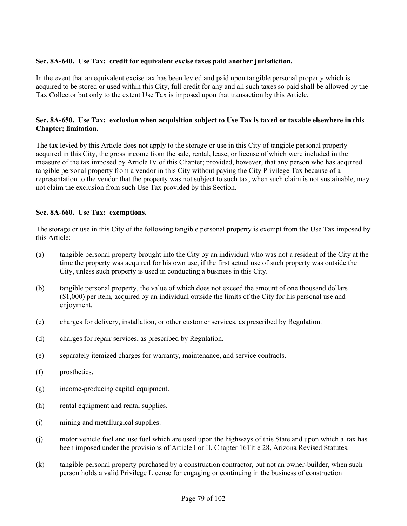# **Sec. 8A-640. Use Tax: credit for equivalent excise taxes paid another jurisdiction.**

In the event that an equivalent excise tax has been levied and paid upon tangible personal property which is acquired to be stored or used within this City, full credit for any and all such taxes so paid shall be allowed by the Tax Collector but only to the extent Use Tax is imposed upon that transaction by this Article.

### **Sec. 8A-650. Use Tax: exclusion when acquisition subject to Use Tax is taxed or taxable elsewhere in this Chapter; limitation.**

The tax levied by this Article does not apply to the storage or use in this City of tangible personal property acquired in this City, the gross income from the sale, rental, lease, or license of which were included in the measure of the tax imposed by Article IV of this Chapter; provided, however, that any person who has acquired tangible personal property from a vendor in this City without paying the City Privilege Tax because of a representation to the vendor that the property was not subject to such tax, when such claim is not sustainable, may not claim the exclusion from such Use Tax provided by this Section.

### **Sec. 8A-660. Use Tax: exemptions.**

The storage or use in this City of the following tangible personal property is exempt from the Use Tax imposed by this Article:

- (a) tangible personal property brought into the City by an individual who was not a resident of the City at the time the property was acquired for his own use, if the first actual use of such property was outside the City, unless such property is used in conducting a business in this City.
- (b) tangible personal property, the value of which does not exceed the amount of one thousand dollars (\$1,000) per item, acquired by an individual outside the limits of the City for his personal use and enjoyment.
- (c) charges for delivery, installation, or other customer services, as prescribed by Regulation.
- (d) charges for repair services, as prescribed by Regulation.
- (e) separately itemized charges for warranty, maintenance, and service contracts.
- (f) prosthetics.
- (g) income-producing capital equipment.
- (h) rental equipment and rental supplies.
- (i) mining and metallurgical supplies.
- (j) motor vehicle fuel and use fuel which are used upon the highways of this State and upon which a tax has been imposed under the provisions of Article I or II, Chapter 16Title 28, Arizona Revised Statutes.
- (k) tangible personal property purchased by a construction contractor, but not an owner-builder, when such person holds a valid Privilege License for engaging or continuing in the business of construction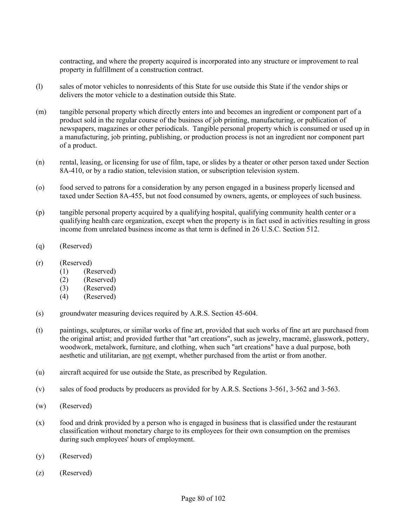contracting, and where the property acquired is incorporated into any structure or improvement to real property in fulfillment of a construction contract.

- (l) sales of motor vehicles to nonresidents of this State for use outside this State if the vendor ships or delivers the motor vehicle to a destination outside this State.
- (m) tangible personal property which directly enters into and becomes an ingredient or component part of a product sold in the regular course of the business of job printing, manufacturing, or publication of newspapers, magazines or other periodicals. Tangible personal property which is consumed or used up in a manufacturing, job printing, publishing, or production process is not an ingredient nor component part of a product.
- (n) rental, leasing, or licensing for use of film, tape, or slides by a theater or other person taxed under Section 8A-410, or by a radio station, television station, or subscription television system.
- (o) food served to patrons for a consideration by any person engaged in a business properly licensed and taxed under Section 8A-455, but not food consumed by owners, agents, or employees of such business.
- (p) tangible personal property acquired by a qualifying hospital, qualifying community health center or a qualifying health care organization, except when the property is in fact used in activities resulting in gross income from unrelated business income as that term is defined in 26 U.S.C. Section 512.
- (q) (Reserved)
- (r) (Reserved)
	- (1) (Reserved)
	- (2) (Reserved)
	- (3) (Reserved)
	- (4) (Reserved)
- (s) groundwater measuring devices required by A.R.S. Section 45-604.
- (t) paintings, sculptures, or similar works of fine art, provided that such works of fine art are purchased from the original artist; and provided further that "art creations", such as jewelry, macramé, glasswork, pottery, woodwork, metalwork, furniture, and clothing, when such "art creations" have a dual purpose, both aesthetic and utilitarian, are not exempt, whether purchased from the artist or from another.
- (u) aircraft acquired for use outside the State, as prescribed by Regulation.
- (v) sales of food products by producers as provided for by A.R.S. Sections 3-561, 3-562 and 3-563.
- (w) (Reserved)
- (x) food and drink provided by a person who is engaged in business that is classified under the restaurant classification without monetary charge to its employees for their own consumption on the premises during such employees' hours of employment.
- (y) (Reserved)
- (z) (Reserved)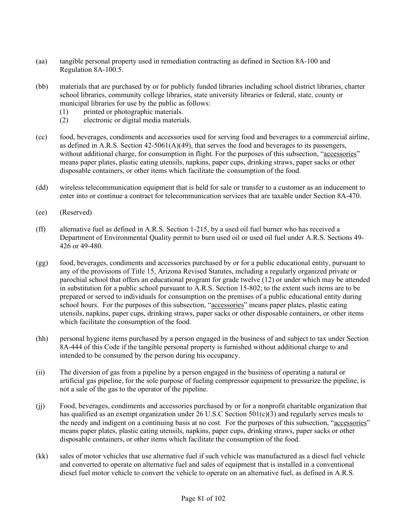- (aa) tangible personal property used in remediation contracting as defined in Section 8A-100 and Regulation 8A-100.5.
- (bb) materials that are purchased by or for publicly funded libraries including school district libraries, charter school libraries, community college libraries, state university libraries or federal, state, county or municipal libraries for use by the public as follows:
	- (1) printed or photographic materials.
	- (2) electronic or digital media materials.
- (cc) food, beverages, condiments and accessories used for serving food and beverages to a commercial airline, as defined in A.R.S. Section 42-5061(A)(49), that serves the food and beverages to its passengers, without additional charge, for consumption in flight. For the purposes of this subsection, "accessories" means paper plates, plastic eating utensils, napkins, paper cups, drinking straws, paper sacks or other disposable containers, or other items which facilitate the consumption of the food.
- (dd) wireless telecommunication equipment that is held for sale or transfer to a customer as an inducement to enter into or continue a contract for telecommunication services that are taxable under Section 8A-470.
- (ee) (Reserved)
- (ff) alternative fuel as defined in A.R.S. Section 1-215, by a used oil fuel burner who has received a Department of Environmental Quality permit to burn used oil or used oil fuel under A.R.S. Sections 49- 426 or 49-480.
- (gg) food, beverages, condiments and accessories purchased by or for a public educational entity, pursuant to any of the provisions of Title 15, Arizona Revised Statutes, including a regularly organized private or parochial school that offers an educational program for grade twelve (12) or under which may be attended in substitution for a public school pursuant to A.R.S. Section 15-802; to the extent such items are to be prepared or served to individuals for consumption on the premises of a public educational entity during school hours. For the purposes of this subsection, "accessories" means paper plates, plastic eating utensils, napkins, paper cups, drinking straws, paper sacks or other disposable containers, or other items which facilitate the consumption of the food.
- (hh) personal hygiene items purchased by a person engaged in the business of and subject to tax under Section 8A-444 of this Code if the tangible personal property is furnished without additional charge to and intended to be consumed by the person during his occupancy.
- (ii) The diversion of gas from a pipeline by a person engaged in the business of operating a natural or artificial gas pipeline, for the sole purpose of fueling compressor equipment to pressurize the pipeline, is not a sale of the gas to the operator of the pipeline.
- (jj) Food, beverages, condiments and accessories purchased by or for a nonprofit charitable organization that has qualified as an exempt organization under 26 U.S.C Section 501(c)(3) and regularly serves meals to the needy and indigent on a continuing basis at no cost. For the purposes of this subsection, "accessories" means paper plates, plastic eating utensils, napkins, paper cups, drinking straws, paper sacks or other disposable containers, or other items which facilitate the consumption of the food.
- (kk) sales of motor vehicles that use alternative fuel if such vehicle was manufactured as a diesel fuel vehicle and converted to operate on alternative fuel and sales of equipment that is installed in a conventional diesel fuel motor vehicle to convert the vehicle to operate on an alternative fuel, as defined in A.R.S.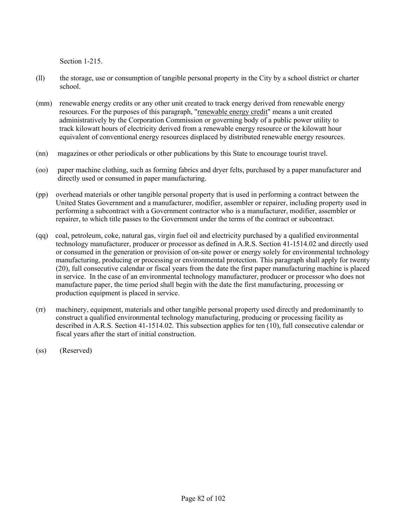Section 1-215.

- (ll) the storage, use or consumption of tangible personal property in the City by a school district or charter school.
- (mm) renewable energy credits or any other unit created to track energy derived from renewable energy resources. For the purposes of this paragraph, "renewable energy credit" means a unit created administratively by the Corporation Commission or governing body of a public power utility to track kilowatt hours of electricity derived from a renewable energy resource or the kilowatt hour equivalent of conventional energy resources displaced by distributed renewable energy resources.
- (nn) magazines or other periodicals or other publications by this State to encourage tourist travel.
- (oo) paper machine clothing, such as forming fabrics and dryer felts, purchased by a paper manufacturer and directly used or consumed in paper manufacturing.
- (pp) overhead materials or other tangible personal property that is used in performing a contract between the United States Government and a manufacturer, modifier, assembler or repairer, including property used in performing a subcontract with a Government contractor who is a manufacturer, modifier, assembler or repairer, to which title passes to the Government under the terms of the contract or subcontract.
- (qq) coal, petroleum, coke, natural gas, virgin fuel oil and electricity purchased by a qualified environmental technology manufacturer, producer or processor as defined in A.R.S. Section 41-1514.02 and directly used or consumed in the generation or provision of on-site power or energy solely for environmental technology manufacturing, producing or processing or environmental protection. This paragraph shall apply for twenty (20), full consecutive calendar or fiscal years from the date the first paper manufacturing machine is placed in service. In the case of an environmental technology manufacturer, producer or processor who does not manufacture paper, the time period shall begin with the date the first manufacturing, processing or production equipment is placed in service.
- (rr) machinery, equipment, materials and other tangible personal property used directly and predominantly to construct a qualified environmental technology manufacturing, producing or processing facility as described in A.R.S. Section 41-1514.02. This subsection applies for ten (10), full consecutive calendar or fiscal years after the start of initial construction.
- (ss) (Reserved)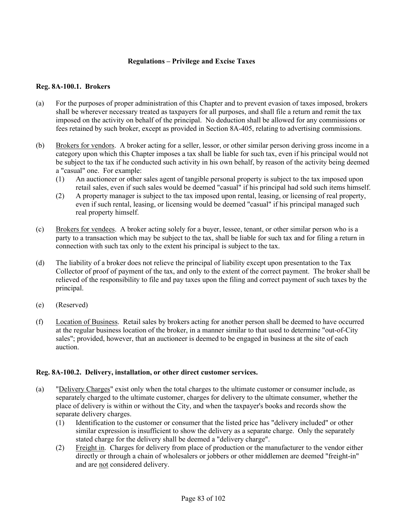### **Regulations – Privilege and Excise Taxes**

#### **Reg. 8A-100.1. Brokers**

- (a) For the purposes of proper administration of this Chapter and to prevent evasion of taxes imposed, brokers shall be wherever necessary treated as taxpayers for all purposes, and shall file a return and remit the tax imposed on the activity on behalf of the principal. No deduction shall be allowed for any commissions or fees retained by such broker, except as provided in Section 8A-405, relating to advertising commissions.
- (b) Brokers for vendors. A broker acting for a seller, lessor, or other similar person deriving gross income in a category upon which this Chapter imposes a tax shall be liable for such tax, even if his principal would not be subject to the tax if he conducted such activity in his own behalf, by reason of the activity being deemed a "casual" one. For example:
	- (1) An auctioneer or other sales agent of tangible personal property is subject to the tax imposed upon retail sales, even if such sales would be deemed "casual" if his principal had sold such items himself.
	- (2) A property manager is subject to the tax imposed upon rental, leasing, or licensing of real property, even if such rental, leasing, or licensing would be deemed "casual" if his principal managed such real property himself.
- (c) Brokers for vendees. A broker acting solely for a buyer, lessee, tenant, or other similar person who is a party to a transaction which may be subject to the tax, shall be liable for such tax and for filing a return in connection with such tax only to the extent his principal is subject to the tax.
- (d) The liability of a broker does not relieve the principal of liability except upon presentation to the Tax Collector of proof of payment of the tax, and only to the extent of the correct payment. The broker shall be relieved of the responsibility to file and pay taxes upon the filing and correct payment of such taxes by the principal.
- (e) (Reserved)
- (f) Location of Business. Retail sales by brokers acting for another person shall be deemed to have occurred at the regular business location of the broker, in a manner similar to that used to determine "out-of-City sales"; provided, however, that an auctioneer is deemed to be engaged in business at the site of each auction.

### **Reg. 8A-100.2. Delivery, installation, or other direct customer services.**

- (a) "Delivery Charges" exist only when the total charges to the ultimate customer or consumer include, as separately charged to the ultimate customer, charges for delivery to the ultimate consumer, whether the place of delivery is within or without the City, and when the taxpayer's books and records show the separate delivery charges.
	- (1) Identification to the customer or consumer that the listed price has "delivery included" or other similar expression is insufficient to show the delivery as a separate charge. Only the separately stated charge for the delivery shall be deemed a "delivery charge".
	- (2) Freight in. Charges for delivery from place of production or the manufacturer to the vendor either directly or through a chain of wholesalers or jobbers or other middlemen are deemed "freight-in" and are not considered delivery.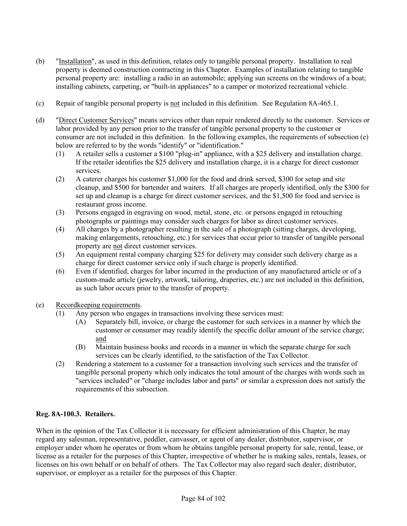- (b) "Installation", as used in this definition, relates only to tangible personal property. Installation to real property is deemed construction contracting in this Chapter. Examples of installation relating to tangible personal property are: installing a radio in an automobile; applying sun screens on the windows of a boat; installing cabinets, carpeting, or "built-in appliances" to a camper or motorized recreational vehicle.
- (c) Repair of tangible personal property is not included in this definition. See Regulation 8A-465.1.
- (d) "Direct Customer Services" means services other than repair rendered directly to the customer. Services or labor provided by any person prior to the transfer of tangible personal property to the customer or consumer are not included in this definition. In the following examples, the requirements of subsection (e) below are referred to by the words "identify" or "identification."
	- (1) A retailer sells a customer a \$100 "plug-in" appliance, with a \$25 delivery and installation charge. If the retailer identifies the \$25 delivery and installation charge, it is a charge for direct customer services.
	- (2) A caterer charges his customer \$1,000 for the food and drink served, \$300 for setup and site cleanup, and \$500 for bartender and waiters. If all charges are properly identified, only the \$300 for set up and cleanup is a charge for direct customer services, and the \$1,500 for food and service is restaurant gross income.
	- (3) Persons engaged in engraving on wood, metal, stone, etc. or persons engaged in retouching photographs or paintings may consider such charges for labor as direct customer services.
	- (4) All charges by a photographer resulting in the sale of a photograph (sitting charges, developing, making enlargements, retouching, etc.) for services that occur prior to transfer of tangible personal property are not direct customer services.
	- (5) An equipment rental company charging \$25 for delivery may consider such delivery charge as a charge for direct customer service only if such charge is properly identified.
	- (6) Even if identified, charges for labor incurred in the production of any manufactured article or of a custom-made article (jewelry, artwork, tailoring, draperies, etc.) are not included in this definition, as such labor occurs prior to the transfer of property.
- (e) Recordkeeping requirements.
	- (1) Any person who engages in transactions involving these services must:
		- (A) Separately bill, invoice, or charge the customer for such services in a manner by which the customer or consumer may readily identify the specific dollar amount of the service charge; and
		- (B) Maintain business books and records in a manner in which the separate charge for such services can be clearly identified, to the satisfaction of the Tax Collector.
	- (2) Rendering a statement to a customer for a transaction involving such services and the transfer of tangible personal property which only indicates the total amount of the charges with words such as "services included" or "charge includes labor and parts" or similar a expression does not satisfy the requirements of this subsection.

# **Reg. 8A-100.3. Retailers.**

When in the opinion of the Tax Collector it is necessary for efficient administration of this Chapter, he may regard any salesman, representative, peddler, canvasser, or agent of any dealer, distributor, supervisor, or employer under whom he operates or from whom he obtains tangible personal property for sale, rental, lease, or license as a retailer for the purposes of this Chapter, irrespective of whether he is making sales, rentals, leases, or licenses on his own behalf or on behalf of others. The Tax Collector may also regard such dealer, distributor, supervisor, or employer as a retailer for the purposes of this Chapter.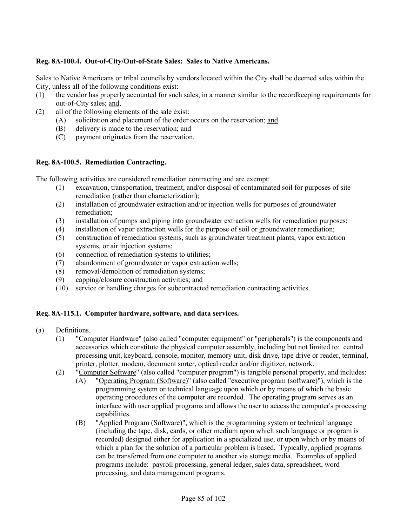# **Reg. 8A-100.4. Out-of-City/Out-of-State Sales: Sales to Native Americans.**

Sales to Native Americans or tribal councils by vendors located within the City shall be deemed sales within the City, unless all of the following conditions exist:

- (1) the vendor has properly accounted for such sales, in a manner similar to the recordkeeping requirements for out-of-City sales; and,
- (2) all of the following elements of the sale exist:
	- (A) solicitation and placement of the order occurs on the reservation; and
	- (B) delivery is made to the reservation; and
	- (C) payment originates from the reservation.

### **Reg. 8A-100.5. Remediation Contracting.**

The following activities are considered remediation contracting and are exempt:

- (1) excavation, transportation, treatment, and/or disposal of contaminated soil for purposes of site remediation (rather than characterization);
- (2) installation of groundwater extraction and/or injection wells for purposes of groundwater remediation;
- (3) installation of pumps and piping into groundwater extraction wells for remediation purposes;
- (4) installation of vapor extraction wells for the purpose of soil or groundwater remediation;
- (5) construction of remediation systems, such as groundwater treatment plants, vapor extraction systems, or air injection systems;
- (6) connection of remediation systems to utilities;
- (7) abandonment of groundwater or vapor extraction wells;
- (8) removal/demolition of remediation systems;
- (9) capping/closure construction activities; and
- (10) service or handling charges for subcontracted remediation contracting activities.

### **Reg. 8A-115.1. Computer hardware, software, and data services.**

- (a) Definitions.
	- (1) "Computer Hardware" (also called "computer equipment" or "peripherals") is the components and accessories which constitute the physical computer assembly, including but not limited to: central processing unit, keyboard, console, monitor, memory unit, disk drive, tape drive or reader, terminal, printer, plotter, modem, document sorter, optical reader and/or digitizer, network.
	- (2) "Computer Software" (also called "computer program") is tangible personal property, and includes:
		- (A) "Operating Program (Software)" (also called "executive program (software)"), which is the programming system or technical language upon which or by means of which the basic operating procedures of the computer are recorded. The operating program serves as an interface with user applied programs and allows the user to access the computer's processing capabilities.
			- (B) "Applied Program (Software)", which is the programming system or technical language (including the tape, disk, cards, or other medium upon which such language or program is recorded) designed either for application in a specialized use, or upon which or by means of which a plan for the solution of a particular problem is based. Typically, applied programs can be transferred from one computer to another via storage media. Examples of applied programs include: payroll processing, general ledger, sales data, spreadsheet, word processing, and data management programs.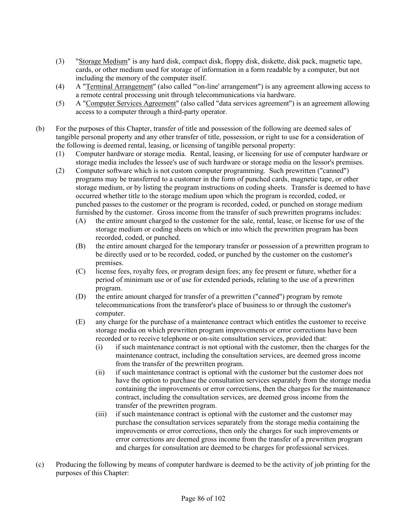- (3) "Storage Medium" is any hard disk, compact disk, floppy disk, diskette, disk pack, magnetic tape, cards, or other medium used for storage of information in a form readable by a computer, but not including the memory of the computer itself.
- (4) A "Terminal Arrangement" (also called "'on-line' arrangement") is any agreement allowing access to a remote central processing unit through telecommunications via hardware.
- (5) A "Computer Services Agreement" (also called "data services agreement") is an agreement allowing access to a computer through a third-party operator.
- (b) For the purposes of this Chapter, transfer of title and possession of the following are deemed sales of tangible personal property and any other transfer of title, possession, or right to use for a consideration of the following is deemed rental, leasing, or licensing of tangible personal property:
	- (1) Computer hardware or storage media. Rental, leasing, or licensing for use of computer hardware or storage media includes the lessee's use of such hardware or storage media on the lessor's premises.
	- (2) Computer software which is not custom computer programming. Such prewritten ("canned") programs may be transferred to a customer in the form of punched cards, magnetic tape, or other storage medium, or by listing the program instructions on coding sheets. Transfer is deemed to have occurred whether title to the storage medium upon which the program is recorded, coded, or punched passes to the customer or the program is recorded, coded, or punched on storage medium furnished by the customer. Gross income from the transfer of such prewritten programs includes:
		- (A) the entire amount charged to the customer for the sale, rental, lease, or license for use of the storage medium or coding sheets on which or into which the prewritten program has been recorded, coded, or punched.
		- (B) the entire amount charged for the temporary transfer or possession of a prewritten program to be directly used or to be recorded, coded, or punched by the customer on the customer's premises.
		- (C) license fees, royalty fees, or program design fees; any fee present or future, whether for a period of minimum use or of use for extended periods, relating to the use of a prewritten program.
		- (D) the entire amount charged for transfer of a prewritten ("canned") program by remote telecommunications from the transferor's place of business to or through the customer's computer.
		- (E) any charge for the purchase of a maintenance contract which entitles the customer to receive storage media on which prewritten program improvements or error corrections have been recorded or to receive telephone or on-site consultation services, provided that:
			- (i) if such maintenance contract is not optional with the customer, then the charges for the maintenance contract, including the consultation services, are deemed gross income from the transfer of the prewritten program.
			- (ii) if such maintenance contract is optional with the customer but the customer does not have the option to purchase the consultation services separately from the storage media containing the improvements or error corrections, then the charges for the maintenance contract, including the consultation services, are deemed gross income from the transfer of the prewritten program.
			- (iii) if such maintenance contract is optional with the customer and the customer may purchase the consultation services separately from the storage media containing the improvements or error corrections, then only the charges for such improvements or error corrections are deemed gross income from the transfer of a prewritten program and charges for consultation are deemed to be charges for professional services.
- (c) Producing the following by means of computer hardware is deemed to be the activity of job printing for the purposes of this Chapter: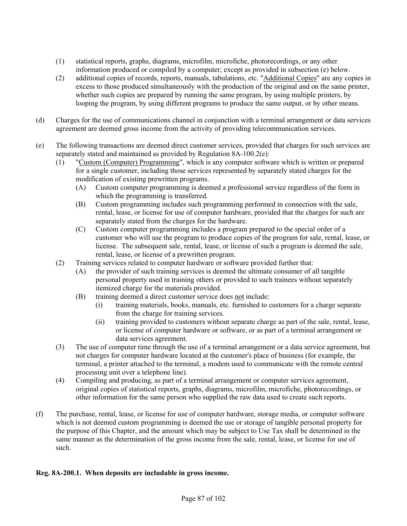- (1) statistical reports, graphs, diagrams, microfilm, microfiche, photorecordings, or any other information produced or compiled by a computer; except as provided in subsection (e) below.
- (2) additional copies of records, reports, manuals, tabulations, etc. "Additional Copies" are any copies in excess to those produced simultaneously with the production of the original and on the same printer, whether such copies are prepared by running the same program, by using multiple printers, by looping the program, by using different programs to produce the same output, or by other means.
- (d) Charges for the use of communications channel in conjunction with a terminal arrangement or data services agreement are deemed gross income from the activity of providing telecommunication services.
- (e) The following transactions are deemed direct customer services, provided that charges for such services are separately stated and maintained as provided by Regulation 8A-100.2(e):
	- (1) "Custom (Computer) Programming", which is any computer software which is written or prepared for a single customer, including those services represented by separately stated charges for the modification of existing prewritten programs.
		- (A) Custom computer programming is deemed a professional service regardless of the form in which the programming is transferred.
		- (B) Custom programming includes such programming performed in connection with the sale, rental, lease, or license for use of computer hardware, provided that the charges for such are separately stated from the charges for the hardware.
		- (C) Custom computer programming includes a program prepared to the special order of a customer who will use the program to produce copies of the program for sale, rental, lease, or license. The subsequent sale, rental, lease, or license of such a program is deemed the sale, rental, lease, or license of a prewritten program.
	- (2) Training services related to computer hardware or software provided further that:
		- (A) the provider of such training services is deemed the ultimate consumer of all tangible personal property used in training others or provided to such trainees without separately itemized charge for the materials provided.
		- (B) training deemed a direct customer service does not include:
			- (i) training materials, books, manuals, etc. furnished to customers for a charge separate from the charge for training services.
			- (ii) training provided to customers without separate charge as part of the sale, rental, lease, or license of computer hardware or software, or as part of a terminal arrangement or data services agreement.
	- (3) The use of computer time through the use of a terminal arrangement or a data service agreement, but not charges for computer hardware located at the customer's place of business (for example, the terminal, a printer attached to the terminal, a modem used to communicate with the remote central processing unit over a telephone line).
	- (4) Compiling and producing, as part of a terminal arrangement or computer services agreement, original copies of statistical reports, graphs, diagrams, microfilm, microfiche, photorecordings, or other information for the same person who supplied the raw data used to create such reports.
- (f) The purchase, rental, lease, or license for use of computer hardware, storage media, or computer software which is not deemed custom programming is deemed the use or storage of tangible personal property for the purpose of this Chapter, and the amount which may be subject to Use Tax shall be determined in the same manner as the determination of the gross income from the sale, rental, lease, or license for use of such.

# **Reg. 8A-200.1. When deposits are includable in gross income.**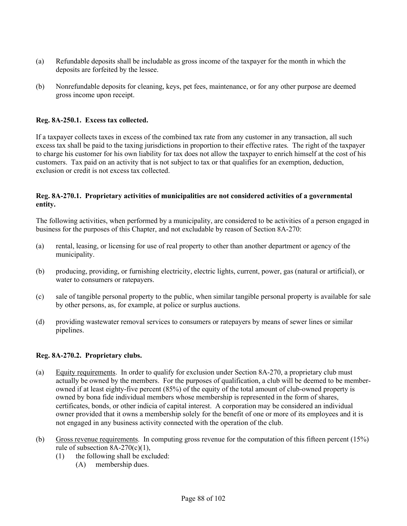- (a) Refundable deposits shall be includable as gross income of the taxpayer for the month in which the deposits are forfeited by the lessee.
- (b) Nonrefundable deposits for cleaning, keys, pet fees, maintenance, or for any other purpose are deemed gross income upon receipt.

#### **Reg. 8A-250.1. Excess tax collected.**

If a taxpayer collects taxes in excess of the combined tax rate from any customer in any transaction, all such excess tax shall be paid to the taxing jurisdictions in proportion to their effective rates. The right of the taxpayer to charge his customer for his own liability for tax does not allow the taxpayer to enrich himself at the cost of his customers. Tax paid on an activity that is not subject to tax or that qualifies for an exemption, deduction, exclusion or credit is not excess tax collected.

#### **Reg. 8A-270.1. Proprietary activities of municipalities are not considered activities of a governmental entity.**

The following activities, when performed by a municipality, are considered to be activities of a person engaged in business for the purposes of this Chapter, and not excludable by reason of Section 8A-270:

- (a) rental, leasing, or licensing for use of real property to other than another department or agency of the municipality.
- (b) producing, providing, or furnishing electricity, electric lights, current, power, gas (natural or artificial), or water to consumers or ratepayers.
- (c) sale of tangible personal property to the public, when similar tangible personal property is available for sale by other persons, as, for example, at police or surplus auctions.
- (d) providing wastewater removal services to consumers or ratepayers by means of sewer lines or similar pipelines.

#### **Reg. 8A-270.2. Proprietary clubs.**

- (a) Equity requirements. In order to qualify for exclusion under Section 8A-270, a proprietary club must actually be owned by the members. For the purposes of qualification, a club will be deemed to be memberowned if at least eighty-five percent (85%) of the equity of the total amount of club-owned property is owned by bona fide individual members whose membership is represented in the form of shares, certificates, bonds, or other indicia of capital interest. A corporation may be considered an individual owner provided that it owns a membership solely for the benefit of one or more of its employees and it is not engaged in any business activity connected with the operation of the club.
- (b) Gross revenue requirements. In computing gross revenue for the computation of this fifteen percent (15%) rule of subsection  $8A-270(c)(1)$ ,
	- (1) the following shall be excluded:
		- (A) membership dues.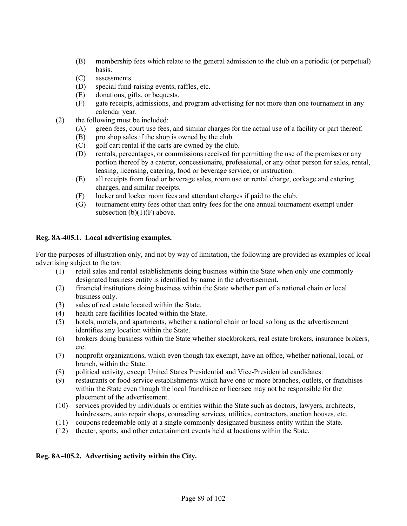- (B) membership fees which relate to the general admission to the club on a periodic (or perpetual) basis.
- (C) assessments.
- (D) special fund-raising events, raffles, etc.
- (E) donations, gifts, or bequests.
- (F) gate receipts, admissions, and program advertising for not more than one tournament in any calendar year.
- (2) the following must be included:
	- (A) green fees, court use fees, and similar charges for the actual use of a facility or part thereof.
	- (B) pro shop sales if the shop is owned by the club.
	- (C) golf cart rental if the carts are owned by the club.
	- (D) rentals, percentages, or commissions received for permitting the use of the premises or any portion thereof by a caterer, concessionaire, professional, or any other person for sales, rental, leasing, licensing, catering, food or beverage service, or instruction.
	- (E) all receipts from food or beverage sales, room use or rental charge, corkage and catering charges, and similar receipts.
	- (F) locker and locker room fees and attendant charges if paid to the club.
	- (G) tournament entry fees other than entry fees for the one annual tournament exempt under subsection  $(b)(1)(F)$  above.

### **Reg. 8A-405.1. Local advertising examples.**

For the purposes of illustration only, and not by way of limitation, the following are provided as examples of local advertising subject to the tax:

- (1) retail sales and rental establishments doing business within the State when only one commonly designated business entity is identified by name in the advertisement.
- (2) financial institutions doing business within the State whether part of a national chain or local business only.
- (3) sales of real estate located within the State.
- (4) health care facilities located within the State.
- (5) hotels, motels, and apartments, whether a national chain or local so long as the advertisement identifies any location within the State.
- (6) brokers doing business within the State whether stockbrokers, real estate brokers, insurance brokers, etc.
- (7) nonprofit organizations, which even though tax exempt, have an office, whether national, local, or branch, within the State.
- (8) political activity, except United States Presidential and Vice-Presidential candidates.
- (9) restaurants or food service establishments which have one or more branches, outlets, or franchises within the State even though the local franchisee or licensee may not be responsible for the placement of the advertisement.
- (10) services provided by individuals or entities within the State such as doctors, lawyers, architects, hairdressers, auto repair shops, counseling services, utilities, contractors, auction houses, etc.
- (11) coupons redeemable only at a single commonly designated business entity within the State.
- (12) theater, sports, and other entertainment events held at locations within the State.

### **Reg. 8A-405.2. Advertising activity within the City.**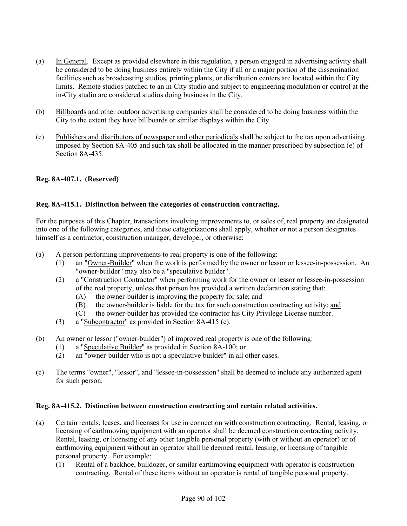- (a) In General. Except as provided elsewhere in this regulation, a person engaged in advertising activity shall be considered to be doing business entirely within the City if all or a major portion of the dissemination facilities such as broadcasting studios, printing plants, or distribution centers are located within the City limits. Remote studios patched to an in-City studio and subject to engineering modulation or control at the in-City studio are considered studios doing business in the City.
- (b) Billboards and other outdoor advertising companies shall be considered to be doing business within the City to the extent they have billboards or similar displays within the City.
- (c) Publishers and distributors of newspaper and other periodicals shall be subject to the tax upon advertising imposed by Section 8A-405 and such tax shall be allocated in the manner prescribed by subsection (e) of Section 8A-435.

### **Reg. 8A-407.1. (Reserved)**

### **Reg. 8A-415.1. Distinction between the categories of construction contracting.**

For the purposes of this Chapter, transactions involving improvements to, or sales of, real property are designated into one of the following categories, and these categorizations shall apply, whether or not a person designates himself as a contractor, construction manager, developer, or otherwise:

- (a) A person performing improvements to real property is one of the following:
	- (1) an "Owner-Builder" when the work is performed by the owner or lessor or lessee-in-possession. An "owner-builder" may also be a "speculative builder".
	- (2) a "Construction Contractor" when performing work for the owner or lessor or lessee-in-possession of the real property, unless that person has provided a written declaration stating that:
		- (A) the owner-builder is improving the property for sale; and
		- (B) the owner-builder is liable for the tax for such construction contracting activity; and
		- (C) the owner-builder has provided the contractor his City Privilege License number.
	- (3) a "Subcontractor" as provided in Section 8A-415 (c).
- (b) An owner or lessor ("owner-builder") of improved real property is one of the following:
	- (1) a "Speculative Builder" as provided in Section 8A-100; or
	- (2) an "owner-builder who is not a speculative builder" in all other cases.
- (c) The terms "owner", "lessor", and "lessee-in-possession" shall be deemed to include any authorized agent for such person.

### **Reg. 8A-415.2. Distinction between construction contracting and certain related activities.**

- (a) Certain rentals, leases, and licenses for use in connection with construction contracting. Rental, leasing, or licensing of earthmoving equipment with an operator shall be deemed construction contracting activity. Rental, leasing, or licensing of any other tangible personal property (with or without an operator) or of earthmoving equipment without an operator shall be deemed rental, leasing, or licensing of tangible personal property. For example:
	- (1) Rental of a backhoe, bulldozer, or similar earthmoving equipment with operator is construction contracting. Rental of these items without an operator is rental of tangible personal property.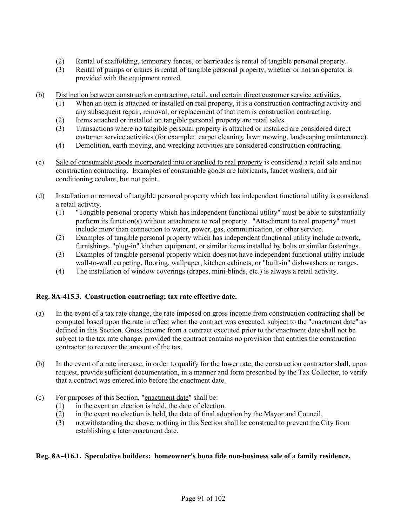- (2) Rental of scaffolding, temporary fences, or barricades is rental of tangible personal property.
- (3) Rental of pumps or cranes is rental of tangible personal property, whether or not an operator is provided with the equipment rented.
- (b) Distinction between construction contracting, retail, and certain direct customer service activities.
	- (1) When an item is attached or installed on real property, it is a construction contracting activity and any subsequent repair, removal, or replacement of that item is construction contracting.
	- (2) Items attached or installed on tangible personal property are retail sales.
	- (3) Transactions where no tangible personal property is attached or installed are considered direct customer service activities (for example: carpet cleaning, lawn mowing, landscaping maintenance).
	- (4) Demolition, earth moving, and wrecking activities are considered construction contracting.
- (c) Sale of consumable goods incorporated into or applied to real property is considered a retail sale and not construction contracting. Examples of consumable goods are lubricants, faucet washers, and air conditioning coolant, but not paint.
- (d) Installation or removal of tangible personal property which has independent functional utility is considered a retail activity.
	- (1) "Tangible personal property which has independent functional utility" must be able to substantially perform its function(s) without attachment to real property. "Attachment to real property" must include more than connection to water, power, gas, communication, or other service.
	- (2) Examples of tangible personal property which has independent functional utility include artwork, furnishings, "plug-in" kitchen equipment, or similar items installed by bolts or similar fastenings.
	- (3) Examples of tangible personal property which does not have independent functional utility include wall-to-wall carpeting, flooring, wallpaper, kitchen cabinets, or "built-in" dishwashers or ranges.
	- (4) The installation of window coverings (drapes, mini-blinds, etc.) is always a retail activity.

# **Reg. 8A-415.3. Construction contracting; tax rate effective date.**

- (a) In the event of a tax rate change, the rate imposed on gross income from construction contracting shall be computed based upon the rate in effect when the contract was executed, subject to the "enactment date" as defined in this Section. Gross income from a contract executed prior to the enactment date shall not be subject to the tax rate change, provided the contract contains no provision that entitles the construction contractor to recover the amount of the tax.
- (b) In the event of a rate increase, in order to qualify for the lower rate, the construction contractor shall, upon request, provide sufficient documentation, in a manner and form prescribed by the Tax Collector, to verify that a contract was entered into before the enactment date.
- (c) For purposes of this Section, "enactment date" shall be:
	- (1) in the event an election is held, the date of election.
	- (2) in the event no election is held, the date of final adoption by the Mayor and Council.
	- (3) notwithstanding the above, nothing in this Section shall be construed to prevent the City from establishing a later enactment date.

# **Reg. 8A-416.1. Speculative builders: homeowner's bona fide non-business sale of a family residence.**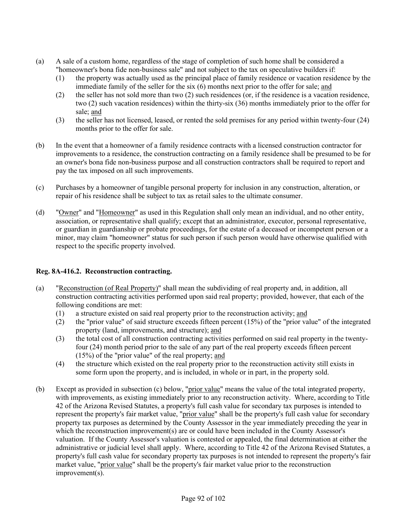- (a) A sale of a custom home, regardless of the stage of completion of such home shall be considered a "homeowner's bona fide non-business sale" and not subject to the tax on speculative builders if:
	- (1) the property was actually used as the principal place of family residence or vacation residence by the immediate family of the seller for the six (6) months next prior to the offer for sale; and
	- (2) the seller has not sold more than two (2) such residences (or, if the residence is a vacation residence, two (2) such vacation residences) within the thirty-six (36) months immediately prior to the offer for sale; and
	- (3) the seller has not licensed, leased, or rented the sold premises for any period within twenty-four (24) months prior to the offer for sale.
- (b) In the event that a homeowner of a family residence contracts with a licensed construction contractor for improvements to a residence, the construction contracting on a family residence shall be presumed to be for an owner's bona fide non-business purpose and all construction contractors shall be required to report and pay the tax imposed on all such improvements.
- (c) Purchases by a homeowner of tangible personal property for inclusion in any construction, alteration, or repair of his residence shall be subject to tax as retail sales to the ultimate consumer.
- (d) "Owner" and "Homeowner" as used in this Regulation shall only mean an individual, and no other entity, association, or representative shall qualify; except that an administrator, executor, personal representative, or guardian in guardianship or probate proceedings, for the estate of a deceased or incompetent person or a minor, may claim "homeowner" status for such person if such person would have otherwise qualified with respect to the specific property involved.

# **Reg. 8A-416.2. Reconstruction contracting.**

- (a) "Reconstruction (of Real Property)" shall mean the subdividing of real property and, in addition, all construction contracting activities performed upon said real property; provided, however, that each of the following conditions are met:
	- (1) a structure existed on said real property prior to the reconstruction activity; and
	- (2) the "prior value" of said structure exceeds fifteen percent (15%) of the "prior value" of the integrated property (land, improvements, and structure); and
	- (3) the total cost of all construction contracting activities performed on said real property in the twentyfour (24) month period prior to the sale of any part of the real property exceeds fifteen percent (15%) of the "prior value" of the real property; and
	- (4) the structure which existed on the real property prior to the reconstruction activity still exists in some form upon the property, and is included, in whole or in part, in the property sold.
- (b) Except as provided in subsection (c) below, "prior value" means the value of the total integrated property, with improvements, as existing immediately prior to any reconstruction activity. Where, according to Title 42 of the Arizona Revised Statutes, a property's full cash value for secondary tax purposes is intended to represent the property's fair market value, "prior value" shall be the property's full cash value for secondary property tax purposes as determined by the County Assessor in the year immediately preceding the year in which the reconstruction improvement(s) are or could have been included in the County Assessor's valuation. If the County Assessor's valuation is contested or appealed, the final determination at either the administrative or judicial level shall apply. Where, according to Title 42 of the Arizona Revised Statutes, a property's full cash value for secondary property tax purposes is not intended to represent the property's fair market value, "prior value" shall be the property's fair market value prior to the reconstruction improvement(s).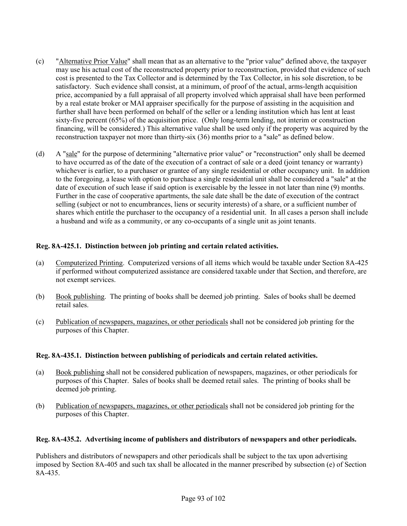- (c) "Alternative Prior Value" shall mean that as an alternative to the "prior value" defined above, the taxpayer may use his actual cost of the reconstructed property prior to reconstruction, provided that evidence of such cost is presented to the Tax Collector and is determined by the Tax Collector, in his sole discretion, to be satisfactory. Such evidence shall consist, at a minimum, of proof of the actual, arms-length acquisition price, accompanied by a full appraisal of all property involved which appraisal shall have been performed by a real estate broker or MAI appraiser specifically for the purpose of assisting in the acquisition and further shall have been performed on behalf of the seller or a lending institution which has lent at least sixty-five percent (65%) of the acquisition price. (Only long-term lending, not interim or construction financing, will be considered.) This alternative value shall be used only if the property was acquired by the reconstruction taxpayer not more than thirty-six (36) months prior to a "sale" as defined below.
- (d) A "sale" for the purpose of determining "alternative prior value" or "reconstruction" only shall be deemed to have occurred as of the date of the execution of a contract of sale or a deed (joint tenancy or warranty) whichever is earlier, to a purchaser or grantee of any single residential or other occupancy unit. In addition to the foregoing, a lease with option to purchase a single residential unit shall be considered a "sale" at the date of execution of such lease if said option is exercisable by the lessee in not later than nine (9) months. Further in the case of cooperative apartments, the sale date shall be the date of execution of the contract selling (subject or not to encumbrances, liens or security interests) of a share, or a sufficient number of shares which entitle the purchaser to the occupancy of a residential unit. In all cases a person shall include a husband and wife as a community, or any co-occupants of a single unit as joint tenants.

### **Reg. 8A-425.1. Distinction between job printing and certain related activities.**

- (a) Computerized Printing. Computerized versions of all items which would be taxable under Section 8A-425 if performed without computerized assistance are considered taxable under that Section, and therefore, are not exempt services.
- (b) Book publishing. The printing of books shall be deemed job printing. Sales of books shall be deemed retail sales.
- (c) Publication of newspapers, magazines, or other periodicals shall not be considered job printing for the purposes of this Chapter.

### **Reg. 8A-435.1. Distinction between publishing of periodicals and certain related activities.**

- (a) Book publishing shall not be considered publication of newspapers, magazines, or other periodicals for purposes of this Chapter. Sales of books shall be deemed retail sales. The printing of books shall be deemed job printing.
- (b) Publication of newspapers, magazines, or other periodicals shall not be considered job printing for the purposes of this Chapter.

### **Reg. 8A-435.2. Advertising income of publishers and distributors of newspapers and other periodicals.**

Publishers and distributors of newspapers and other periodicals shall be subject to the tax upon advertising imposed by Section 8A-405 and such tax shall be allocated in the manner prescribed by subsection (e) of Section 8A-435.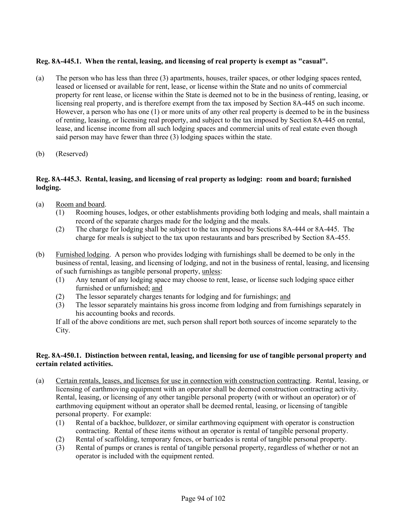# **Reg. 8A-445.1. When the rental, leasing, and licensing of real property is exempt as "casual".**

- (a) The person who has less than three (3) apartments, houses, trailer spaces, or other lodging spaces rented, leased or licensed or available for rent, lease, or license within the State and no units of commercial property for rent lease, or license within the State is deemed not to be in the business of renting, leasing, or licensing real property, and is therefore exempt from the tax imposed by Section 8A-445 on such income. However, a person who has one (1) or more units of any other real property is deemed to be in the business of renting, leasing, or licensing real property, and subject to the tax imposed by Section 8A-445 on rental, lease, and license income from all such lodging spaces and commercial units of real estate even though said person may have fewer than three (3) lodging spaces within the state.
- (b) (Reserved)

# **Reg. 8A-445.3. Rental, leasing, and licensing of real property as lodging: room and board; furnished lodging.**

- (a) Room and board.
	- (1) Rooming houses, lodges, or other establishments providing both lodging and meals, shall maintain a record of the separate charges made for the lodging and the meals.
	- (2) The charge for lodging shall be subject to the tax imposed by Sections 8A-444 or 8A-445. The charge for meals is subject to the tax upon restaurants and bars prescribed by Section 8A-455.
- (b) Furnished lodging. A person who provides lodging with furnishings shall be deemed to be only in the business of rental, leasing, and licensing of lodging, and not in the business of rental, leasing, and licensing of such furnishings as tangible personal property, unless:
	- (1) Any tenant of any lodging space may choose to rent, lease, or license such lodging space either furnished or unfurnished; and
	- (2) The lessor separately charges tenants for lodging and for furnishings; and
	- (3) The lessor separately maintains his gross income from lodging and from furnishings separately in his accounting books and records.

If all of the above conditions are met, such person shall report both sources of income separately to the City.

### **Reg. 8A-450.1. Distinction between rental, leasing, and licensing for use of tangible personal property and certain related activities.**

- (a) Certain rentals, leases, and licenses for use in connection with construction contracting. Rental, leasing, or licensing of earthmoving equipment with an operator shall be deemed construction contracting activity. Rental, leasing, or licensing of any other tangible personal property (with or without an operator) or of earthmoving equipment without an operator shall be deemed rental, leasing, or licensing of tangible personal property. For example:
	- (1) Rental of a backhoe, bulldozer, or similar earthmoving equipment with operator is construction contracting. Rental of these items without an operator is rental of tangible personal property.
	- (2) Rental of scaffolding, temporary fences, or barricades is rental of tangible personal property.
	- (3) Rental of pumps or cranes is rental of tangible personal property, regardless of whether or not an operator is included with the equipment rented.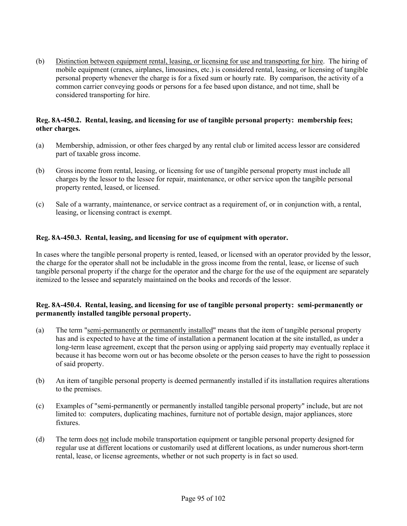(b) Distinction between equipment rental, leasing, or licensing for use and transporting for hire. The hiring of mobile equipment (cranes, airplanes, limousines, etc.) is considered rental, leasing, or licensing of tangible personal property whenever the charge is for a fixed sum or hourly rate. By comparison, the activity of a common carrier conveying goods or persons for a fee based upon distance, and not time, shall be considered transporting for hire.

### **Reg. 8A-450.2. Rental, leasing, and licensing for use of tangible personal property: membership fees; other charges.**

- (a) Membership, admission, or other fees charged by any rental club or limited access lessor are considered part of taxable gross income.
- (b) Gross income from rental, leasing, or licensing for use of tangible personal property must include all charges by the lessor to the lessee for repair, maintenance, or other service upon the tangible personal property rented, leased, or licensed.
- (c) Sale of a warranty, maintenance, or service contract as a requirement of, or in conjunction with, a rental, leasing, or licensing contract is exempt.

### **Reg. 8A-450.3. Rental, leasing, and licensing for use of equipment with operator.**

In cases where the tangible personal property is rented, leased, or licensed with an operator provided by the lessor, the charge for the operator shall not be includable in the gross income from the rental, lease, or license of such tangible personal property if the charge for the operator and the charge for the use of the equipment are separately itemized to the lessee and separately maintained on the books and records of the lessor.

### **Reg. 8A-450.4. Rental, leasing, and licensing for use of tangible personal property: semi-permanently or permanently installed tangible personal property.**

- (a) The term "semi-permanently or permanently installed" means that the item of tangible personal property has and is expected to have at the time of installation a permanent location at the site installed, as under a long-term lease agreement, except that the person using or applying said property may eventually replace it because it has become worn out or has become obsolete or the person ceases to have the right to possession of said property.
- (b) An item of tangible personal property is deemed permanently installed if its installation requires alterations to the premises.
- (c) Examples of "semi-permanently or permanently installed tangible personal property" include, but are not limited to: computers, duplicating machines, furniture not of portable design, major appliances, store fixtures.
- (d) The term does not include mobile transportation equipment or tangible personal property designed for regular use at different locations or customarily used at different locations, as under numerous short-term rental, lease, or license agreements, whether or not such property is in fact so used.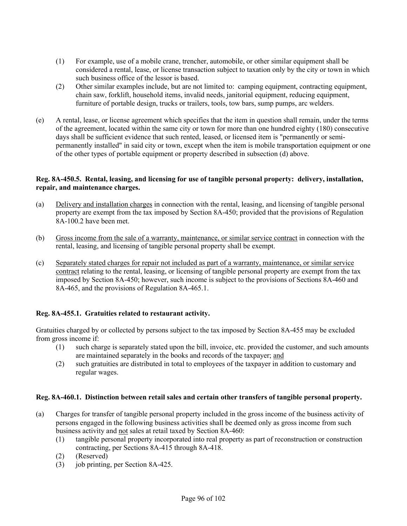- (1) For example, use of a mobile crane, trencher, automobile, or other similar equipment shall be considered a rental, lease, or license transaction subject to taxation only by the city or town in which such business office of the lessor is based.
- (2) Other similar examples include, but are not limited to: camping equipment, contracting equipment, chain saw, forklift, household items, invalid needs, janitorial equipment, reducing equipment, furniture of portable design, trucks or trailers, tools, tow bars, sump pumps, arc welders.
- (e) A rental, lease, or license agreement which specifies that the item in question shall remain, under the terms of the agreement, located within the same city or town for more than one hundred eighty (180) consecutive days shall be sufficient evidence that such rented, leased, or licensed item is "permanently or semipermanently installed" in said city or town, except when the item is mobile transportation equipment or one of the other types of portable equipment or property described in subsection (d) above.

### **Reg. 8A-450.5. Rental, leasing, and licensing for use of tangible personal property: delivery, installation, repair, and maintenance charges.**

- (a) Delivery and installation charges in connection with the rental, leasing, and licensing of tangible personal property are exempt from the tax imposed by Section 8A-450; provided that the provisions of Regulation 8A-100.2 have been met.
- (b) Gross income from the sale of a warranty, maintenance, or similar service contract in connection with the rental, leasing, and licensing of tangible personal property shall be exempt.
- (c) Separately stated charges for repair not included as part of a warranty, maintenance, or similar service contract relating to the rental, leasing, or licensing of tangible personal property are exempt from the tax imposed by Section 8A-450; however, such income is subject to the provisions of Sections 8A-460 and 8A-465, and the provisions of Regulation 8A-465.1.

# **Reg. 8A-455.1. Gratuities related to restaurant activity.**

Gratuities charged by or collected by persons subject to the tax imposed by Section 8A-455 may be excluded from gross income if:

- (1) such charge is separately stated upon the bill, invoice, etc. provided the customer, and such amounts are maintained separately in the books and records of the taxpayer; and
- (2) such gratuities are distributed in total to employees of the taxpayer in addition to customary and regular wages.

### **Reg. 8A-460.1. Distinction between retail sales and certain other transfers of tangible personal property.**

- (a) Charges for transfer of tangible personal property included in the gross income of the business activity of persons engaged in the following business activities shall be deemed only as gross income from such business activity and not sales at retail taxed by Section 8A-460:
	- (1) tangible personal property incorporated into real property as part of reconstruction or construction contracting, per Sections 8A-415 through 8A-418.
	- (2) (Reserved)
	- (3) job printing, per Section 8A-425.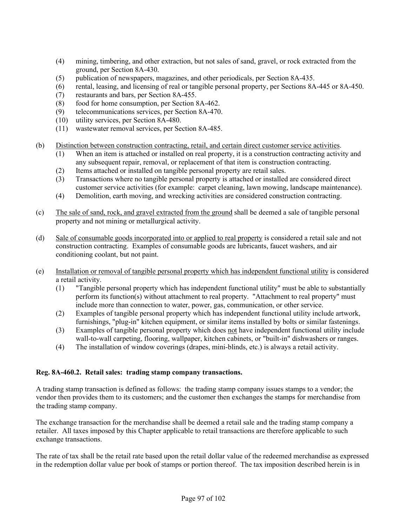- (4) mining, timbering, and other extraction, but not sales of sand, gravel, or rock extracted from the ground, per Section 8A-430.
- (5) publication of newspapers, magazines, and other periodicals, per Section 8A-435.
- (6) rental, leasing, and licensing of real or tangible personal property, per Sections 8A-445 or 8A-450.
- (7) restaurants and bars, per Section 8A-455.
- (8) food for home consumption, per Section 8A-462.
- (9) telecommunications services, per Section 8A-470.
- (10) utility services, per Section 8A-480.
- (11) wastewater removal services, per Section 8A-485.
- (b) Distinction between construction contracting, retail, and certain direct customer service activities.
	- (1) When an item is attached or installed on real property, it is a construction contracting activity and any subsequent repair, removal, or replacement of that item is construction contracting.
	- (2) Items attached or installed on tangible personal property are retail sales.
	- (3) Transactions where no tangible personal property is attached or installed are considered direct customer service activities (for example: carpet cleaning, lawn mowing, landscape maintenance).
	- (4) Demolition, earth moving, and wrecking activities are considered construction contracting.
- (c) The sale of sand, rock, and gravel extracted from the ground shall be deemed a sale of tangible personal property and not mining or metallurgical activity.
- (d) Sale of consumable goods incorporated into or applied to real property is considered a retail sale and not construction contracting. Examples of consumable goods are lubricants, faucet washers, and air conditioning coolant, but not paint.
- (e) Installation or removal of tangible personal property which has independent functional utility is considered a retail activity.
	- (1) "Tangible personal property which has independent functional utility" must be able to substantially perform its function(s) without attachment to real property. "Attachment to real property" must include more than connection to water, power, gas, communication, or other service.
	- (2) Examples of tangible personal property which has independent functional utility include artwork, furnishings, "plug-in" kitchen equipment, or similar items installed by bolts or similar fastenings.
	- (3) Examples of tangible personal property which does not have independent functional utility include wall-to-wall carpeting, flooring, wallpaper, kitchen cabinets, or "built-in" dishwashers or ranges.
	- (4) The installation of window coverings (drapes, mini-blinds, etc.) is always a retail activity.

### **Reg. 8A-460.2. Retail sales: trading stamp company transactions.**

A trading stamp transaction is defined as follows: the trading stamp company issues stamps to a vendor; the vendor then provides them to its customers; and the customer then exchanges the stamps for merchandise from the trading stamp company.

The exchange transaction for the merchandise shall be deemed a retail sale and the trading stamp company a retailer. All taxes imposed by this Chapter applicable to retail transactions are therefore applicable to such exchange transactions.

The rate of tax shall be the retail rate based upon the retail dollar value of the redeemed merchandise as expressed in the redemption dollar value per book of stamps or portion thereof. The tax imposition described herein is in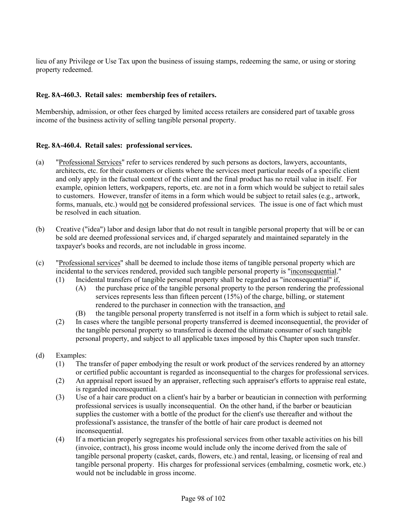lieu of any Privilege or Use Tax upon the business of issuing stamps, redeeming the same, or using or storing property redeemed.

# **Reg. 8A-460.3. Retail sales: membership fees of retailers.**

Membership, admission, or other fees charged by limited access retailers are considered part of taxable gross income of the business activity of selling tangible personal property.

## **Reg. 8A-460.4. Retail sales: professional services.**

- (a) "Professional Services" refer to services rendered by such persons as doctors, lawyers, accountants, architects, etc. for their customers or clients where the services meet particular needs of a specific client and only apply in the factual context of the client and the final product has no retail value in itself. For example, opinion letters, workpapers, reports, etc. are not in a form which would be subject to retail sales to customers. However, transfer of items in a form which would be subject to retail sales (e.g., artwork, forms, manuals, etc.) would not be considered professional services. The issue is one of fact which must be resolved in each situation.
- (b) Creative ("idea") labor and design labor that do not result in tangible personal property that will be or can be sold are deemed professional services and, if charged separately and maintained separately in the taxpayer's books and records, are not includable in gross income.
- (c) "Professional services" shall be deemed to include those items of tangible personal property which are incidental to the services rendered, provided such tangible personal property is "inconsequential."
	- (1) Incidental transfers of tangible personal property shall be regarded as "inconsequential" if,
		- (A) the purchase price of the tangible personal property to the person rendering the professional services represents less than fifteen percent (15%) of the charge, billing, or statement rendered to the purchaser in connection with the transaction, and
		- (B) the tangible personal property transferred is not itself in a form which is subject to retail sale.
	- (2) In cases where the tangible personal property transferred is deemed inconsequential, the provider of the tangible personal property so transferred is deemed the ultimate consumer of such tangible personal property, and subject to all applicable taxes imposed by this Chapter upon such transfer.
- (d) Examples:
	- (1) The transfer of paper embodying the result or work product of the services rendered by an attorney or certified public accountant is regarded as inconsequential to the charges for professional services.
	- (2) An appraisal report issued by an appraiser, reflecting such appraiser's efforts to appraise real estate, is regarded inconsequential.
	- (3) Use of a hair care product on a client's hair by a barber or beautician in connection with performing professional services is usually inconsequential. On the other hand, if the barber or beautician supplies the customer with a bottle of the product for the client's use thereafter and without the professional's assistance, the transfer of the bottle of hair care product is deemed not inconsequential.
	- (4) If a mortician properly segregates his professional services from other taxable activities on his bill (invoice, contract), his gross income would include only the income derived from the sale of tangible personal property (casket, cards, flowers, etc.) and rental, leasing, or licensing of real and tangible personal property. His charges for professional services (embalming, cosmetic work, etc.) would not be includable in gross income.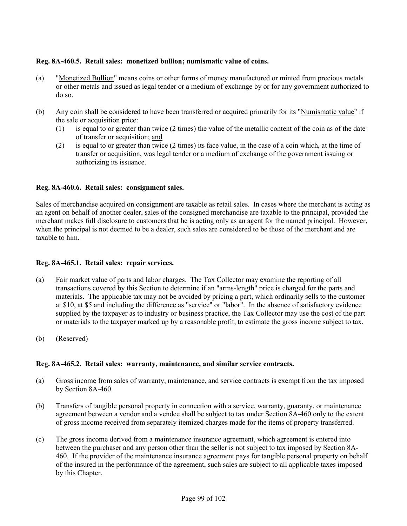## **Reg. 8A-460.5. Retail sales: monetized bullion; numismatic value of coins.**

- (a) "Monetized Bullion" means coins or other forms of money manufactured or minted from precious metals or other metals and issued as legal tender or a medium of exchange by or for any government authorized to do so.
- (b) Any coin shall be considered to have been transferred or acquired primarily for its "Numismatic value" if the sale or acquisition price:
	- (1) is equal to or greater than twice (2 times) the value of the metallic content of the coin as of the date of transfer or acquisition; and
	- (2) is equal to or greater than twice (2 times) its face value, in the case of a coin which, at the time of transfer or acquisition, was legal tender or a medium of exchange of the government issuing or authorizing its issuance.

## **Reg. 8A-460.6. Retail sales: consignment sales.**

Sales of merchandise acquired on consignment are taxable as retail sales. In cases where the merchant is acting as an agent on behalf of another dealer, sales of the consigned merchandise are taxable to the principal, provided the merchant makes full disclosure to customers that he is acting only as an agent for the named principal. However, when the principal is not deemed to be a dealer, such sales are considered to be those of the merchant and are taxable to him.

## **Reg. 8A-465.1. Retail sales: repair services.**

- (a) Fair market value of parts and labor charges. The Tax Collector may examine the reporting of all transactions covered by this Section to determine if an "arms-length" price is charged for the parts and materials. The applicable tax may not be avoided by pricing a part, which ordinarily sells to the customer at \$10, at \$5 and including the difference as "service" or "labor". In the absence of satisfactory evidence supplied by the taxpayer as to industry or business practice, the Tax Collector may use the cost of the part or materials to the taxpayer marked up by a reasonable profit, to estimate the gross income subject to tax.
- (b) (Reserved)

## **Reg. 8A-465.2. Retail sales: warranty, maintenance, and similar service contracts.**

- (a) Gross income from sales of warranty, maintenance, and service contracts is exempt from the tax imposed by Section 8A-460.
- (b) Transfers of tangible personal property in connection with a service, warranty, guaranty, or maintenance agreement between a vendor and a vendee shall be subject to tax under Section 8A-460 only to the extent of gross income received from separately itemized charges made for the items of property transferred.
- (c) The gross income derived from a maintenance insurance agreement, which agreement is entered into between the purchaser and any person other than the seller is not subject to tax imposed by Section 8A-460. If the provider of the maintenance insurance agreement pays for tangible personal property on behalf of the insured in the performance of the agreement, such sales are subject to all applicable taxes imposed by this Chapter.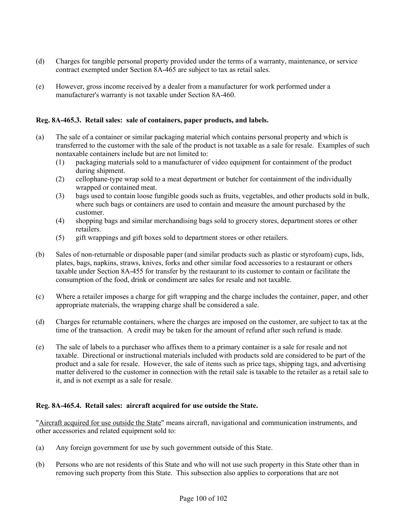- (d) Charges for tangible personal property provided under the terms of a warranty, maintenance, or service contract exempted under Section 8A-465 are subject to tax as retail sales.
- (e) However, gross income received by a dealer from a manufacturer for work performed under a manufacturer's warranty is not taxable under Section 8A-460.

## **Reg. 8A-465.3. Retail sales: sale of containers, paper products, and labels.**

- (a) The sale of a container or similar packaging material which contains personal property and which is transferred to the customer with the sale of the product is not taxable as a sale for resale. Examples of such nontaxable containers include but are not limited to:
	- (1) packaging materials sold to a manufacturer of video equipment for containment of the product during shipment.
	- (2) cellophane-type wrap sold to a meat department or butcher for containment of the individually wrapped or contained meat.
	- (3) bags used to contain loose fungible goods such as fruits, vegetables, and other products sold in bulk, where such bags or containers are used to contain and measure the amount purchased by the customer.
	- (4) shopping bags and similar merchandising bags sold to grocery stores, department stores or other retailers.
	- (5) gift wrappings and gift boxes sold to department stores or other retailers.
- (b) Sales of non-returnable or disposable paper (and similar products such as plastic or styrofoam) cups, lids, plates, bags, napkins, straws, knives, forks and other similar food accessories to a restaurant or others taxable under Section 8A-455 for transfer by the restaurant to its customer to contain or facilitate the consumption of the food, drink or condiment are sales for resale and not taxable.
- (c) Where a retailer imposes a charge for gift wrapping and the charge includes the container, paper, and other appropriate materials, the wrapping charge shall be considered a sale.
- (d) Charges for returnable containers, where the charges are imposed on the customer, are subject to tax at the time of the transaction. A credit may be taken for the amount of refund after such refund is made.
- (e) The sale of labels to a purchaser who affixes them to a primary container is a sale for resale and not taxable. Directional or instructional materials included with products sold are considered to be part of the product and a sale for resale. However, the sale of items such as price tags, shipping tags, and advertising matter delivered to the customer in connection with the retail sale is taxable to the retailer as a retail sale to it, and is not exempt as a sale for resale.

## **Reg. 8A-465.4. Retail sales: aircraft acquired for use outside the State.**

"Aircraft acquired for use outside the State" means aircraft, navigational and communication instruments, and other accessories and related equipment sold to:

- (a) Any foreign government for use by such government outside of this State.
- (b) Persons who are not residents of this State and who will not use such property in this State other than in removing such property from this State. This subsection also applies to corporations that are not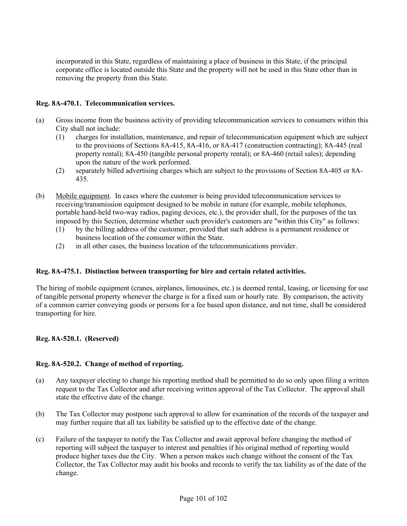incorporated in this State, regardless of maintaining a place of business in this State, if the principal corporate office is located outside this State and the property will not be used in this State other than in removing the property from this State.

## **Reg. 8A-470.1. Telecommunication services.**

- (a) Gross income from the business activity of providing telecommunication services to consumers within this City shall not include:
	- (1) charges for installation, maintenance, and repair of telecommunication equipment which are subject to the provisions of Sections 8A-415, 8A-416, or 8A-417 (construction contracting); 8A-445 (real property rental); 8A-450 (tangible personal property rental); or 8A-460 (retail sales); depending upon the nature of the work performed.
	- (2) separately billed advertising charges which are subject to the provisions of Section 8A-405 or 8A-435.
- (b) Mobile equipment. In cases where the customer is being provided telecommunication services to receiving/transmission equipment designed to be mobile in nature (for example, mobile telephones, portable hand-held two-way radios, paging devices, etc.), the provider shall, for the purposes of the tax imposed by this Section, determine whether such provider's customers are "within this City" as follows:
	- (1) by the billing address of the customer, provided that such address is a permanent residence or business location of the consumer within the State.
	- (2) in all other cases, the business location of the telecommunications provider.

## **Reg. 8A-475.1. Distinction between transporting for hire and certain related activities.**

The hiring of mobile equipment (cranes, airplanes, limousines, etc.) is deemed rental, leasing, or licensing for use of tangible personal property whenever the charge is for a fixed sum or hourly rate. By comparison, the activity of a common carrier conveying goods or persons for a fee based upon distance, and not time, shall be considered transporting for hire.

# **Reg. 8A-520.1. (Reserved)**

## **Reg. 8A-520.2. Change of method of reporting.**

- (a) Any taxpayer electing to change his reporting method shall be permitted to do so only upon filing a written request to the Tax Collector and after receiving written approval of the Tax Collector. The approval shall state the effective date of the change.
- (b) The Tax Collector may postpone such approval to allow for examination of the records of the taxpayer and may further require that all tax liability be satisfied up to the effective date of the change.
- (c) Failure of the taxpayer to notify the Tax Collector and await approval before changing the method of reporting will subject the taxpayer to interest and penalties if his original method of reporting would produce higher taxes due the City. When a person makes such change without the consent of the Tax Collector, the Tax Collector may audit his books and records to verify the tax liability as of the date of the change.